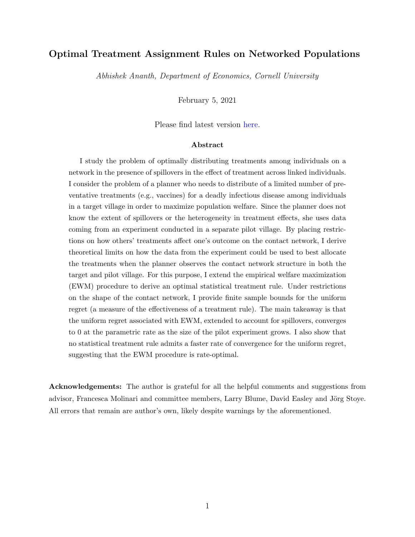### Optimal Treatment Assignment Rules on Networked Populations

Abhishek Ananth, Department of Economics, Cornell University

February 5, 2021

Please find latest version [here.](https://abhiananthecon.github.io/research/)

### Abstract

I study the problem of optimally distributing treatments among individuals on a network in the presence of spillovers in the effect of treatment across linked individuals. I consider the problem of a planner who needs to distribute of a limited number of preventative treatments (e.g., vaccines) for a deadly infectious disease among individuals in a target village in order to maximize population welfare. Since the planner does not know the extent of spillovers or the heterogeneity in treatment effects, she uses data coming from an experiment conducted in a separate pilot village. By placing restrictions on how others' treatments affect one's outcome on the contact network, I derive theoretical limits on how the data from the experiment could be used to best allocate the treatments when the planner observes the contact network structure in both the target and pilot village. For this purpose, I extend the empirical welfare maximization (EWM) procedure to derive an optimal statistical treatment rule. Under restrictions on the shape of the contact network, I provide finite sample bounds for the uniform regret (a measure of the effectiveness of a treatment rule). The main takeaway is that the uniform regret associated with EWM, extended to account for spillovers, converges to 0 at the parametric rate as the size of the pilot experiment grows. I also show that no statistical treatment rule admits a faster rate of convergence for the uniform regret, suggesting that the EWM procedure is rate-optimal.

Acknowledgements: The author is grateful for all the helpful comments and suggestions from advisor, Francesca Molinari and committee members, Larry Blume, David Easley and Jörg Stoye. All errors that remain are author's own, likely despite warnings by the aforementioned.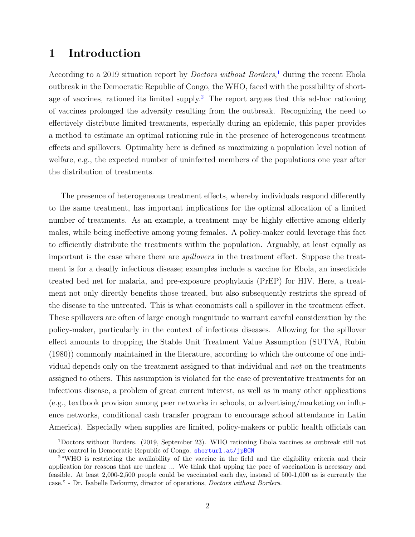# 1 Introduction

According to a 20[1](#page-1-0)9 situation report by *Doctors without Borders*,<sup>1</sup> during the recent Ebola outbreak in the Democratic Republic of Congo, the WHO, faced with the possibility of short-age of vaccines, rationed its limited supply.<sup>[2](#page-1-1)</sup> The report argues that this ad-hoc rationing of vaccines prolonged the adversity resulting from the outbreak. Recognizing the need to effectively distribute limited treatments, especially during an epidemic, this paper provides a method to estimate an optimal rationing rule in the presence of heterogeneous treatment effects and spillovers. Optimality here is defined as maximizing a population level notion of welfare, e.g., the expected number of uninfected members of the populations one year after the distribution of treatments.

The presence of heterogeneous treatment effects, whereby individuals respond differently to the same treatment, has important implications for the optimal allocation of a limited number of treatments. As an example, a treatment may be highly effective among elderly males, while being ineffective among young females. A policy-maker could leverage this fact to efficiently distribute the treatments within the population. Arguably, at least equally as important is the case where there are spillovers in the treatment effect. Suppose the treatment is for a deadly infectious disease; examples include a vaccine for Ebola, an insecticide treated bed net for malaria, and pre-exposure prophylaxis (PrEP) for HIV. Here, a treatment not only directly benefits those treated, but also subsequently restricts the spread of the disease to the untreated. This is what economists call a spillover in the treatment effect. These spillovers are often of large enough magnitude to warrant careful consideration by the policy-maker, particularly in the context of infectious diseases. Allowing for the spillover effect amounts to dropping the Stable Unit Treatment Value Assumption (SUTVA, Rubin (1980)) commonly maintained in the literature, according to which the outcome of one individual depends only on the treatment assigned to that individual and not on the treatments assigned to others. This assumption is violated for the case of preventative treatments for an infectious disease, a problem of great current interest, as well as in many other applications (e.g., textbook provision among peer networks in schools, or advertising/marketing on influence networks, conditional cash transfer program to encourage school attendance in Latin America). Especially when supplies are limited, policy-makers or public health officials can

<span id="page-1-0"></span><sup>1</sup>Doctors without Borders. (2019, September 23). WHO rationing Ebola vaccines as outbreak still not under control in Democratic Republic of Congo. <shorturl.at/jpBGN>

<span id="page-1-1"></span><sup>2</sup>"WHO is restricting the availability of the vaccine in the field and the eligibility criteria and their application for reasons that are unclear ... We think that upping the pace of vaccination is necessary and feasible. At least 2,000-2,500 people could be vaccinated each day, instead of 500-1,000 as is currently the case." - Dr. Isabelle Defourny, director of operations, Doctors without Borders.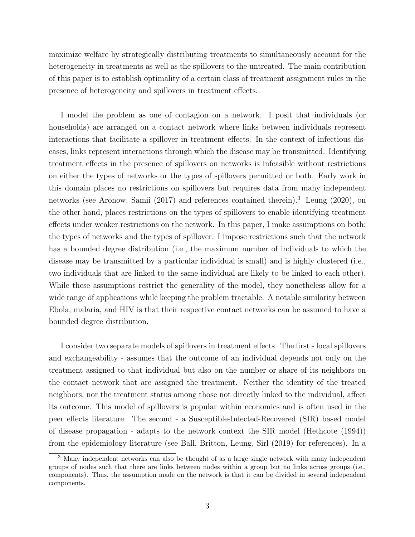maximize welfare by strategically distributing treatments to simultaneously account for the heterogeneity in treatments as well as the spillovers to the untreated. The main contribution of this paper is to establish optimality of a certain class of treatment assignment rules in the presence of heterogeneity and spillovers in treatment effects.

I model the problem as one of contagion on a network. I posit that individuals (or households) are arranged on a contact network where links between individuals represent interactions that facilitate a spillover in treatment effects. In the context of infectious diseases, links represent interactions through which the disease may be transmitted. Identifying treatment effects in the presence of spillovers on networks is infeasible without restrictions on either the types of networks or the types of spillovers permitted or both. Early work in this domain places no restrictions on spillovers but requires data from many independent networks (see Aronow, Samii (2017) and references contained therein).<sup>[3](#page-2-0)</sup> Leung (2020), on the other hand, places restrictions on the types of spillovers to enable identifying treatment effects under weaker restrictions on the network. In this paper, I make assumptions on both: the types of networks and the types of spillover. I impose restrictions such that the network has a bounded degree distribution (i.e., the maximum number of individuals to which the disease may be transmitted by a particular individual is small) and is highly clustered (i.e., two individuals that are linked to the same individual are likely to be linked to each other). While these assumptions restrict the generality of the model, they nonetheless allow for a wide range of applications while keeping the problem tractable. A notable similarity between Ebola, malaria, and HIV is that their respective contact networks can be assumed to have a bounded degree distribution.

I consider two separate models of spillovers in treatment effects. The first - local spillovers and exchangeability - assumes that the outcome of an individual depends not only on the treatment assigned to that individual but also on the number or share of its neighbors on the contact network that are assigned the treatment. Neither the identity of the treated neighbors, nor the treatment status among those not directly linked to the individual, affect its outcome. This model of spillovers is popular within economics and is often used in the peer effects literature. The second - a Susceptible-Infected-Recovered (SIR) based model of disease propagation - adapts to the network context the SIR model (Hethcote (1994)) from the epidemiology literature (see Ball, Britton, Leung, Sirl (2019) for references). In a

<span id="page-2-0"></span><sup>&</sup>lt;sup>3</sup> Many independent networks can also be thought of as a large single network with many independent groups of nodes such that there are links between nodes within a group but no links across groups (i.e., components). Thus, the assumption made on the network is that it can be divided in several independent components.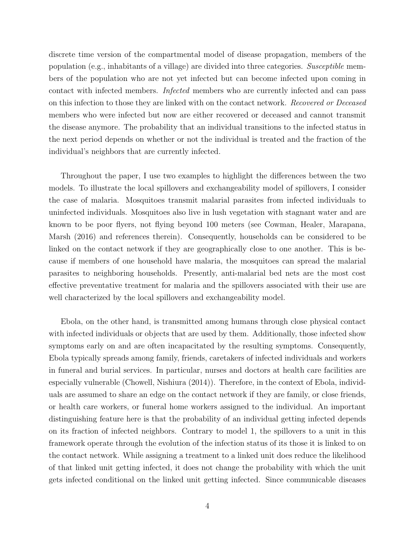discrete time version of the compartmental model of disease propagation, members of the population (e.g., inhabitants of a village) are divided into three categories. Susceptible members of the population who are not yet infected but can become infected upon coming in contact with infected members. Infected members who are currently infected and can pass on this infection to those they are linked with on the contact network. Recovered or Deceased members who were infected but now are either recovered or deceased and cannot transmit the disease anymore. The probability that an individual transitions to the infected status in the next period depends on whether or not the individual is treated and the fraction of the individual's neighbors that are currently infected.

Throughout the paper, I use two examples to highlight the differences between the two models. To illustrate the local spillovers and exchangeability model of spillovers, I consider the case of malaria. Mosquitoes transmit malarial parasites from infected individuals to uninfected individuals. Mosquitoes also live in lush vegetation with stagnant water and are known to be poor flyers, not flying beyond 100 meters (see Cowman, Healer, Marapana, Marsh (2016) and references therein). Consequently, households can be considered to be linked on the contact network if they are geographically close to one another. This is because if members of one household have malaria, the mosquitoes can spread the malarial parasites to neighboring households. Presently, anti-malarial bed nets are the most cost effective preventative treatment for malaria and the spillovers associated with their use are well characterized by the local spillovers and exchangeability model.

Ebola, on the other hand, is transmitted among humans through close physical contact with infected individuals or objects that are used by them. Additionally, those infected show symptoms early on and are often incapacitated by the resulting symptoms. Consequently, Ebola typically spreads among family, friends, caretakers of infected individuals and workers in funeral and burial services. In particular, nurses and doctors at health care facilities are especially vulnerable (Chowell, Nishiura (2014)). Therefore, in the context of Ebola, individuals are assumed to share an edge on the contact network if they are family, or close friends, or health care workers, or funeral home workers assigned to the individual. An important distinguishing feature here is that the probability of an individual getting infected depends on its fraction of infected neighbors. Contrary to model 1, the spillovers to a unit in this framework operate through the evolution of the infection status of its those it is linked to on the contact network. While assigning a treatment to a linked unit does reduce the likelihood of that linked unit getting infected, it does not change the probability with which the unit gets infected conditional on the linked unit getting infected. Since communicable diseases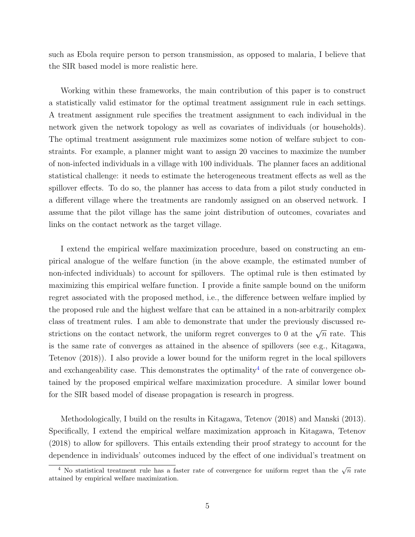such as Ebola require person to person transmission, as opposed to malaria, I believe that the SIR based model is more realistic here.

Working within these frameworks, the main contribution of this paper is to construct a statistically valid estimator for the optimal treatment assignment rule in each settings. A treatment assignment rule specifies the treatment assignment to each individual in the network given the network topology as well as covariates of individuals (or households). The optimal treatment assignment rule maximizes some notion of welfare subject to constraints. For example, a planner might want to assign 20 vaccines to maximize the number of non-infected individuals in a village with 100 individuals. The planner faces an additional statistical challenge: it needs to estimate the heterogeneous treatment effects as well as the spillover effects. To do so, the planner has access to data from a pilot study conducted in a different village where the treatments are randomly assigned on an observed network. I assume that the pilot village has the same joint distribution of outcomes, covariates and links on the contact network as the target village.

I extend the empirical welfare maximization procedure, based on constructing an empirical analogue of the welfare function (in the above example, the estimated number of non-infected individuals) to account for spillovers. The optimal rule is then estimated by maximizing this empirical welfare function. I provide a finite sample bound on the uniform regret associated with the proposed method, i.e., the difference between welfare implied by the proposed rule and the highest welfare that can be attained in a non-arbitrarily complex class of treatment rules. I am able to demonstrate that under the previously discussed restrictions on the contact network, the uniform regret converges to 0 at the  $\sqrt{n}$  rate. This is the same rate of converges as attained in the absence of spillovers (see e.g., Kitagawa, Tetenov (2018)). I also provide a lower bound for the uniform regret in the local spillovers and exchangeability case. This demonstrates the optimality<sup>[4](#page-4-0)</sup> of the rate of convergence obtained by the proposed empirical welfare maximization procedure. A similar lower bound for the SIR based model of disease propagation is research in progress.

Methodologically, I build on the results in Kitagawa, Tetenov (2018) and Manski (2013). Specifically, I extend the empirical welfare maximization approach in Kitagawa, Tetenov (2018) to allow for spillovers. This entails extending their proof strategy to account for the dependence in individuals' outcomes induced by the effect of one individual's treatment on

<span id="page-4-0"></span><sup>&</sup>lt;sup>4</sup> No statistical treatment rule has a faster rate of convergence for uniform regret than the  $\sqrt{n}$  rate attained by empirical welfare maximization.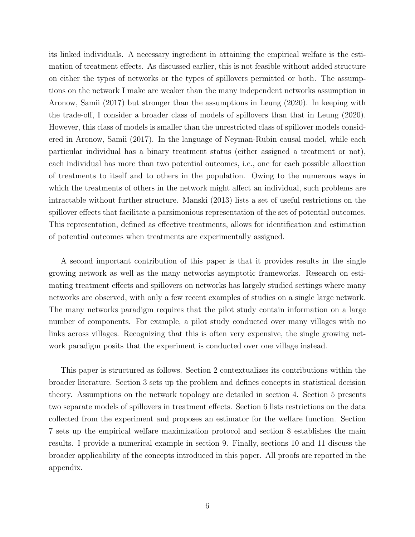its linked individuals. A necessary ingredient in attaining the empirical welfare is the estimation of treatment effects. As discussed earlier, this is not feasible without added structure on either the types of networks or the types of spillovers permitted or both. The assumptions on the network I make are weaker than the many independent networks assumption in Aronow, Samii (2017) but stronger than the assumptions in Leung (2020). In keeping with the trade-off, I consider a broader class of models of spillovers than that in Leung (2020). However, this class of models is smaller than the unrestricted class of spillover models considered in Aronow, Samii (2017). In the language of Neyman-Rubin causal model, while each particular individual has a binary treatment status (either assigned a treatment or not), each individual has more than two potential outcomes, i.e., one for each possible allocation of treatments to itself and to others in the population. Owing to the numerous ways in which the treatments of others in the network might affect an individual, such problems are intractable without further structure. Manski (2013) lists a set of useful restrictions on the spillover effects that facilitate a parsimonious representation of the set of potential outcomes. This representation, defined as effective treatments, allows for identification and estimation of potential outcomes when treatments are experimentally assigned.

A second important contribution of this paper is that it provides results in the single growing network as well as the many networks asymptotic frameworks. Research on estimating treatment effects and spillovers on networks has largely studied settings where many networks are observed, with only a few recent examples of studies on a single large network. The many networks paradigm requires that the pilot study contain information on a large number of components. For example, a pilot study conducted over many villages with no links across villages. Recognizing that this is often very expensive, the single growing network paradigm posits that the experiment is conducted over one village instead.

This paper is structured as follows. Section 2 contextualizes its contributions within the broader literature. Section 3 sets up the problem and defines concepts in statistical decision theory. Assumptions on the network topology are detailed in section 4. Section 5 presents two separate models of spillovers in treatment effects. Section 6 lists restrictions on the data collected from the experiment and proposes an estimator for the welfare function. Section 7 sets up the empirical welfare maximization protocol and section 8 establishes the main results. I provide a numerical example in section 9. Finally, sections 10 and 11 discuss the broader applicability of the concepts introduced in this paper. All proofs are reported in the appendix.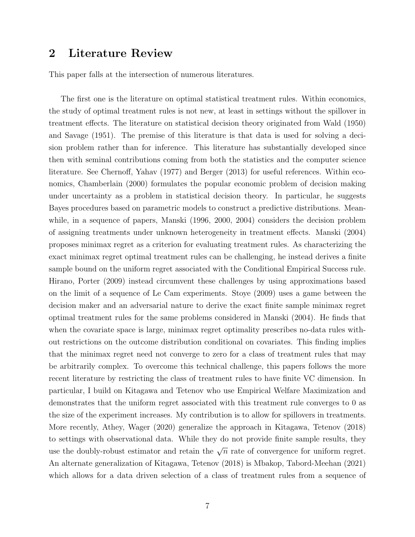## 2 Literature Review

This paper falls at the intersection of numerous literatures.

The first one is the literature on optimal statistical treatment rules. Within economics, the study of optimal treatment rules is not new, at least in settings without the spillover in treatment effects. The literature on statistical decision theory originated from Wald (1950) and Savage (1951). The premise of this literature is that data is used for solving a decision problem rather than for inference. This literature has substantially developed since then with seminal contributions coming from both the statistics and the computer science literature. See Chernoff, Yahav (1977) and Berger (2013) for useful references. Within economics, Chamberlain (2000) formulates the popular economic problem of decision making under uncertainty as a problem in statistical decision theory. In particular, he suggests Bayes procedures based on parametric models to construct a predictive distributions. Meanwhile, in a sequence of papers, Manski (1996, 2000, 2004) considers the decision problem of assigning treatments under unknown heterogeneity in treatment effects. Manski (2004) proposes minimax regret as a criterion for evaluating treatment rules. As characterizing the exact minimax regret optimal treatment rules can be challenging, he instead derives a finite sample bound on the uniform regret associated with the Conditional Empirical Success rule. Hirano, Porter (2009) instead circumvent these challenges by using approximations based on the limit of a sequence of Le Cam experiments. Stoye (2009) uses a game between the decision maker and an adversarial nature to derive the exact finite sample minimax regret optimal treatment rules for the same problems considered in Manski (2004). He finds that when the covariate space is large, minimax regret optimality prescribes no-data rules without restrictions on the outcome distribution conditional on covariates. This finding implies that the minimax regret need not converge to zero for a class of treatment rules that may be arbitrarily complex. To overcome this technical challenge, this papers follows the more recent literature by restricting the class of treatment rules to have finite VC dimension. In particular, I build on Kitagawa and Tetenov who use Empirical Welfare Maximization and demonstrates that the uniform regret associated with this treatment rule converges to 0 as the size of the experiment increases. My contribution is to allow for spillovers in treatments. More recently, Athey, Wager (2020) generalize the approach in Kitagawa, Tetenov (2018) to settings with observational data. While they do not provide finite sample results, they use the doubly-robust estimator and retain the  $\sqrt{n}$  rate of convergence for uniform regret. An alternate generalization of Kitagawa, Tetenov (2018) is Mbakop, Tabord-Meehan (2021) which allows for a data driven selection of a class of treatment rules from a sequence of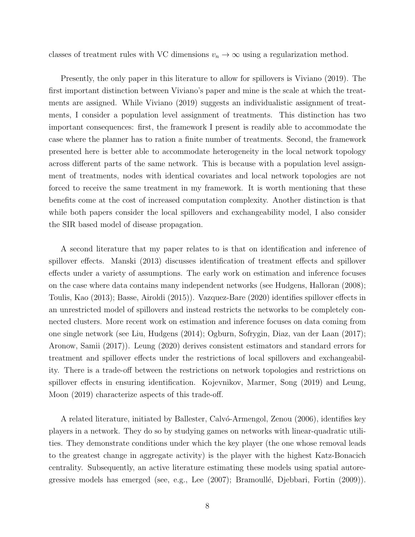classes of treatment rules with VC dimensions  $v_n \to \infty$  using a regularization method.

Presently, the only paper in this literature to allow for spillovers is Viviano (2019). The first important distinction between Viviano's paper and mine is the scale at which the treatments are assigned. While Viviano (2019) suggests an individualistic assignment of treatments, I consider a population level assignment of treatments. This distinction has two important consequences: first, the framework I present is readily able to accommodate the case where the planner has to ration a finite number of treatments. Second, the framework presented here is better able to accommodate heterogeneity in the local network topology across different parts of the same network. This is because with a population level assignment of treatments, nodes with identical covariates and local network topologies are not forced to receive the same treatment in my framework. It is worth mentioning that these benefits come at the cost of increased computation complexity. Another distinction is that while both papers consider the local spillovers and exchangeability model, I also consider the SIR based model of disease propagation.

A second literature that my paper relates to is that on identification and inference of spillover effects. Manski (2013) discusses identification of treatment effects and spillover effects under a variety of assumptions. The early work on estimation and inference focuses on the case where data contains many independent networks (see Hudgens, Halloran (2008); Toulis, Kao (2013); Basse, Airoldi (2015)). Vazquez-Bare (2020) identifies spillover effects in an unrestricted model of spillovers and instead restricts the networks to be completely connected clusters. More recent work on estimation and inference focuses on data coming from one single network (see Liu, Hudgens (2014); Ogburn, Sofrygin, Diaz, van der Laan (2017); Aronow, Samii (2017)). Leung (2020) derives consistent estimators and standard errors for treatment and spillover effects under the restrictions of local spillovers and exchangeability. There is a trade-off between the restrictions on network topologies and restrictions on spillover effects in ensuring identification. Kojevnikov, Marmer, Song (2019) and Leung, Moon (2019) characterize aspects of this trade-off.

A related literature, initiated by Ballester, Calv´o-Armengol, Zenou (2006), identifies key players in a network. They do so by studying games on networks with linear-quadratic utilities. They demonstrate conditions under which the key player (the one whose removal leads to the greatest change in aggregate activity) is the player with the highest Katz-Bonacich centrality. Subsequently, an active literature estimating these models using spatial autoregressive models has emerged (see, e.g., Lee (2007); Bramoullé, Djebbari, Fortin (2009)).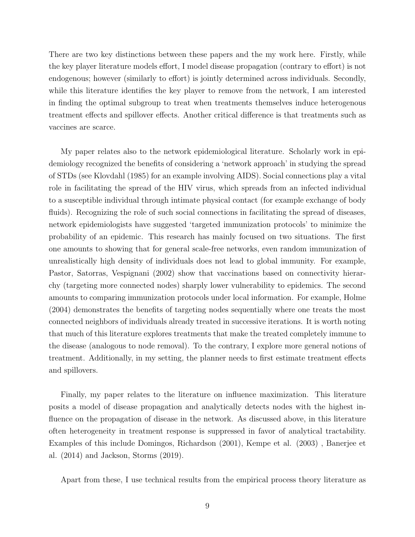There are two key distinctions between these papers and the my work here. Firstly, while the key player literature models effort, I model disease propagation (contrary to effort) is not endogenous; however (similarly to effort) is jointly determined across individuals. Secondly, while this literature identifies the key player to remove from the network, I am interested in finding the optimal subgroup to treat when treatments themselves induce heterogenous treatment effects and spillover effects. Another critical difference is that treatments such as vaccines are scarce.

My paper relates also to the network epidemiological literature. Scholarly work in epidemiology recognized the benefits of considering a 'network approach' in studying the spread of STDs (see Klovdahl (1985) for an example involving AIDS). Social connections play a vital role in facilitating the spread of the HIV virus, which spreads from an infected individual to a susceptible individual through intimate physical contact (for example exchange of body fluids). Recognizing the role of such social connections in facilitating the spread of diseases, network epidemiologists have suggested 'targeted immunization protocols' to minimize the probability of an epidemic. This research has mainly focused on two situations. The first one amounts to showing that for general scale-free networks, even random immunization of unrealistically high density of individuals does not lead to global immunity. For example, Pastor, Satorras, Vespignani (2002) show that vaccinations based on connectivity hierarchy (targeting more connected nodes) sharply lower vulnerability to epidemics. The second amounts to comparing immunization protocols under local information. For example, Holme (2004) demonstrates the benefits of targeting nodes sequentially where one treats the most connected neighbors of individuals already treated in successive iterations. It is worth noting that much of this literature explores treatments that make the treated completely immune to the disease (analogous to node removal). To the contrary, I explore more general notions of treatment. Additionally, in my setting, the planner needs to first estimate treatment effects and spillovers.

Finally, my paper relates to the literature on influence maximization. This literature posits a model of disease propagation and analytically detects nodes with the highest influence on the propagation of disease in the network. As discussed above, in this literature often heterogeneity in treatment response is suppressed in favor of analytical tractability. Examples of this include Domingos, Richardson (2001), Kempe et al. (2003) , Banerjee et al. (2014) and Jackson, Storms (2019).

Apart from these, I use technical results from the empirical process theory literature as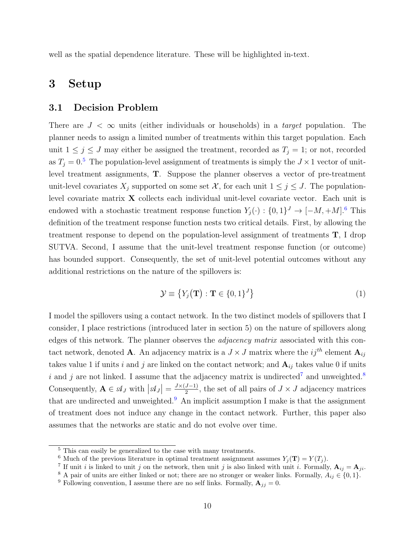well as the spatial dependence literature. These will be highlighted in-text.

# 3 Setup

### 3.1 Decision Problem

There are  $J < \infty$  units (either individuals or households) in a *target* population. The planner needs to assign a limited number of treatments within this target population. Each unit  $1 \leq j \leq J$  may either be assigned the treatment, recorded as  $T_j = 1$ ; or not, recorded as  $T_i = 0.5$  $T_i = 0.5$  The population-level assignment of treatments is simply the  $J \times 1$  vector of unitlevel treatment assignments, T. Suppose the planner observes a vector of pre-treatment unit-level covariates  $X_j$  supported on some set X, for each unit  $1 \leq j \leq J$ . The populationlevel covariate matrix X collects each individual unit-level covariate vector. Each unit is endowed with a stochastic treatment response function  $Y_j(\cdot) : \{0,1\}^J \to [-M, +M]$ .<sup>[6](#page-9-1)</sup> This definition of the treatment response function nests two critical details. First, by allowing the treatment response to depend on the population-level assignment of treatments  $\mathbf{T}$ , I drop SUTVA. Second, I assume that the unit-level treatment response function (or outcome) has bounded support. Consequently, the set of unit-level potential outcomes without any additional restrictions on the nature of the spillovers is:

$$
\mathcal{Y} \equiv \{ Y_j(\mathbf{T}) : \mathbf{T} \in \{0, 1\}^J \} \tag{1}
$$

I model the spillovers using a contact network. In the two distinct models of spillovers that I consider, I place restrictions (introduced later in section 5) on the nature of spillovers along edges of this network. The planner observes the adjacency matrix associated with this contact network, denoted **A**. An adjacency matrix is a  $J \times J$  matrix where the  $ij^{th}$  element  $\mathbf{A}_{ij}$ takes value 1 if units i and j are linked on the contact network; and  $A_{ij}$  takes value 0 if units i and j are not linked. I assume that the adjacency matrix is undirected<sup>[7](#page-9-2)</sup> and unweighted.<sup>[8](#page-9-3)</sup> Consequently,  $\mathbf{A} \in \mathcal{A}_J$  with  $|\mathcal{A}_J| = \frac{J \times (J-1)}{2}$  $\frac{J-1}{2}$ , the set of all pairs of  $J \times J$  adjacency matrices that are undirected and unweighted.<sup>[9](#page-9-4)</sup> An implicit assumption I make is that the assignment of treatment does not induce any change in the contact network. Further, this paper also assumes that the networks are static and do not evolve over time.

<span id="page-9-0"></span><sup>5</sup> This can easily be generalized to the case with many treatments.

<span id="page-9-1"></span><sup>&</sup>lt;sup>6</sup> Much of the previous literature in optimal treatment assignment assumes  $Y_j(\mathbf{T}) = Y(T_j)$ .

<span id="page-9-2"></span><sup>&</sup>lt;sup>7</sup> If unit *i* is linked to unit *j* on the network, then unit *j* is also linked with unit *i*. Formally,  $A_{ij} = A_{ji}$ .

<span id="page-9-3"></span><sup>&</sup>lt;sup>8</sup> A pair of units are either linked or not; there are no stronger or weaker links. Formally,  $A_{ij} \in \{0, 1\}$ .

<span id="page-9-4"></span><sup>&</sup>lt;sup>9</sup> Following convention, I assume there are no self links. Formally,  $\mathbf{A}_{jj} = 0$ .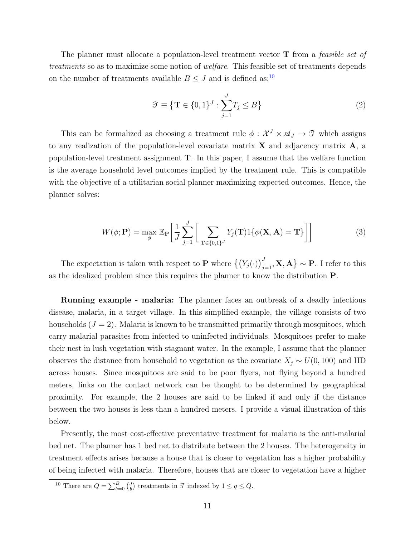The planner must allocate a population-level treatment vector  $\bf{T}$  from a *feasible set of* treatments so as to maximize some notion of welfare. This feasible set of treatments depends on the number of treatments available  $B \leq J$  and is defined as:<sup>[10](#page-10-0)</sup>

$$
\mathcal{T} \equiv \left\{ \mathbf{T} \in \{0, 1\}^J : \sum_{j=1}^J T_j \le B \right\} \tag{2}
$$

This can be formalized as choosing a treatment rule  $\phi: \mathcal{X}^J \times \mathcal{A}_J \to \mathcal{I}$  which assigns to any realization of the population-level covariate matrix  $X$  and adjacency matrix  $A$ , a population-level treatment assignment  $T$ . In this paper, I assume that the welfare function is the average household level outcomes implied by the treatment rule. This is compatible with the objective of a utilitarian social planner maximizing expected outcomes. Hence, the planner solves:

$$
W(\phi; \mathbf{P}) = \max_{\phi} \mathbb{E}_{\mathbf{P}} \left[ \frac{1}{J} \sum_{j=1}^{J} \left[ \sum_{\mathbf{T} \in \{0,1\}^{J}} Y_j(\mathbf{T}) \mathbb{1} \{ \phi(\mathbf{X}, \mathbf{A}) = \mathbf{T} \} \right] \right]
$$
(3)

The expectation is taken with respect to **P** where  $\left\{ (Y_j(\cdot))_{j=1}^J, \mathbf{X}, \mathbf{A} \right\} \sim \mathbf{P}$ . I refer to this as the idealized problem since this requires the planner to know the distribution P.

Running example - malaria: The planner faces an outbreak of a deadly infectious disease, malaria, in a target village. In this simplified example, the village consists of two households  $(J = 2)$ . Malaria is known to be transmitted primarily through mosquitoes, which carry malarial parasites from infected to uninfected individuals. Mosquitoes prefer to make their nest in lush vegetation with stagnant water. In the example, I assume that the planner observes the distance from household to vegetation as the covariate  $X_i \sim U(0, 100)$  and IID across houses. Since mosquitoes are said to be poor flyers, not flying beyond a hundred meters, links on the contact network can be thought to be determined by geographical proximity. For example, the 2 houses are said to be linked if and only if the distance between the two houses is less than a hundred meters. I provide a visual illustration of this below.

Presently, the most cost-effective preventative treatment for malaria is the anti-malarial bed net. The planner has 1 bed net to distribute between the 2 houses. The heterogeneity in treatment effects arises because a house that is closer to vegetation has a higher probability of being infected with malaria. Therefore, houses that are closer to vegetation have a higher

<span id="page-10-0"></span><sup>&</sup>lt;sup>10</sup> There are  $Q = \sum_{b=0}^{B} {J \choose b}$  treatments in  $\mathcal{T}$  indexed by  $1 \le q \le Q$ .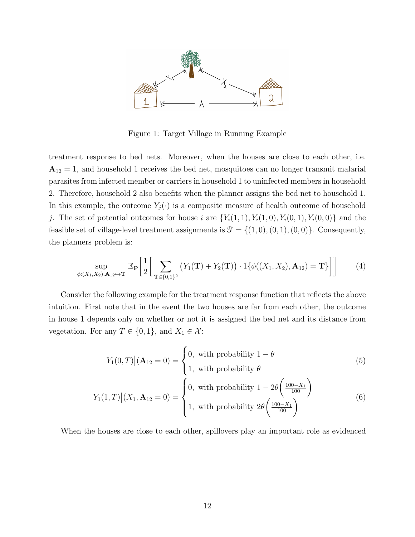

Figure 1: Target Village in Running Example

treatment response to bed nets. Moreover, when the houses are close to each other, i.e.  $A_{12} = 1$ , and household 1 receives the bed net, mosquitoes can no longer transmit malarial parasites from infected member or carriers in household 1 to uninfected members in household 2. Therefore, household 2 also benefits when the planner assigns the bed net to household 1. In this example, the outcome  $Y_j(\cdot)$  is a composite measure of health outcome of household j. The set of potential outcomes for house i are  $\{Y_i(1,1), Y_i(1,0), Y_i(0,1), Y_i(0,0)\}$  and the feasible set of village-level treatment assignments is  $\mathcal{T} = \{(1,0), (0,1), (0,0)\}.$  Consequently, the planners problem is:

$$
\sup_{\phi:(X_1,X_2),\mathbf{A}_{12}\mapsto\mathbf{T}}\mathbb{E}_{\mathbf{P}}\left[\frac{1}{2}\left[\sum_{\mathbf{T}\in\{0,1\}^2}\left(Y_1(\mathbf{T})+Y_2(\mathbf{T})\right)\cdot 1\{\phi((X_1,X_2),\mathbf{A}_{12})=\mathbf{T}\}\right]\right]
$$
(4)

Consider the following example for the treatment response function that reflects the above intuition. First note that in the event the two houses are far from each other, the outcome in house 1 depends only on whether or not it is assigned the bed net and its distance from vegetation. For any  $T \in \{0, 1\}$ , and  $X_1 \in \mathcal{X}$ :

$$
Y_1(0,T) | (\mathbf{A}_{12} = 0) = \begin{cases} 0, & \text{with probability } 1 - \theta \\ 1, & \text{with probability } \theta \end{cases} \tag{5}
$$

$$
Y_1(1,T)| (X_1, \mathbf{A}_{12} = 0) = \begin{cases} 0, & \text{with probability } 1 - 2\theta \left( \frac{100 - X_1}{100} \right) \\ 1, & \text{with probability } 2\theta \left( \frac{100 - X_1}{100} \right) \end{cases}
$$
(6)

When the houses are close to each other, spillovers play an important role as evidenced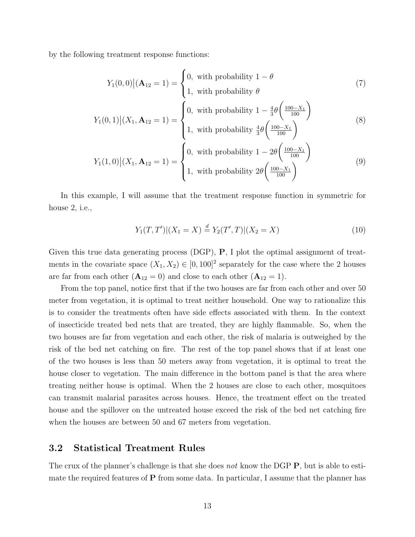by the following treatment response functions:

$$
Y_1(0,0)|(\mathbf{A}_{12}=1) = \begin{cases} 0, & \text{with probability } 1-\theta \\ 1, & \text{with probability } \theta \end{cases} \tag{7}
$$

$$
Y_1(0,1) | (X_1, \mathbf{A}_{12} = 1) = \begin{cases} 0, & \text{with probability } 1 - \frac{4}{3} \theta \left( \frac{100 - X_1}{100} \right) \\ 1, & \text{with probability } \frac{4}{3} \theta \left( \frac{100 - X_1}{100} \right) \end{cases}
$$
(8)  

$$
\begin{cases} 0, & \text{with probability } 1 - 2\theta \left( \frac{100 - X_1}{100} \right) \end{cases}
$$

$$
Y_1(1,0)\big|(X_1,\mathbf{A}_{12}=1)=\begin{cases}0, & \text{with probability } 1-2\theta\left(\frac{100-X_1}{100}\right) \\ 1, & \text{with probability } 2\theta\left(\frac{100-X_1}{100}\right)\end{cases}
$$
(9)

In this example, I will assume that the treatment response function in symmetric for house 2, i.e.,

$$
Y_1(T, T')|(X_1 = X) \stackrel{d}{=} Y_2(T', T)|(X_2 = X)
$$
\n(10)

Given this true data generating process (DGP), P, I plot the optimal assignment of treatments in the covariate space  $(X_1, X_2) \in [0, 100]^2$  separately for the case where the 2 houses are far from each other  $(A_{12} = 0)$  and close to each other  $(A_{12} = 1)$ .

From the top panel, notice first that if the two houses are far from each other and over 50 meter from vegetation, it is optimal to treat neither household. One way to rationalize this is to consider the treatments often have side effects associated with them. In the context of insecticide treated bed nets that are treated, they are highly flammable. So, when the two houses are far from vegetation and each other, the risk of malaria is outweighed by the risk of the bed net catching on fire. The rest of the top panel shows that if at least one of the two houses is less than 50 meters away from vegetation, it is optimal to treat the house closer to vegetation. The main difference in the bottom panel is that the area where treating neither house is optimal. When the 2 houses are close to each other, mosquitoes can transmit malarial parasites across houses. Hence, the treatment effect on the treated house and the spillover on the untreated house exceed the risk of the bed net catching fire when the houses are between 50 and 67 meters from vegetation.

### 3.2 Statistical Treatment Rules

The crux of the planner's challenge is that she does not know the DGP **P**, but is able to estimate the required features of P from some data. In particular, I assume that the planner has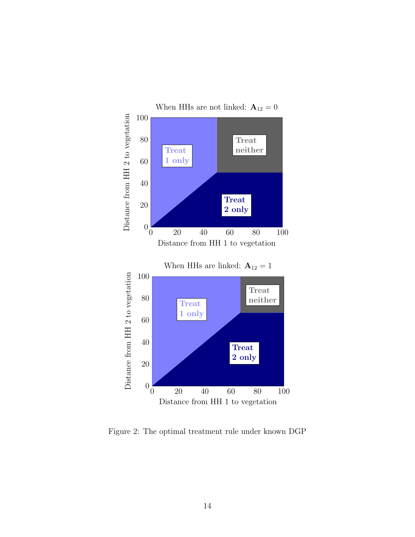

Figure 2: The optimal treatment rule under known DGP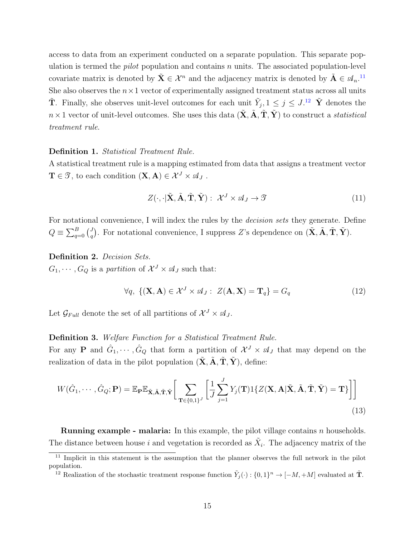access to data from an experiment conducted on a separate population. This separate population is termed the *pilot* population and contains  $n$  units. The associated population-level covariate matrix is denoted by  $\tilde{\mathbf{X}} \in \mathcal{X}^n$  and the adjacency matrix is denoted by  $\tilde{\mathbf{A}} \in \mathcal{A}_n$ .<sup>[11](#page-14-0)</sup> She also observes the  $n \times 1$  vector of experimentally assigned treatment status across all units  $\tilde{\mathbf{T}}$ . Finally, she observes unit-level outcomes for each unit  $\tilde{Y}_j$ ,  $1 \leq j \leq J$ .<sup>[12](#page-14-1)</sup>  $\tilde{\mathbf{Y}}$  denotes the  $n \times 1$  vector of unit-level outcomes. She uses this data  $(\tilde{\mathbf{X}}, \tilde{\mathbf{A}}, \tilde{\mathbf{T}}, \tilde{\mathbf{Y}})$  to construct a *statistical* treatment rule.

### Definition 1. Statistical Treatment Rule.

A statistical treatment rule is a mapping estimated from data that assigns a treatment vector  $\mathbf{T} \in \mathcal{T}$ , to each condition  $(\mathbf{X}, \mathbf{A}) \in \mathcal{X}^J \times \mathcal{A}_J$ .

$$
Z(\cdot, \cdot | \tilde{\mathbf{X}}, \tilde{\mathbf{A}}, \tilde{\mathbf{T}}, \tilde{\mathbf{Y}}): \mathcal{X}^J \times \mathcal{A}_J \to \mathcal{I}
$$
\n(11)

For notational convenience, I will index the rules by the *decision sets* they generate. Define  $Q \equiv \sum_{q=0}^B {d \choose q}$  $q^J$ ). For notational convenience, I suppress Z's dependence on  $(\tilde{\mathbf{X}}, \tilde{\mathbf{A}}, \tilde{\mathbf{T}}, \tilde{\mathbf{Y}})$ .

Definition 2. Decision Sets.

 $G_1, \cdots, G_Q$  is a partition of  $\mathcal{X}^J \times \mathcal{A}_J$  such that:

$$
\forall q, \ \{ (\mathbf{X}, \mathbf{A}) \in \mathcal{X}^J \times \mathcal{A}_J : \ Z(\mathbf{A}, \mathbf{X}) = \mathbf{T}_q \} = G_q \tag{12}
$$

Let  $\mathcal{G}_{Full}$  denote the set of all partitions of  $\mathcal{X}^J \times \mathcal{A}_J$ .

### Definition 3. Welfare Function for a Statistical Treatment Rule.

For any **P** and  $\hat{G}_1, \dots, \hat{G}_Q$  that form a partition of  $\mathcal{X}^J \times \mathcal{A}_J$  that may depend on the realization of data in the pilot population  $(\tilde{\mathbf{X}}, \tilde{\mathbf{A}}, \tilde{\mathbf{T}}, \tilde{\mathbf{Y}})$ , define:

$$
W(\hat{G}_1, \cdots, \hat{G}_Q; \mathbf{P}) = \mathbb{E}_{\mathbf{P}} \mathbb{E}_{\tilde{\mathbf{X}}, \tilde{\mathbf{A}}, \tilde{\mathbf{T}}, \tilde{\mathbf{Y}}}\bigg[ \sum_{\mathbf{T} \in \{0, 1\}^J} \bigg[ \frac{1}{J} \sum_{j=1}^J Y_j(\mathbf{T}) 1\{Z(\mathbf{X}, \mathbf{A} | \tilde{\mathbf{X}}, \tilde{\mathbf{A}}, \tilde{\mathbf{T}}, \tilde{\mathbf{Y}}) = \mathbf{T}\}\bigg] \bigg]
$$
(13)

**Running example - malaria:** In this example, the pilot village contains  $n$  households. The distance between house i and vegetation is recorded as  $\tilde{X}_i$ . The adjacency matrix of the

<span id="page-14-0"></span><sup>&</sup>lt;sup>11</sup> Implicit in this statement is the assumption that the planner observes the full network in the pilot population.

<span id="page-14-1"></span><sup>&</sup>lt;sup>12</sup> Realization of the stochastic treatment response function  $\tilde{Y}_j(\cdot) : \{0,1\}^n \to [-M, +M]$  evaluated at  $\tilde{T}$ .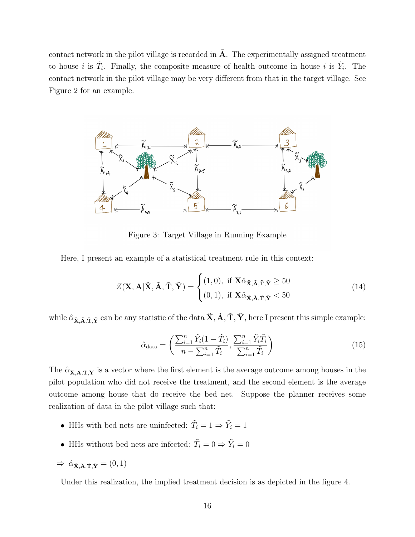contact network in the pilot village is recorded in  $A$ . The experimentally assigned treatment to house *i* is  $\tilde{T}_i$ . Finally, the composite measure of health outcome in house *i* is  $\tilde{Y}_i$ . The contact network in the pilot village may be very different from that in the target village. See Figure 2 for an example.



Figure 3: Target Village in Running Example

Here, I present an example of a statistical treatment rule in this context:

$$
Z(\mathbf{X}, \mathbf{A} | \tilde{\mathbf{X}}, \tilde{\mathbf{A}}, \tilde{\mathbf{T}}, \tilde{\mathbf{Y}}) = \begin{cases} (1, 0), & \text{if } \mathbf{X} \hat{\alpha}_{\tilde{\mathbf{X}}, \tilde{\mathbf{A}}, \tilde{\mathbf{T}}, \tilde{\mathbf{Y}}} \ge 50 \\ (0, 1), & \text{if } \mathbf{X} \hat{\alpha}_{\tilde{\mathbf{X}}, \tilde{\mathbf{A}}, \tilde{\mathbf{T}}, \tilde{\mathbf{Y}}} < 50 \end{cases} \tag{14}
$$

while  $\hat{\alpha}_{\mathbf{\tilde{X}}, \mathbf{\tilde{A}}, \mathbf{\tilde{T}}, \mathbf{\tilde{Y}}}$  can be any statistic of the data  $\mathbf{\tilde{X}}, \mathbf{\tilde{A}}, \mathbf{\tilde{T}}, \mathbf{\tilde{Y}}}$ , here I present this simple example:

$$
\hat{\alpha}_{\text{data}} = \left(\frac{\sum_{i=1}^{n} \tilde{Y}_i (1 - \tilde{T}_i)}{n - \sum_{i=1}^{n} \tilde{T}_i}, \frac{\sum_{i=1}^{n} \tilde{Y}_i \tilde{T}_i}{\sum_{i=1}^{n} \tilde{T}_i}\right)
$$
\n(15)

The  $\hat{\alpha}_{\tilde{X}, \tilde{A}, \tilde{T}, \tilde{Y}}$  is a vector where the first element is the average outcome among houses in the pilot population who did not receive the treatment, and the second element is the average outcome among house that do receive the bed net. Suppose the planner receives some realization of data in the pilot village such that:

- HHs with bed nets are uninfected:  $\tilde{T}_i = 1 \Rightarrow \tilde{Y}_i = 1$
- HHs without bed nets are infected:  $\tilde{T}_i = 0 \Rightarrow \tilde{Y}_i = 0$

 $\Rightarrow \hat{\alpha}_{\tilde{\mathbf{X}}, \tilde{\mathbf{A}}, \tilde{\mathbf{T}}, \tilde{\mathbf{Y}}} = (0, 1)$ 

Under this realization, the implied treatment decision is as depicted in the figure 4.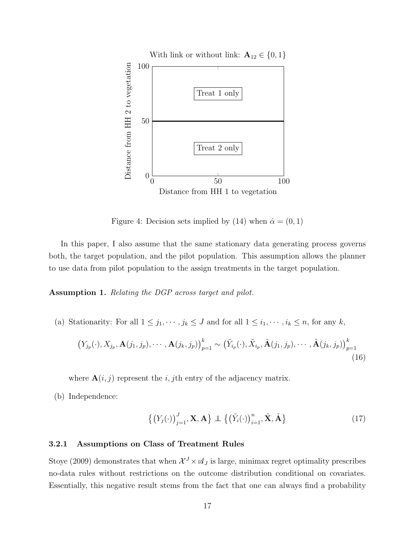

Figure 4: Decision sets implied by (14) when  $\hat{\alpha} = (0, 1)$ 

In this paper, I also assume that the same stationary data generating process governs both, the target population, and the pilot population. This assumption allows the planner to use data from pilot population to the assign treatments in the target population.

Assumption 1. Relating the DGP across target and pilot.

(a) Stationarity: For all  $1 \leq j_1, \dots, j_k \leq J$  and for all  $1 \leq i_1, \dots, i_k \leq n$ , for any k,

$$
\left(Y_{j_p}(\cdot), X_{j_p}, \mathbf{A}(j_1, j_p), \cdots, \mathbf{A}(j_k, j_p)\right)_{p=1}^k \sim \left(\tilde{Y}_{i_p}(\cdot), \tilde{X}_{i_p}, \tilde{\mathbf{A}}(j_1, j_p), \cdots, \tilde{\mathbf{A}}(j_k, j_p)\right)_{p=1}^k
$$
\n(16)

where  $\mathbf{A}(i, j)$  represent the i, jth entry of the adjacency matrix.

(b) Independence:

$$
\left\{ \left(Y_j(\cdot)\right)_{j=1}^J, \mathbf{X}, \mathbf{A} \right\} \perp \left\{ \left(\tilde{Y}_i(\cdot)\right)_{i=1}^n, \tilde{\mathbf{X}}, \tilde{\mathbf{A}} \right\}
$$
\n(17)

### 3.2.1 Assumptions on Class of Treatment Rules

Stoye (2009) demonstrates that when  $\mathcal{X}^J \times \mathcal{A}_J$  is large, minimax regret optimality prescribes no-data rules without restrictions on the outcome distribution conditional on covariates. Essentially, this negative result stems from the fact that one can always find a probability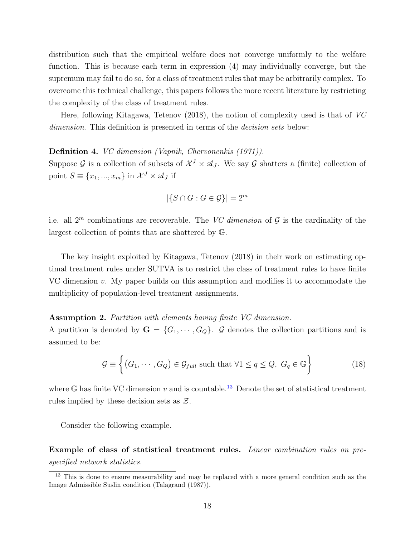distribution such that the empirical welfare does not converge uniformly to the welfare function. This is because each term in expression (4) may individually converge, but the supremum may fail to do so, for a class of treatment rules that may be arbitrarily complex. To overcome this technical challenge, this papers follows the more recent literature by restricting the complexity of the class of treatment rules.

Here, following Kitagawa, Tetenov (2018), the notion of complexity used is that of VC dimension. This definition is presented in terms of the *decision sets* below:

Definition 4. VC dimension (Vapnik, Chervonenkis (1971)).

Suppose G is a collection of subsets of  $\mathcal{X}^J \times \mathcal{A}_J$ . We say G shatters a (finite) collection of point  $S \equiv \{x_1, ..., x_m\}$  in  $\mathcal{X}^J \times \mathcal{A}_J$  if

$$
|\{S \cap G : G \in \mathcal{G}\}| = 2^m
$$

i.e. all  $2^m$  combinations are recoverable. The VC dimension of  $\mathcal G$  is the cardinality of the largest collection of points that are shattered by G.

The key insight exploited by Kitagawa, Tetenov (2018) in their work on estimating optimal treatment rules under SUTVA is to restrict the class of treatment rules to have finite VC dimension  $v$ . My paper builds on this assumption and modifies it to accommodate the multiplicity of population-level treatment assignments.

### Assumption 2. Partition with elements having finite VC dimension.

A partition is denoted by  $\mathbf{G} = \{G_1, \dots, G_Q\}$ . G denotes the collection partitions and is assumed to be:

$$
\mathcal{G} \equiv \left\{ (G_1, \cdots, G_Q) \in \mathcal{G}_{full} \text{ such that } \forall 1 \le q \le Q, \ G_q \in \mathbb{G} \right\}
$$
 (18)

where G has finite VC dimension v and is countable.<sup>[13](#page-17-0)</sup> Denote the set of statistical treatment rules implied by these decision sets as  $\mathcal{Z}$ .

Consider the following example.

Example of class of statistical treatment rules. Linear combination rules on prespecified network statistics.

<span id="page-17-0"></span> $\frac{13}{13}$  This is done to ensure measurability and may be replaced with a more general condition such as the Image Admissible Suslin condition (Talagrand (1987)).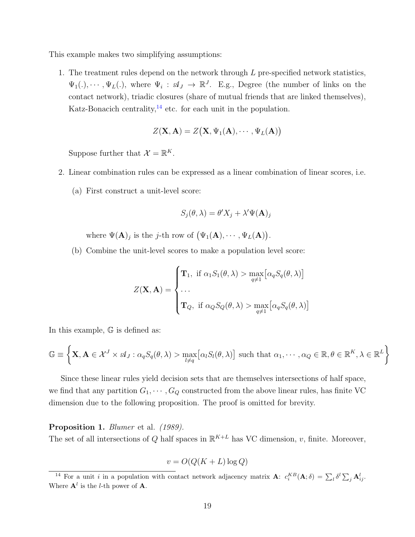This example makes two simplifying assumptions:

1. The treatment rules depend on the network through  $L$  pre-specified network statistics,  $\Psi_1(.),\cdots,\Psi_L(.)$ , where  $\Psi_i$ :  $\mathscr{A}_J \to \mathbb{R}^J$ . E.g., Degree (the number of links on the contact network), triadic closures (share of mutual friends that are linked themselves), Katz-Bonacich centrality, $14$  etc. for each unit in the population.

$$
Z(\mathbf{X}, \mathbf{A}) = Z(\mathbf{X}, \Psi_1(\mathbf{A}), \cdots, \Psi_L(\mathbf{A}))
$$

Suppose further that  $\mathcal{X} = \mathbb{R}^K$ .

- 2. Linear combination rules can be expressed as a linear combination of linear scores, i.e.
	- (a) First construct a unit-level score:

$$
S_j(\theta, \lambda) = \theta' X_j + \lambda' \Psi(\mathbf{A})_j
$$

where  $\Psi(\mathbf{A})_j$  is the j-th row of  $(\Psi_1(\mathbf{A}), \cdots, \Psi_L(\mathbf{A})).$ 

(b) Combine the unit-level scores to make a population level score:

$$
Z(\mathbf{X}, \mathbf{A}) = \begin{cases} \mathbf{T}_1, & \text{if } \alpha_1 S_1(\theta, \lambda) > \max_{q \neq 1} [\alpha_q S_q(\theta, \lambda)] \\ \dots \\ \mathbf{T}_Q, & \text{if } \alpha_Q S_Q(\theta, \lambda) > \max_{q \neq 1} [\alpha_q S_q(\theta, \lambda)] \end{cases}
$$

In this example, G is defined as:

$$
\mathbb{G} \equiv \left\{ \mathbf{X}, \mathbf{A} \in \mathcal{X}^J \times \mathcal{A}_J : \alpha_q S_q(\theta, \lambda) > \max_{l \neq q} \left[ \alpha_l S_l(\theta, \lambda) \right] \text{ such that } \alpha_1, \cdots, \alpha_Q \in \mathbb{R}, \theta \in \mathbb{R}^K, \lambda \in \mathbb{R}^L \right\}
$$

Since these linear rules yield decision sets that are themselves intersections of half space, we find that any partition  $G_1, \dots, G_Q$  constructed from the above linear rules, has finite VC dimension due to the following proposition. The proof is omitted for brevity.

### Proposition 1. Blumer et al. (1989).

The set of all intersections of Q half spaces in  $\mathbb{R}^{K+L}$  has VC dimension, v, finite. Moreover,

$$
v = O(Q(K + L)\log Q)
$$

<span id="page-18-0"></span><sup>&</sup>lt;sup>14</sup> For a unit *i* in a population with contact network adjacency matrix **A**:  $c_i^{KB}(\mathbf{A};\delta) = \sum_i \delta^i \sum_j \mathbf{A}_{ij}^l$ . Where  $\mathbf{A}^l$  is the *l*-th power of **A**.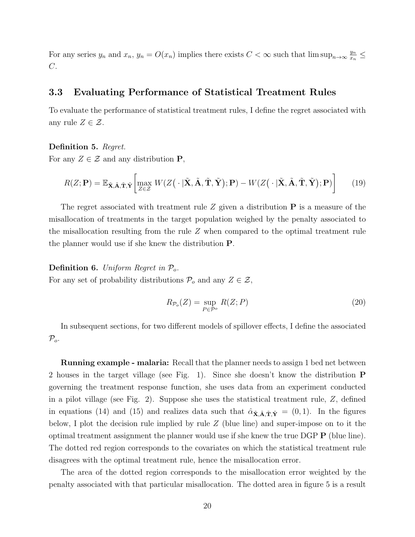For any series  $y_n$  and  $x_n$ ,  $y_n = O(x_n)$  implies there exists  $C < \infty$  such that  $\limsup_{n\to\infty} \frac{y_n}{x_n}$  $\frac{y_n}{x_n} \leq$  $C$ .

### 3.3 Evaluating Performance of Statistical Treatment Rules

To evaluate the performance of statistical treatment rules, I define the regret associated with any rule  $Z \in \mathcal{Z}$ .

Definition 5. Regret.

For any  $Z \in \mathcal{Z}$  and any distribution **P**,

$$
R(Z; \mathbf{P}) = \mathbb{E}_{\tilde{\mathbf{X}}, \tilde{\mathbf{A}}, \tilde{\mathbf{T}}, \tilde{\mathbf{Y}}}\left[\max_{Z \in \mathcal{Z}} W(Z(\cdot | \tilde{\mathbf{X}}, \tilde{\mathbf{A}}, \tilde{\mathbf{T}}, \tilde{\mathbf{Y}}); \mathbf{P}) - W(Z(\cdot | \tilde{\mathbf{X}}, \tilde{\mathbf{A}}, \tilde{\mathbf{T}}, \tilde{\mathbf{Y}}); \mathbf{P})\right]
$$
(19)

The regret associated with treatment rule  $Z$  given a distribution  $P$  is a measure of the misallocation of treatments in the target population weighed by the penalty associated to the misallocation resulting from the rule Z when compared to the optimal treatment rule the planner would use if she knew the distribution P.

**Definition 6.** Uniform Regret in  $P<sub>o</sub>$ .

For any set of probability distributions  $\mathcal{P}_o$  and any  $Z \in \mathcal{Z}$ ,

$$
R_{\mathcal{P}_o}(Z) = \sup_{P \in \mathcal{P}^o} R(Z; P) \tag{20}
$$

In subsequent sections, for two different models of spillover effects, I define the associated  $\mathcal{P}_o$ .

Running example - malaria: Recall that the planner needs to assign 1 bed net between 2 houses in the target village (see Fig. 1). Since she doesn't know the distribution P governing the treatment response function, she uses data from an experiment conducted in a pilot village (see Fig. 2). Suppose she uses the statistical treatment rule, Z, defined in equations (14) and (15) and realizes data such that  $\hat{\alpha}_{\mathbf{\tilde{X}},\tilde{\mathbf{A}},\tilde{\mathbf{T}},\tilde{\mathbf{Y}}}=(0,1)$ . In the figures below, I plot the decision rule implied by rule  $Z$  (blue line) and super-impose on to it the optimal treatment assignment the planner would use if she knew the true DGP P (blue line). The dotted red region corresponds to the covariates on which the statistical treatment rule disagrees with the optimal treatment rule, hence the misallocation error.

The area of the dotted region corresponds to the misallocation error weighted by the penalty associated with that particular misallocation. The dotted area in figure 5 is a result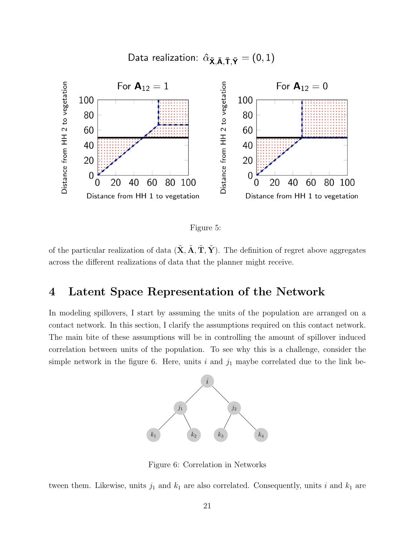Data realization:  $\hat{\alpha}_{\tilde{\mathbf{X}}, \tilde{\mathbf{A}}, \tilde{\mathbf{T}}, \tilde{\mathbf{Y}}} = (0, 1)$ 





of the particular realization of data  $(\tilde{\mathbf{X}}, \tilde{\mathbf{A}}, \tilde{\mathbf{T}}, \tilde{\mathbf{Y}})$ . The definition of regret above aggregates across the different realizations of data that the planner might receive.

## 4 Latent Space Representation of the Network

In modeling spillovers, I start by assuming the units of the population are arranged on a contact network. In this section, I clarify the assumptions required on this contact network. The main bite of these assumptions will be in controlling the amount of spillover induced correlation between units of the population. To see why this is a challenge, consider the simple network in the figure 6. Here, units  $i$  and  $j_1$  maybe correlated due to the link be-



Figure 6: Correlation in Networks

tween them. Likewise, units  $j_1$  and  $k_1$  are also correlated. Consequently, units i and  $k_1$  are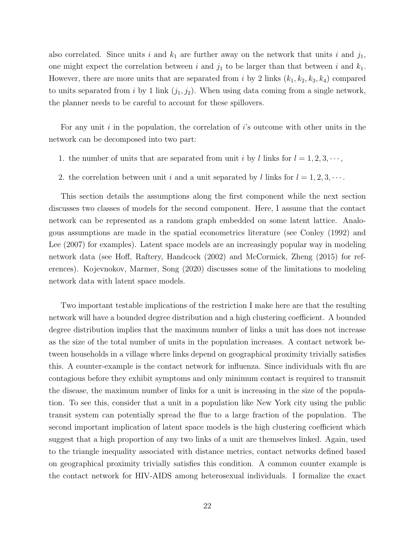also correlated. Since units i and  $k_1$  are further away on the network that units i and  $j_1$ , one might expect the correlation between i and  $j_1$  to be larger than that between i and  $k_1$ . However, there are more units that are separated from i by 2 links  $(k_1, k_2, k_3, k_4)$  compared to units separated from i by 1 link  $(j_1, j_2)$ . When using data coming from a single network, the planner needs to be careful to account for these spillovers.

For any unit  $i$  in the population, the correlation of  $i$ 's outcome with other units in the network can be decomposed into two part:

- 1. the number of units that are separated from unit i by l links for  $l = 1, 2, 3, \dots$ ,
- 2. the correlation between unit i and a unit separated by l links for  $l = 1, 2, 3, \cdots$ .

This section details the assumptions along the first component while the next section discusses two classes of models for the second component. Here, I assume that the contact network can be represented as a random graph embedded on some latent lattice. Analogous assumptions are made in the spatial econometrics literature (see Conley (1992) and Lee (2007) for examples). Latent space models are an increasingly popular way in modeling network data (see Hoff, Raftery, Handcock (2002) and McCormick, Zheng (2015) for references). Kojevnokov, Marmer, Song (2020) discusses some of the limitations to modeling network data with latent space models.

Two important testable implications of the restriction I make here are that the resulting network will have a bounded degree distribution and a high clustering coefficient. A bounded degree distribution implies that the maximum number of links a unit has does not increase as the size of the total number of units in the population increases. A contact network between households in a village where links depend on geographical proximity trivially satisfies this. A counter-example is the contact network for influenza. Since individuals with flu are contagious before they exhibit symptoms and only minimum contact is required to transmit the disease, the maximum number of links for a unit is increasing in the size of the population. To see this, consider that a unit in a population like New York city using the public transit system can potentially spread the flue to a large fraction of the population. The second important implication of latent space models is the high clustering coefficient which suggest that a high proportion of any two links of a unit are themselves linked. Again, used to the triangle inequality associated with distance metrics, contact networks defined based on geographical proximity trivially satisfies this condition. A common counter example is the contact network for HIV-AIDS among heterosexual individuals. I formalize the exact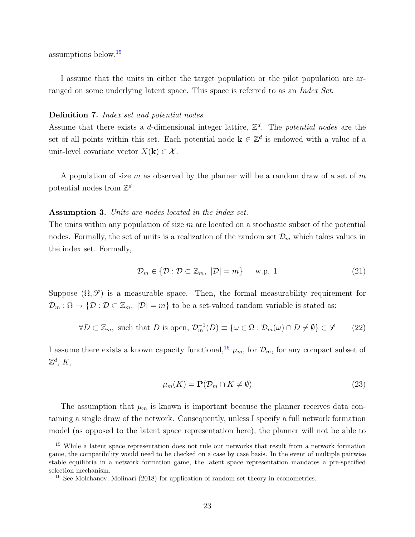assumptions below.[15](#page-22-0)

I assume that the units in either the target population or the pilot population are arranged on some underlying latent space. This space is referred to as an *Index Set*.

### Definition 7. Index set and potential nodes.

Assume that there exists a d-dimensional integer lattice,  $\mathbb{Z}^d$ . The potential nodes are the set of all points within this set. Each potential node  $\mathbf{k} \in \mathbb{Z}^d$  is endowed with a value of a unit-level covariate vector  $X(\mathbf{k}) \in \mathcal{X}$ .

A population of size m as observed by the planner will be a random draw of a set of m potential nodes from  $\mathbb{Z}^d$ .

### Assumption 3. Units are nodes located in the index set.

The units within any population of size  $m$  are located on a stochastic subset of the potential nodes. Formally, the set of units is a realization of the random set  $\mathcal{D}_m$  which takes values in the index set. Formally,

$$
\mathcal{D}_m \in \{ \mathcal{D} : \mathcal{D} \subset \mathbb{Z}_m, \ |\mathcal{D}| = m \} \qquad \text{w.p. 1} \tag{21}
$$

Suppose  $(\Omega, \mathcal{S})$  is a measurable space. Then, the formal measurability requirement for  $\mathcal{D}_m : \Omega \to \{ \mathcal{D} : \mathcal{D} \subset \mathbb{Z}_m, |\mathcal{D}| = m \}$  to be a set-valued random variable is stated as:

$$
\forall D \subset \mathbb{Z}_m, \text{ such that } D \text{ is open, } \mathcal{D}_m^{-1}(D) \equiv \{ \omega \in \Omega : \mathcal{D}_m(\omega) \cap D \neq \emptyset \} \in \mathcal{S} \tag{22}
$$

I assume there exists a known capacity functional,<sup>[16](#page-22-1)</sup>  $\mu_m$ , for  $\mathcal{D}_m$ , for any compact subset of  $\mathbb{Z}^d$ , K,

$$
\mu_m(K) = \mathbf{P}(\mathcal{D}_m \cap K \neq \emptyset) \tag{23}
$$

The assumption that  $\mu_m$  is known is important because the planner receives data containing a single draw of the network. Consequently, unless I specify a full network formation model (as opposed to the latent space representation here), the planner will not be able to

<span id="page-22-0"></span><sup>15</sup> While a latent space representation does not rule out networks that result from a network formation game, the compatibility would need to be checked on a case by case basis. In the event of multiple pairwise stable equilibria in a network formation game, the latent space representation mandates a pre-specified selection mechanism.

<span id="page-22-1"></span><sup>&</sup>lt;sup>16</sup> See Molchanov, Molinari (2018) for application of random set theory in econometrics.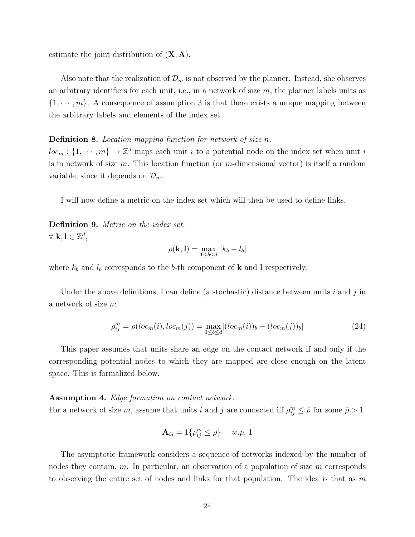estimate the joint distribution of  $(X, A)$ .

Also note that the realization of  $\mathcal{D}_m$  is not observed by the planner. Instead, she observes an arbitrary identifiers for each unit, i.e., in a network of size  $m$ , the planner labels units as  $\{1, \dots, m\}$ . A consequence of assumption 3 is that there exists a unique mapping between the arbitrary labels and elements of the index set.

### Definition 8. Location mapping function for network of size n.

 $loc_m: \{1, \dots, m\} \mapsto \mathbb{Z}^d$  maps each unit i to a potential node on the index set when unit i is in network of size  $m$ . This location function (or  $m$ -dimensional vector) is itself a random variable, since it depends on  $\mathcal{D}_m$ .

I will now define a metric on the index set which will then be used to define links.

Definition 9. Metric on the index set.  $\forall k, l \in \mathbb{Z}^d$ ,

$$
\rho(\mathbf{k},\mathbf{l})=\max_{1\leq b\leq d}\,|k_b-l_b|
$$

where  $k_b$  and  $l_b$  corresponds to the b-th component of **k** and **l** respectively.

Under the above definitions, I can define (a stochastic) distance between units i and j in a network of size n:

$$
\rho_{ij}^{m} = \rho(loc_m(i), loc_m(j)) = \max_{1 \le b \le d} |(loc_m(i))_b - (loc_m(j))_b|
$$
\n(24)

This paper assumes that units share an edge on the contact network if and only if the corresponding potential nodes to which they are mapped are close enough on the latent space. This is formalized below.

### Assumption 4. Edge formation on contact network.

For a network of size m, assume that units i and j are connected iff  $\rho_{ij}^m \leq \bar{\rho}$  for some  $\bar{\rho} > 1$ .

$$
\mathbf{A}_{ij} = 1\{\rho_{ij}^m \leq \bar{\rho}\} \quad w.p. 1
$$

The asymptotic framework considers a sequence of networks indexed by the number of nodes they contain,  $m$ . In particular, an observation of a population of size  $m$  corresponds to observing the entire set of nodes and links for that population. The idea is that as  $m$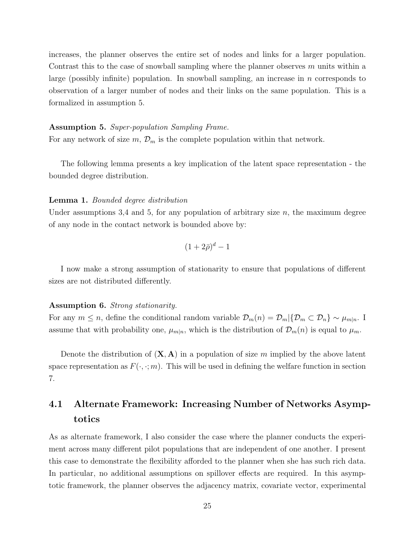increases, the planner observes the entire set of nodes and links for a larger population. Contrast this to the case of snowball sampling where the planner observes  $m$  units within a large (possibly infinite) population. In snowball sampling, an increase in  $n$  corresponds to observation of a larger number of nodes and their links on the same population. This is a formalized in assumption 5.

#### Assumption 5. Super-population Sampling Frame.

For any network of size  $m, \mathcal{D}_m$  is the complete population within that network.

The following lemma presents a key implication of the latent space representation - the bounded degree distribution.

### Lemma 1. Bounded degree distribution

Under assumptions 3,4 and 5, for any population of arbitrary size  $n$ , the maximum degree of any node in the contact network is bounded above by:

$$
(1+2\bar{\rho})^d-1
$$

I now make a strong assumption of stationarity to ensure that populations of different sizes are not distributed differently.

### Assumption 6. Strong stationarity.

For any  $m \leq n$ , define the conditional random variable  $\mathcal{D}_m(n) = \mathcal{D}_m \setminus \{ \mathcal{D}_m \subset \mathcal{D}_n \} \sim \mu_{m|n}$ . assume that with probability one,  $\mu_{m|n}$ , which is the distribution of  $\mathcal{D}_m(n)$  is equal to  $\mu_m$ .

Denote the distribution of  $(X, A)$  in a population of size m implied by the above latent space representation as  $F(\cdot, \cdot; m)$ . This will be used in defining the welfare function in section 7.

# 4.1 Alternate Framework: Increasing Number of Networks Asymptotics

As as alternate framework, I also consider the case where the planner conducts the experiment across many different pilot populations that are independent of one another. I present this case to demonstrate the flexibility afforded to the planner when she has such rich data. In particular, no additional assumptions on spillover effects are required. In this asymptotic framework, the planner observes the adjacency matrix, covariate vector, experimental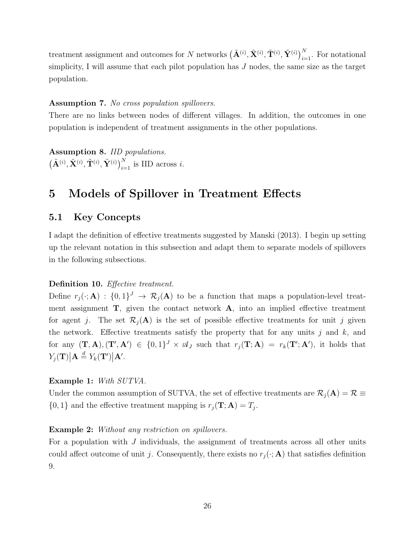treatment assignment and outcomes for N networks  $(\tilde{A}^{(i)}, \tilde{X}^{(i)}, \tilde{T}^{(i)}, \tilde{Y}^{(i)})_{i=1}^N$ . For notational simplicity, I will assume that each pilot population has  $J$  nodes, the same size as the target population.

### Assumption 7. No cross population spillovers.

There are no links between nodes of different villages. In addition, the outcomes in one population is independent of treatment assignments in the other populations.

Assumption 8. IID populations.  $\left(\tilde{\mathbf{A}}^{(i)}, \tilde{\mathbf{X}}^{(i)}, \tilde{\mathbf{T}}^{(i)}, \tilde{\mathbf{Y}}^{(i)}\right)_{i=1}^{N}$  is IID across *i*.

# 5 Models of Spillover in Treatment Effects

### 5.1 Key Concepts

I adapt the definition of effective treatments suggested by Manski (2013). I begin up setting up the relevant notation in this subsection and adapt them to separate models of spillovers in the following subsections.

### Definition 10. Effective treatment.

Define  $r_j(\cdot; A) : \{0,1\}^J \to \mathcal{R}_j(A)$  to be a function that maps a population-level treatment assignment  $T$ , given the contact network  $A$ , into an implied effective treatment for agent j. The set  $\mathcal{R}_i(A)$  is the set of possible effective treatments for unit j given the network. Effective treatments satisfy the property that for any units  $j$  and  $k$ , and for any  $(\mathbf{T}, \mathbf{A}), (\mathbf{T}', \mathbf{A}') \in \{0,1\}^J \times \mathcal{A}_J$  such that  $r_j(\mathbf{T}; \mathbf{A}) = r_k(\mathbf{T}'; \mathbf{A}'),$  it holds that  $Y_j(\mathbf{T})\big|\mathbf{A}\stackrel{d}{=}Y_k(\mathbf{T}')\big|\mathbf{A}'.$ 

### Example 1: With SUTVA.

Under the common assumption of SUTVA, the set of effective treatments are  $\mathcal{R}_j(A) = \mathcal{R} \equiv$  $\{0,1\}$  and the effective treatment mapping is  $r_j(\mathbf{T}; \mathbf{A}) = T_j$ .

### Example 2: Without any restriction on spillovers.

For a population with  $J$  individuals, the assignment of treatments across all other units could affect outcome of unit j. Consequently, there exists no  $r_j(\cdot; A)$  that satisfies definition 9.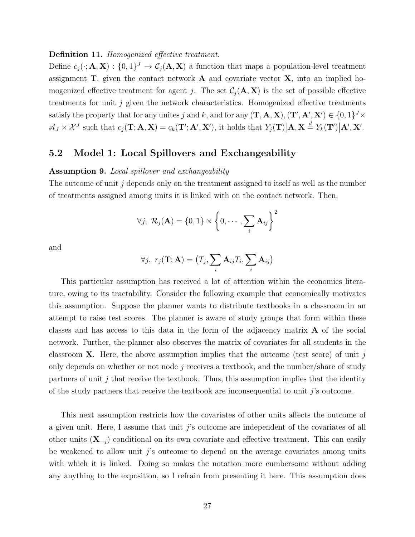Definition 11. Homogenized effective treatment.

Define  $c_j(\cdot; A, X) : \{0,1\}^J \to C_j(A, X)$  a function that maps a population-level treatment assignment  $\mathbf{T}$ , given the contact network  $\mathbf{A}$  and covariate vector  $\mathbf{X}$ , into an implied homogenized effective treatment for agent j. The set  $C_i(\mathbf{A}, \mathbf{X})$  is the set of possible effective treatments for unit  $j$  given the network characteristics. Homogenized effective treatments satisfy the property that for any unites j and k, and for any  $(\mathbf{T}, \mathbf{A}, \mathbf{X}), (\mathbf{T}', \mathbf{A}', \mathbf{X}') \in \{0, 1\}^J \times$  $\mathcal{A}_J \times \mathcal{X}^J$  such that  $c_j(\mathbf{T}; \mathbf{A}, \mathbf{X}) = c_k(\mathbf{T}'; \mathbf{A}', \mathbf{X}'),$  it holds that  $Y_j(\mathbf{T}) | \mathbf{A}, \mathbf{X} \stackrel{d}{=} Y_k(\mathbf{T}') | \mathbf{A}', \mathbf{X}'.$ 

### 5.2 Model 1: Local Spillovers and Exchangeability

### Assumption 9. Local spillover and exchangeability

The outcome of unit j depends only on the treatment assigned to itself as well as the number of treatments assigned among units it is linked with on the contact network. Then,

$$
\forall j, \ \mathcal{R}_j(\mathbf{A}) = \{0,1\} \times \left\{0,\cdots,\sum_i \mathbf{A}_{ij}\right\}^2
$$

and

$$
\forall j, \ r_j(\mathbf{T}; \mathbf{A}) = (T_j, \sum_i \mathbf{A}_{ij} T_i, \sum_i \mathbf{A}_{ij})
$$

This particular assumption has received a lot of attention within the economics literature, owing to its tractability. Consider the following example that economically motivates this assumption. Suppose the planner wants to distribute textbooks in a classroom in an attempt to raise test scores. The planner is aware of study groups that form within these classes and has access to this data in the form of the adjacency matrix A of the social network. Further, the planner also observes the matrix of covariates for all students in the classroom **X**. Here, the above assumption implies that the outcome (test score) of unit j only depends on whether or not node j receives a textbook, and the number/share of study partners of unit  $j$  that receive the textbook. Thus, this assumption implies that the identity of the study partners that receive the textbook are inconsequential to unit j's outcome.

This next assumption restricts how the covariates of other units affects the outcome of a given unit. Here, I assume that unit  $\hat{\jmath}$  s outcome are independent of the covariates of all other units  $(X_{-j})$  conditional on its own covariate and effective treatment. This can easily be weakened to allow unit  $j$ 's outcome to depend on the average covariates among units with which it is linked. Doing so makes the notation more cumbersome without adding any anything to the exposition, so I refrain from presenting it here. This assumption does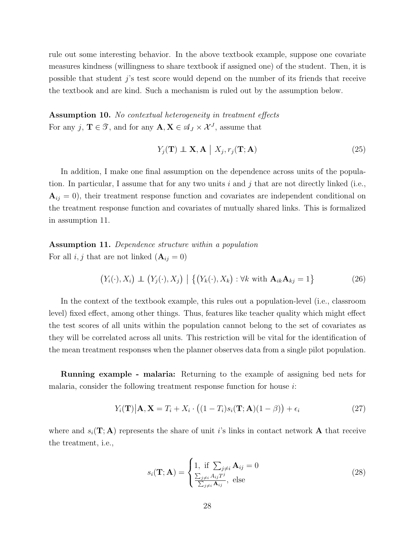rule out some interesting behavior. In the above textbook example, suppose one covariate measures kindness (willingness to share textbook if assigned one) of the student. Then, it is possible that student j's test score would depend on the number of its friends that receive the textbook and are kind. Such a mechanism is ruled out by the assumption below.

Assumption 10. No contextual heterogeneity in treatment effects For any j,  $\mathbf{T} \in \mathcal{T}$ , and for any  $\mathbf{A}, \mathbf{X} \in \mathcal{A}_J \times \mathcal{X}^J$ , assume that

$$
Y_j(\mathbf{T}) \perp \mathbf{X}, \mathbf{A} \mid X_j, r_j(\mathbf{T}; \mathbf{A}) \tag{25}
$$

In addition, I make one final assumption on the dependence across units of the population. In particular, I assume that for any two units i and j that are not directly linked (i.e.,  $A_{ij} = 0$ , their treatment response function and covariates are independent conditional on the treatment response function and covariates of mutually shared links. This is formalized in assumption 11.

Assumption 11. Dependence structure within a population For all  $i, j$  that are not linked  $(\mathbf{A}_{ij} = 0)$ 

$$
(Y_i(\cdot), X_i) \perp (Y_j(\cdot), X_j) | \{ (Y_k(\cdot), X_k) : \forall k \text{ with } \mathbf{A}_{ik} \mathbf{A}_{kj} = 1 \}
$$
 (26)

In the context of the textbook example, this rules out a population-level (i.e., classroom level) fixed effect, among other things. Thus, features like teacher quality which might effect the test scores of all units within the population cannot belong to the set of covariates as they will be correlated across all units. This restriction will be vital for the identification of the mean treatment responses when the planner observes data from a single pilot population.

Running example - malaria: Returning to the example of assigning bed nets for malaria, consider the following treatment response function for house  $i$ :

$$
Y_i(\mathbf{T})|\mathbf{A}, \mathbf{X} = T_i + X_i \cdot ((1 - T_i)s_i(\mathbf{T}; \mathbf{A})(1 - \beta)) + \epsilon_i
$$
\n(27)

where and  $s_i(\mathbf{T}; \mathbf{A})$  represents the share of unit is links in contact network A that receive the treatment, i.e.,

$$
s_i(\mathbf{T}; \mathbf{A}) = \begin{cases} 1, & \text{if } \sum_{j \neq i} \mathbf{A}_{ij} = 0 \\ \frac{\sum_{j \neq i} A_{ij} T^j}{\sum_{j \neq i} \mathbf{A}_{ij}}, & \text{else} \end{cases}
$$
(28)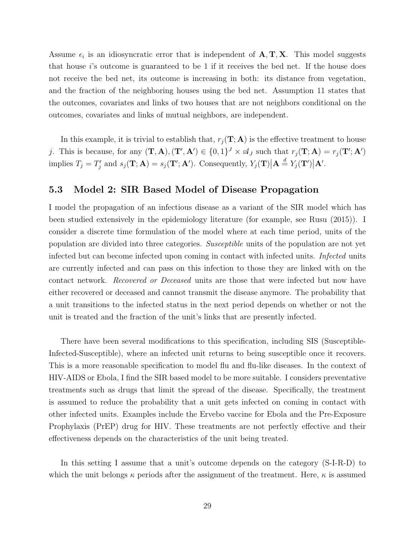Assume  $\epsilon_i$  is an idiosyncratic error that is independent of  $\mathbf{A}, \mathbf{T}, \mathbf{X}$ . This model suggests that house  $i$ 's outcome is guaranteed to be 1 if it receives the bed net. If the house does not receive the bed net, its outcome is increasing in both: its distance from vegetation, and the fraction of the neighboring houses using the bed net. Assumption 11 states that the outcomes, covariates and links of two houses that are not neighbors conditional on the outcomes, covariates and links of mutual neighbors, are independent.

In this example, it is trivial to establish that,  $r_j(\mathbf{T}; \mathbf{A})$  is the effective treatment to house j. This is because, for any  $(\mathbf{T}, \mathbf{A}), (\mathbf{T}', \mathbf{A}') \in \{0, 1\}^J \times \mathcal{A}_J$  such that  $r_j(\mathbf{T}; \mathbf{A}) = r_j(\mathbf{T}'; \mathbf{A}')$ implies  $T_j = T'_j$  and  $s_j(\mathbf{T}; \mathbf{A}) = s_j(\mathbf{T}'; \mathbf{A}')$ . Consequently,  $Y_j(\mathbf{T}) \Big| \mathbf{A} \stackrel{d}{=} Y_j(\mathbf{T}') \Big| \mathbf{A}'$ .

### 5.3 Model 2: SIR Based Model of Disease Propagation

I model the propagation of an infectious disease as a variant of the SIR model which has been studied extensively in the epidemiology literature (for example, see Rusu (2015)). I consider a discrete time formulation of the model where at each time period, units of the population are divided into three categories. Susceptible units of the population are not yet infected but can become infected upon coming in contact with infected units. Infected units are currently infected and can pass on this infection to those they are linked with on the contact network. Recovered or Deceased units are those that were infected but now have either recovered or deceased and cannot transmit the disease anymore. The probability that a unit transitions to the infected status in the next period depends on whether or not the unit is treated and the fraction of the unit's links that are presently infected.

There have been several modifications to this specification, including SIS (Susceptible-Infected-Susceptible), where an infected unit returns to being susceptible once it recovers. This is a more reasonable specification to model flu and flu-like diseases. In the context of HIV-AIDS or Ebola, I find the SIR based model to be more suitable. I considers preventative treatments such as drugs that limit the spread of the disease. Specifically, the treatment is assumed to reduce the probability that a unit gets infected on coming in contact with other infected units. Examples include the Ervebo vaccine for Ebola and the Pre-Exposure Prophylaxis (PrEP) drug for HIV. These treatments are not perfectly effective and their effectiveness depends on the characteristics of the unit being treated.

In this setting I assume that a unit's outcome depends on the category (S-I-R-D) to which the unit belongs  $\kappa$  periods after the assignment of the treatment. Here,  $\kappa$  is assumed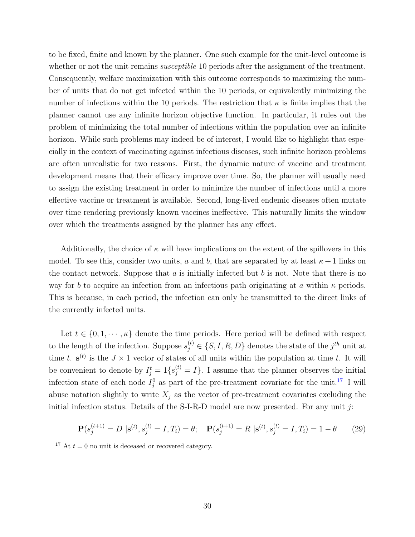to be fixed, finite and known by the planner. One such example for the unit-level outcome is whether or not the unit remains *susceptible* 10 periods after the assignment of the treatment. Consequently, welfare maximization with this outcome corresponds to maximizing the number of units that do not get infected within the 10 periods, or equivalently minimizing the number of infections within the 10 periods. The restriction that  $\kappa$  is finite implies that the planner cannot use any infinite horizon objective function. In particular, it rules out the problem of minimizing the total number of infections within the population over an infinite horizon. While such problems may indeed be of interest, I would like to highlight that especially in the context of vaccinating against infectious diseases, such infinite horizon problems are often unrealistic for two reasons. First, the dynamic nature of vaccine and treatment development means that their efficacy improve over time. So, the planner will usually need to assign the existing treatment in order to minimize the number of infections until a more effective vaccine or treatment is available. Second, long-lived endemic diseases often mutate over time rendering previously known vaccines ineffective. This naturally limits the window over which the treatments assigned by the planner has any effect.

Additionally, the choice of  $\kappa$  will have implications on the extent of the spillovers in this model. To see this, consider two units, a and b, that are separated by at least  $\kappa + 1$  links on the contact network. Suppose that  $a$  is initially infected but  $b$  is not. Note that there is no way for b to acquire an infection from an infectious path originating at a within  $\kappa$  periods. This is because, in each period, the infection can only be transmitted to the direct links of the currently infected units.

Let  $t \in \{0, 1, \dots, \kappa\}$  denote the time periods. Here period will be defined with respect to the length of the infection. Suppose  $s_j^{(t)} \in \{S, I, R, D\}$  denotes the state of the  $j^{th}$  unit at time t.  $\mathbf{s}^{(t)}$  is the  $J \times 1$  vector of states of all units within the population at time t. It will be convenient to denote by  $I_j^t = 1\{s_j^{(t)} = I\}$ . I assume that the planner observes the initial infection state of each node  $I_j^0$  as part of the pre-treatment covariate for the unit.<sup>[17](#page-29-0)</sup> I will abuse notation slightly to write  $X_j$  as the vector of pre-treatment covariates excluding the initial infection status. Details of the S-I-R-D model are now presented. For any unit  $j$ :

$$
\mathbf{P}(s_j^{(t+1)} = D \mid \mathbf{s}^{(t)}, s_j^{(t)} = I, T_i) = \theta; \quad \mathbf{P}(s_j^{(t+1)} = R \mid \mathbf{s}^{(t)}, s_j^{(t)} = I, T_i) = 1 - \theta \tag{29}
$$

<span id="page-29-0"></span><sup>&</sup>lt;sup>17</sup> At  $t = 0$  no unit is deceased or recovered category.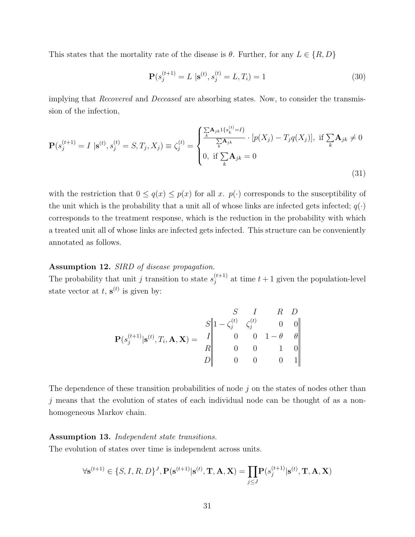This states that the mortality rate of the disease is  $\theta$ . Further, for any  $L \in \{R, D\}$ 

$$
\mathbf{P}(s_j^{(t+1)} = L \mid \mathbf{s}^{(t)}, s_j^{(t)} = L, T_i) = 1
$$
\n(30)

implying that Recovered and Deceased are absorbing states. Now, to consider the transmission of the infection,

$$
\mathbf{P}(s_j^{(t+1)} = I \mid \mathbf{s}^{(t)}, s_j^{(t)} = S, T_j, X_j) \equiv \zeta_j^{(t)} = \begin{cases} \frac{\sum_{k} \mathbf{A}_{jk} 1\{s_k^{(t)} = I\}}{\sum_{k} \mathbf{A}_{jk}} & [p(X_j) - T_j q(X_j)], \text{ if } \sum_{k} \mathbf{A}_{jk} \neq 0\\ 0, \text{ if } \sum_{k} \mathbf{A}_{jk} = 0 \end{cases}
$$
(31)

with the restriction that  $0 \leq q(x) \leq p(x)$  for all x.  $p(\cdot)$  corresponds to the susceptibility of the unit which is the probability that a unit all of whose links are infected gets infected;  $q(\cdot)$ corresponds to the treatment response, which is the reduction in the probability with which a treated unit all of whose links are infected gets infected. This structure can be conveniently annotated as follows.

### Assumption 12. SIRD of disease propagation.

The probability that unit j transition to state  $s_i^{(t+1)}$  $j_j^{(t+1)}$  at time  $t+1$  given the population-level state vector at  $t, s^{(t)}$  is given by:

$$
\mathbf{P}(s_j^{(t+1)} | \mathbf{s}^{(t)}, T_i, \mathbf{A}, \mathbf{X}) = \begin{array}{c|cc} S & I & R & D \\ S & 1 - \zeta_j^{(t)} & \zeta_j^{(t)} & 0 & 0 \\ 0 & 0 & 1 - \theta & \theta \\ R & 0 & 0 & 1 & 0 \\ D & 0 & 0 & 0 & 1 \end{array}
$$

The dependence of these transition probabilities of node  $j$  on the states of nodes other than  $j$  means that the evolution of states of each individual node can be thought of as a nonhomogeneous Markov chain.

#### Assumption 13. Independent state transitions.

The evolution of states over time is independent across units.

$$
\forall \mathbf{s}^{(t+1)} \in \{S, I, R, D\}^J, \mathbf{P}(\mathbf{s}^{(t+1)} | \mathbf{s}^{(t)}, \mathbf{T}, \mathbf{A}, \mathbf{X}) = \prod_{j \le J} \mathbf{P}(s_j^{(t+1)} | \mathbf{s}^{(t)}, \mathbf{T}, \mathbf{A}, \mathbf{X})
$$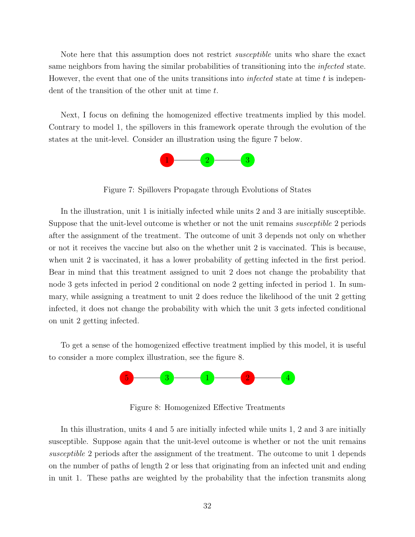Note here that this assumption does not restrict *susceptible* units who share the exact same neighbors from having the similar probabilities of transitioning into the *infected* state. However, the event that one of the units transitions into *infected* state at time t is independent of the transition of the other unit at time t.

Next, I focus on defining the homogenized effective treatments implied by this model. Contrary to model 1, the spillovers in this framework operate through the evolution of the states at the unit-level. Consider an illustration using the figure 7 below.



Figure 7: Spillovers Propagate through Evolutions of States

In the illustration, unit 1 is initially infected while units 2 and 3 are initially susceptible. Suppose that the unit-level outcome is whether or not the unit remains *susceptible* 2 periods after the assignment of the treatment. The outcome of unit 3 depends not only on whether or not it receives the vaccine but also on the whether unit 2 is vaccinated. This is because, when unit 2 is vaccinated, it has a lower probability of getting infected in the first period. Bear in mind that this treatment assigned to unit 2 does not change the probability that node 3 gets infected in period 2 conditional on node 2 getting infected in period 1. In summary, while assigning a treatment to unit 2 does reduce the likelihood of the unit 2 getting infected, it does not change the probability with which the unit 3 gets infected conditional on unit 2 getting infected.

To get a sense of the homogenized effective treatment implied by this model, it is useful to consider a more complex illustration, see the figure 8.



Figure 8: Homogenized Effective Treatments

In this illustration, units 4 and 5 are initially infected while units 1, 2 and 3 are initially susceptible. Suppose again that the unit-level outcome is whether or not the unit remains susceptible 2 periods after the assignment of the treatment. The outcome to unit 1 depends on the number of paths of length 2 or less that originating from an infected unit and ending in unit 1. These paths are weighted by the probability that the infection transmits along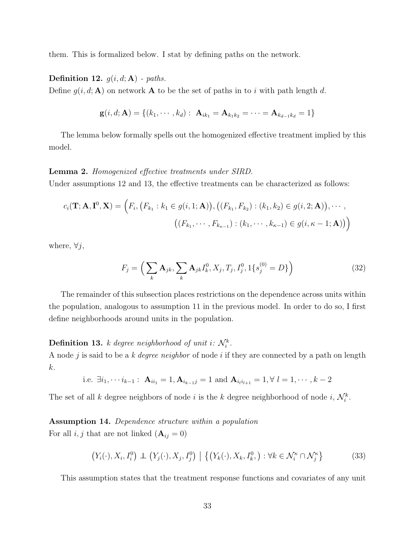them. This is formalized below. I stat by defining paths on the network.

**Definition 12.**  $g(i, d; \mathbf{A})$  - paths.

Define  $g(i, d; A)$  on network A to be the set of paths in to i with path length d.

$$
\mathbf{g}(i, d; \mathbf{A}) = \{ (k_1, \cdots, k_d) : \mathbf{A}_{ik_1} = \mathbf{A}_{k_1 k_2} = \cdots = \mathbf{A}_{k_{d-1} k_d} = 1 \}
$$

The lemma below formally spells out the homogenized effective treatment implied by this model.

#### Lemma 2. Homogenized effective treatments under SIRD.

Under assumptions 12 and 13, the effective treatments can be characterized as follows:

$$
c_i(\mathbf{T}; \mathbf{A}, \mathbf{I}^0, \mathbf{X}) = (F_i, (F_{k_1} : k_1 \in g(i, 1; \mathbf{A})), ((F_{k_1}, F_{k_2}) : (k_1, k_2) \in g(i, 2; \mathbf{A})), \cdots,
$$

$$
((F_{k_1}, \cdots, F_{k_{\kappa-1}}) : (k_1, \cdots, k_{\kappa-1}) \in g(i, \kappa - 1; \mathbf{A})))
$$

where,  $\forall j$ ,

$$
F_j = \left(\sum_k \mathbf{A}_{jk}, \sum_k \mathbf{A}_{jk} I_k^0, X_j, T_j, I_j^0, 1\{s_j^{(0)} = D\}\right)
$$
(32)

The remainder of this subsection places restrictions on the dependence across units within the population, analogous to assumption 11 in the previous model. In order to do so, I first define neighborhoods around units in the population.

## **Definition 13.** k degree neighborhood of unit i:  $\mathcal{N}_i^k$ .

A node j is said to be a k *degree neighbor* of node i if they are connected by a path on length k.

i.e. 
$$
\exists i_1, \dots i_{k-1} : \mathbf{A}_{ii_1} = 1, \mathbf{A}_{i_{k-1}j} = 1
$$
 and  $\mathbf{A}_{i_l i_{l+1}} = 1, \forall l = 1, \dots, k-2$ 

The set of all k degree neighbors of node i is the k degree neighborhood of node i,  $\mathcal{N}_i^k$ .

### Assumption 14. Dependence structure within a population

For all  $i, j$  that are not linked  $(A_{ij} = 0)$ 

$$
(Y_i(\cdot), X_i, I_i^0) \perp (Y_j(\cdot), X_j, I_j^0) \mid \{ (Y_k(\cdot), X_k, I_k^0, ) : \forall k \in \mathcal{N}_i^{\kappa} \cap \mathcal{N}_j^{\kappa} \}
$$
(33)

This assumption states that the treatment response functions and covariates of any unit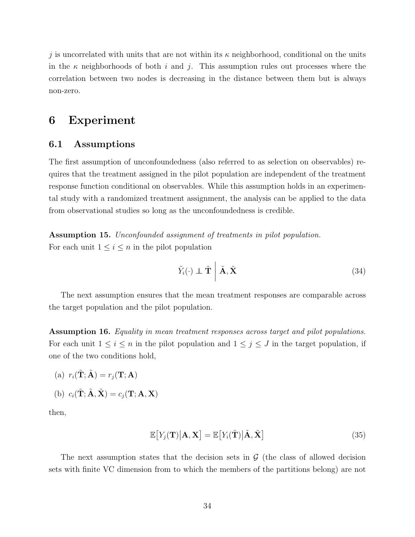j is uncorrelated with units that are not within its  $\kappa$  neighborhood, conditional on the units in the  $\kappa$  neighborhoods of both i and j. This assumption rules out processes where the correlation between two nodes is decreasing in the distance between them but is always non-zero.

## 6 Experiment

### 6.1 Assumptions

The first assumption of unconfoundedness (also referred to as selection on observables) requires that the treatment assigned in the pilot population are independent of the treatment response function conditional on observables. While this assumption holds in an experimental study with a randomized treatment assignment, the analysis can be applied to the data from observational studies so long as the unconfoundedness is credible.

Assumption 15. Unconfounded assignment of treatments in pilot population. For each unit  $1 \leq i \leq n$  in the pilot population

$$
\tilde{Y}_i(\cdot) \perp \tilde{\mathbf{T}} \mid \tilde{\mathbf{A}}, \tilde{\mathbf{X}} \tag{34}
$$

The next assumption ensures that the mean treatment responses are comparable across the target population and the pilot population.

Assumption 16. Equality in mean treatment responses across target and pilot populations. For each unit  $1 \leq i \leq n$  in the pilot population and  $1 \leq j \leq J$  in the target population, if one of the two conditions hold,

- (a)  $r_i(\tilde{\mathbf{T}}; \tilde{\mathbf{A}}) = r_i(\mathbf{T}; \mathbf{A})$
- (b)  $c_i(\tilde{\mathbf{T}}; \tilde{\mathbf{A}}, \tilde{\mathbf{X}}) = c_i(\mathbf{T}; \mathbf{A}, \mathbf{X})$

then,

$$
\mathbb{E}\big[Y_j(\mathbf{T})\big|\mathbf{A},\mathbf{X}\big] = \mathbb{E}\big[Y_i(\tilde{\mathbf{T}})\big|\tilde{\mathbf{A}},\tilde{\mathbf{X}}\big]
$$
(35)

The next assumption states that the decision sets in  $\mathcal G$  (the class of allowed decision sets with finite VC dimension from to which the members of the partitions belong) are not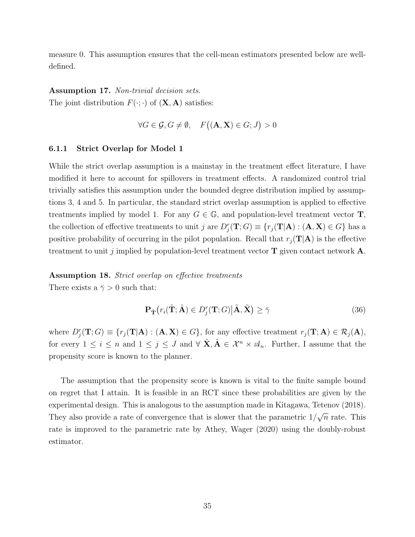measure 0. This assumption ensures that the cell-mean estimators presented below are welldefined.

### Assumption 17. Non-trivial decision sets.

The joint distribution  $F(\cdot;\cdot)$  of  $(\mathbf{X}, \mathbf{A})$  satisfies:

$$
\forall G \in \mathcal{G}, G \neq \emptyset, \quad F((\mathbf{A}, \mathbf{X}) \in G; J) > 0
$$

### 6.1.1 Strict Overlap for Model 1

While the strict overlap assumption is a mainstay in the treatment effect literature, I have modified it here to account for spillovers in treatment effects. A randomized control trial trivially satisfies this assumption under the bounded degree distribution implied by assumptions 3, 4 and 5. In particular, the standard strict overlap assumption is applied to effective treatments implied by model 1. For any  $G \in \mathbb{G}$ , and population-level treatment vector **T**, the collection of effective treatments to unit j are  $D_j^r(\mathbf{T};G) \equiv \{r_j(\mathbf{T}|\mathbf{A}) : (\mathbf{A}, \mathbf{X}) \in G\}$  has a positive probability of occurring in the pilot population. Recall that  $r_i(\mathbf{T}|\mathbf{A})$  is the effective treatment to unit j implied by population-level treatment vector  $\mathbf T$  given contact network  $\mathbf A$ .

# Assumption 18. Strict overlap on effective treatments

There exists a  $\bar{\gamma} > 0$  such that:

$$
\mathbf{P}_{\tilde{\mathbf{T}}}\big(r_i(\tilde{\mathbf{T}};\tilde{\mathbf{A}}) \in D_j^r(\mathbf{T};G) \big|\tilde{\mathbf{A}}, \tilde{\mathbf{X}}\big) \ge \bar{\gamma}
$$
\n(36)

where  $D_j^r(\mathbf{T};G) \equiv \{r_j(\mathbf{T}|\mathbf{A}) : (\mathbf{A}, \mathbf{X}) \in G\}$ , for any effective treatment  $r_j(\mathbf{T};\mathbf{A}) \in \mathcal{R}_j(\mathbf{A})$ , for every  $1 \leq i \leq n$  and  $1 \leq j \leq J$  and  $\forall \tilde{\mathbf{X}}, \tilde{\mathbf{A}} \in \mathcal{X}^n \times \mathcal{A}_n$ . Further, I assume that the propensity score is known to the planner.

The assumption that the propensity score is known is vital to the finite sample bound on regret that I attain. It is feasible in an RCT since these probabilities are given by the experimental design. This is analogous to the assumption made in Kitagawa, Tetenov (2018). They also provide a rate of convergence that is slower that the parametric 1/ √  $\overline{n}$  rate. This rate is improved to the parametric rate by Athey, Wager (2020) using the doubly-robust estimator.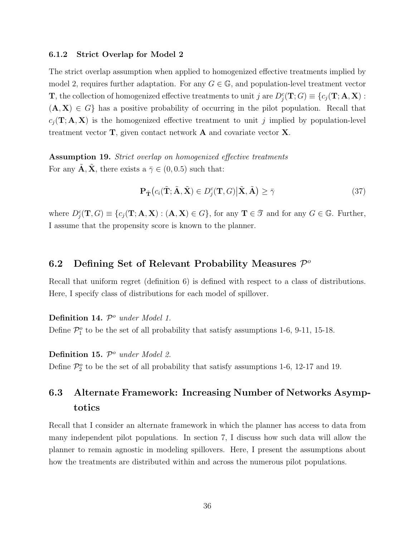### 6.1.2 Strict Overlap for Model 2

The strict overlap assumption when applied to homogenized effective treatments implied by model 2, requires further adaptation. For any  $G \in \mathbb{G}$ , and population-level treatment vector **T**, the collection of homogenized effective treatments to unit j are  $D_j^c(\mathbf{T}; G) \equiv \{c_j(\mathbf{T}; \mathbf{A}, \mathbf{X}) :$  $(A, X) \in G$  has a positive probability of occurring in the pilot population. Recall that  $c_j(T; A, X)$  is the homogenized effective treatment to unit j implied by population-level treatment vector T, given contact network A and covariate vector X.

Assumption 19. Strict overlap on homogenized effective treatments For any  $\ddot{A}$ ,  $\ddot{X}$ , there exists a  $\bar{\gamma} \in (0, 0.5)$  such that:

$$
\mathbf{P}_{\tilde{\mathbf{T}}}\big(c_i(\tilde{\mathbf{T}};\tilde{\mathbf{A}},\tilde{\mathbf{X}})\in D_j^c(\mathbf{T},G)\big|\tilde{\mathbf{X}},\tilde{\mathbf{A}}\big)\geq \bar{\gamma}
$$
\n(37)

where  $D_j^c(\mathbf{T}, G) \equiv \{c_j(\mathbf{T}; \mathbf{A}, \mathbf{X}) : (\mathbf{A}, \mathbf{X}) \in G\}$ , for any  $\mathbf{T} \in \mathcal{T}$  and for any  $G \in \mathbb{G}$ . Further, I assume that the propensity score is known to the planner.

## 6.2 Defining Set of Relevant Probability Measures  $\mathcal{P}^o$

Recall that uniform regret (definition 6) is defined with respect to a class of distributions. Here, I specify class of distributions for each model of spillover.

Definition 14.  $\mathcal{P}^o$  under Model 1.

Define  $\mathcal{P}_1^o$  to be the set of all probability that satisfy assumptions 1-6, 9-11, 15-18.

Definition 15.  $\mathcal{P}^o$  under Model 2.

Define  $\mathcal{P}_2^o$  to be the set of all probability that satisfy assumptions 1-6, 12-17 and 19.

# 6.3 Alternate Framework: Increasing Number of Networks Asymptotics

Recall that I consider an alternate framework in which the planner has access to data from many independent pilot populations. In section 7, I discuss how such data will allow the planner to remain agnostic in modeling spillovers. Here, I present the assumptions about how the treatments are distributed within and across the numerous pilot populations.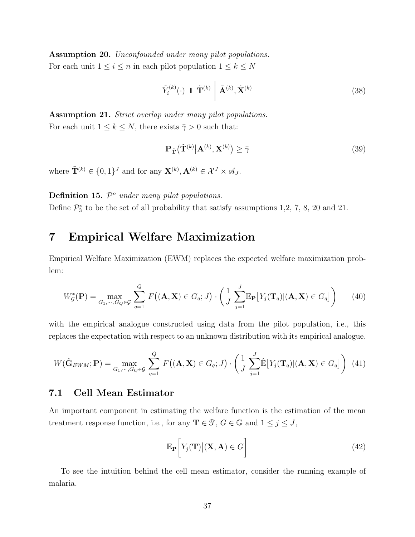Assumption 20. Unconfounded under many pilot populations. For each unit  $1 \leq i \leq n$  in each pilot population  $1 \leq k \leq N$ 

$$
\tilde{Y}_i^{(k)}(\cdot) \perp \tilde{\mathbf{T}}^{(k)} \mid \tilde{\mathbf{A}}^{(k)}, \tilde{\mathbf{X}}^{(k)} \tag{38}
$$

Assumption 21. Strict overlap under many pilot populations. For each unit  $1 \leq k \leq N$ , there exists  $\overline{\gamma} > 0$  such that:

$$
\mathbf{P}_{\tilde{\mathbf{T}}}(\tilde{\mathbf{T}}^{(k)}|\mathbf{A}^{(k)},\mathbf{X}^{(k)})\geq \bar{\gamma}
$$
\n(39)

where  $\tilde{\mathbf{T}}^{(k)} \in \{0,1\}^J$  and for any  $\mathbf{X}^{(k)}$ ,  $\mathbf{A}^{(k)} \in \mathcal{X}^J \times \mathcal{A}_J$ .

#### **Definition 15.**  $\mathcal{P}^{\circ}$  under many pilot populations.

Define  $\mathcal{P}_3^o$  to be the set of all probability that satisfy assumptions 1,2, 7, 8, 20 and 21.

# 7 Empirical Welfare Maximization

Empirical Welfare Maximization (EWM) replaces the expected welfare maximization problem:

$$
W_{\mathcal{G}}^*(\mathbf{P}) = \max_{G_1, \cdots, G_Q \in \mathcal{G}} \sum_{q=1}^Q F\big((\mathbf{A}, \mathbf{X}) \in G_q; J\big) \cdot \left(\frac{1}{J} \sum_{j=1}^J \mathbb{E}_{\mathbf{P}}\big[Y_j(\mathbf{T}_q) | (\mathbf{A}, \mathbf{X}) \in G_q\big]\right) \tag{40}
$$

with the empirical analogue constructed using data from the pilot population, i.e., this replaces the expectation with respect to an unknown distribution with its empirical analogue.

$$
W(\hat{\mathbf{G}}_{EWM}; \mathbf{P}) = \max_{G_1, \cdots, G_Q \in \mathcal{G}} \sum_{q=1}^Q F\big((\mathbf{A}, \mathbf{X}) \in G_q; J\big) \cdot \left(\frac{1}{J} \sum_{j=1}^J \hat{\mathbb{E}}\big[Y_j(\mathbf{T}_q) | (\mathbf{A}, \mathbf{X}) \in G_q\big]\right) (41)
$$

#### 7.1 Cell Mean Estimator

An important component in estimating the welfare function is the estimation of the mean treatment response function, i.e., for any  $\mathbf{T} \in \mathcal{T}, G \in \mathbb{G}$  and  $1 \leq j \leq J$ ,

$$
\mathbb{E}_{\mathbf{P}}\bigg[Y_j(\mathbf{T})\big|(\mathbf{X},\mathbf{A})\in G\bigg]
$$
\n(42)

To see the intuition behind the cell mean estimator, consider the running example of malaria.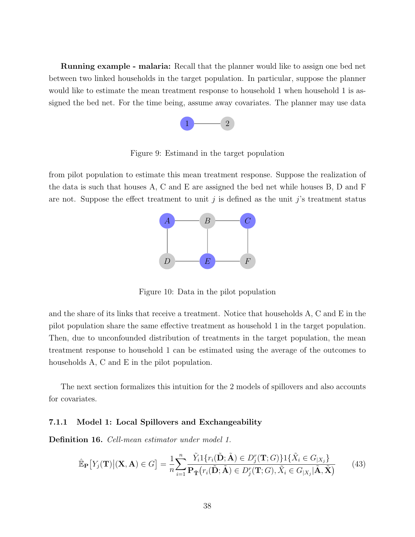Running example - malaria: Recall that the planner would like to assign one bed net between two linked households in the target population. In particular, suppose the planner would like to estimate the mean treatment response to household 1 when household 1 is assigned the bed net. For the time being, assume away covariates. The planner may use data



Figure 9: Estimand in the target population

from pilot population to estimate this mean treatment response. Suppose the realization of the data is such that houses A, C and E are assigned the bed net while houses B, D and F are not. Suppose the effect treatment to unit j is defined as the unit j's treatment status



Figure 10: Data in the pilot population

and the share of its links that receive a treatment. Notice that households A, C and E in the pilot population share the same effective treatment as household 1 in the target population. Then, due to unconfounded distribution of treatments in the target population, the mean treatment response to household 1 can be estimated using the average of the outcomes to households A, C and E in the pilot population.

The next section formalizes this intuition for the 2 models of spillovers and also accounts for covariates.

#### 7.1.1 Model 1: Local Spillovers and Exchangeability

Definition 16. Cell-mean estimator under model 1.

$$
\hat{\mathbb{E}}_{\mathbf{P}}[Y_j(\mathbf{T})|(\mathbf{X}, \mathbf{A}) \in G] = \frac{1}{n} \sum_{i=1}^n \frac{\tilde{Y}_i \mathbf{1}\{r_i(\tilde{\mathbf{D}}; \tilde{\mathbf{A}}) \in D_j^r(\mathbf{T}; G)\} \mathbf{1}\{\tilde{X}_i \in G_{|X_j}\}}{\mathbf{P}_{\tilde{\mathbf{T}}}(r_i(\tilde{\mathbf{D}}; \tilde{\mathbf{A}}) \in D_j^r(\mathbf{T}; G), \tilde{X}_i \in G_{|X_j}|\tilde{\mathbf{A}}, \tilde{\mathbf{X}})}
$$
(43)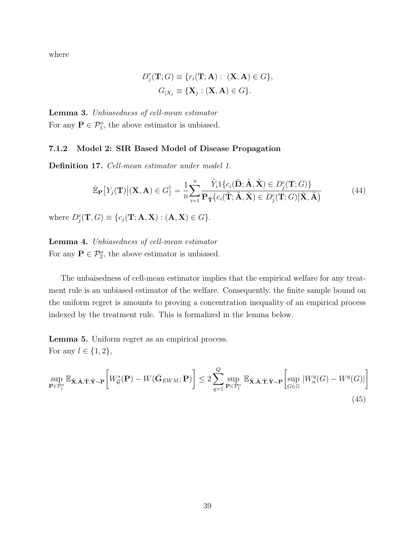where

$$
D_j^r(\mathbf{T}; G) \equiv \{r_i(\mathbf{T}; \mathbf{A}) : (\mathbf{X}, \mathbf{A}) \in G\},
$$

$$
G_{|X_j} \equiv \{\mathbf{X}_j : (\mathbf{X}, \mathbf{A}) \in G\}.
$$

Lemma 3. Unbiasedness of cell-mean estimator For any  $P \in \mathcal{P}_1^o$ , the above estimator is unbiased.

#### 7.1.2 Model 2: SIR Based Model of Disease Propagation

Definition 17. Cell-mean estimator under model 1.

$$
\hat{\mathbb{E}}_{\mathbf{P}}[Y_j(\mathbf{T})|(\mathbf{X}, \mathbf{A}) \in G] = \frac{1}{n} \sum_{i=1}^n \frac{\tilde{Y}_i 1\{c_i(\tilde{\mathbf{D}}; \tilde{\mathbf{A}}, \tilde{\mathbf{X}}) \in D_j^c(\mathbf{T}; G)\}}{\mathbf{P}_{\tilde{\mathbf{T}}}(c_i(\tilde{\mathbf{T}}; \tilde{\mathbf{A}}, \tilde{\mathbf{X}}) \in D_j^c(\mathbf{T}; G)|\tilde{\mathbf{X}}, \tilde{\mathbf{A}})}
$$
(44)

where  $D_j^c(\mathbf{T}, G) \equiv \{c_j(\mathbf{T}; \mathbf{A}, \mathbf{X}) : (\mathbf{A}, \mathbf{X}) \in G\}.$ 

Lemma 4. Unbiasedness of cell-mean estimator For any  $P \in \mathcal{P}_2^o$ , the above estimator is unbiased.

The unbaisedness of cell-mean estimator implies that the empirical welfare for any treatment rule is an unbiased estimator of the welfare. Consequently, the finite sample bound on the uniform regret is amounts to proving a concentration inequality of an empirical process indexed by the treatment rule. This is formalized in the lemma below.

Lemma 5. Uniform regret as an empirical process. For any  $l \in \{1, 2\},\$ 

$$
\sup_{\mathbf{P}\in\mathcal{P}_l^o} \mathbb{E}_{\tilde{\mathbf{X}},\tilde{\mathbf{A}},\tilde{\mathbf{T}},\tilde{\mathbf{Y}}\sim\mathbf{P}} \bigg[W_{\mathcal{G}}^*(\mathbf{P}) - W(\hat{\mathbf{G}}_{EWM};\mathbf{P})\bigg] \le 2 \sum_{q=1}^Q \sup_{\mathbf{P}\in\mathcal{P}_l^o} \mathbb{E}_{\tilde{\mathbf{X}},\tilde{\mathbf{A}},\tilde{\mathbf{T}},\tilde{\mathbf{Y}}\sim\mathbf{P}} \bigg[\sup_{G\in\mathbb{G}} |W_n^q(G) - W^q(G)|\bigg] \tag{45}
$$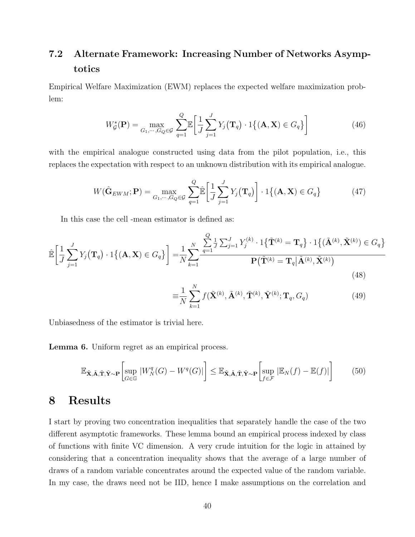# 7.2 Alternate Framework: Increasing Number of Networks Asymptotics

Empirical Welfare Maximization (EWM) replaces the expected welfare maximization problem:

$$
W_{\mathcal{G}}^*(\mathbf{P}) = \max_{G_1, \cdots, G_Q \in \mathcal{G}} \sum_{q=1}^Q \mathbb{E} \left[ \frac{1}{J} \sum_{j=1}^J Y_j(\mathbf{T}_q) \cdot 1 \{ (\mathbf{A}, \mathbf{X}) \in G_q \} \right]
$$
(46)

with the empirical analogue constructed using data from the pilot population, i.e., this replaces the expectation with respect to an unknown distribution with its empirical analogue.

$$
W(\hat{\mathbf{G}}_{EWM}; \mathbf{P}) = \max_{G_1, \cdots, G_Q \in \mathcal{G}} \sum_{q=1}^Q \hat{\mathbb{E}} \left[ \frac{1}{J} \sum_{j=1}^J Y_j(\mathbf{T}_q) \right] \cdot 1 \{ (\mathbf{A}, \mathbf{X}) \in G_q \}
$$
(47)

In this case the cell -mean estimator is defined as:

$$
\hat{\mathbb{E}}\left[\frac{1}{J}\sum_{j=1}^{J}Y_j(\mathbf{T}_q)\cdot 1\{(\mathbf{A}, \mathbf{X}) \in G_q\}\right] = \frac{1}{N}\sum_{k=1}^{N}\frac{\sum_{q=1}^{Q}\frac{1}{J}\sum_{j=1}^{J}Y_j^{(k)}\cdot 1\{\tilde{\mathbf{T}}^{(k)} = \mathbf{T}_q\}\cdot 1\{(\tilde{\mathbf{A}}^{(k)}, \tilde{\mathbf{X}}^{(k)}) \in G_q\}}{\mathbf{P}(\tilde{\mathbf{T}}^{(k)} = \mathbf{T}_q|\tilde{\mathbf{A}}^{(k)}, \tilde{\mathbf{X}}^{(k)})}
$$
\n(48)

$$
\equiv \frac{1}{N} \sum_{k=1}^{N} f(\tilde{\mathbf{X}}^{(k)}, \tilde{\mathbf{A}}^{(k)}, \tilde{\mathbf{T}}^{(k)}, \tilde{\mathbf{Y}}^{(k)}; \mathbf{T}_q, G_q)
$$
(49)

Unbiasedness of the estimator is trivial here.

Lemma 6. Uniform regret as an empirical process.

$$
\mathbb{E}_{\tilde{\mathbf{X}}, \tilde{\mathbf{A}}, \tilde{\mathbf{T}}, \tilde{\mathbf{Y}} \sim \mathbf{P}} \left[ \sup_{G \in \mathbb{G}} |W_N^q(G) - W^q(G)| \right] \le \mathbb{E}_{\tilde{\mathbf{X}}, \tilde{\mathbf{A}}, \tilde{\mathbf{T}}, \tilde{\mathbf{Y}} \sim \mathbf{P}} \left[ \sup_{f \in \mathcal{F}} |\mathbb{E}_N(f) - \mathbb{E}(f)| \right] \tag{50}
$$

## 8 Results

I start by proving two concentration inequalities that separately handle the case of the two different asymptotic frameworks. These lemma bound an empirical process indexed by class of functions with finite VC dimension. A very crude intuition for the logic in attained by considering that a concentration inequality shows that the average of a large number of draws of a random variable concentrates around the expected value of the random variable. In my case, the draws need not be IID, hence I make assumptions on the correlation and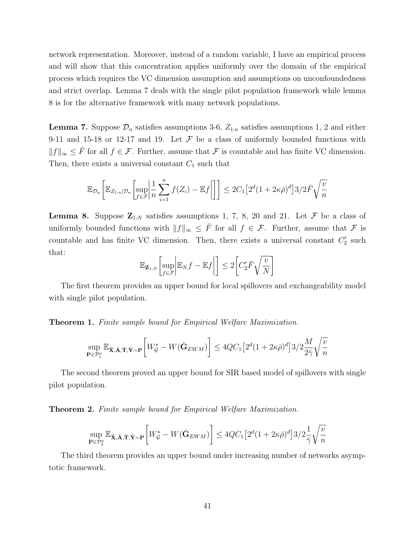network representation. Moreover, instead of a random variable, I have an empirical process and will show that this concentration applies uniformly over the domain of the empirical process which requires the VC dimension assumption and assumptions on unconfoundedness and strict overlap. Lemma 7 deals with the single pilot population framework while lemma 8 is for the alternative framework with many network populations.

**Lemma 7.** Suppose  $\mathcal{D}_n$  satisfies assumptions 3-6,  $Z_{1:n}$  satisfies assumptions 1, 2 and either 9-11 and 15-18 or 12-17 and 19. Let  $\mathcal F$  be a class of uniformly bounded functions with  $||f||_{\infty}$  ≤  $\overline{F}$  for all  $f \in \mathcal{F}$ . Further, assume that  $\mathcal F$  is countable and has finite VC dimension. Then, there exists a universal constant  $C_1$  such that

$$
\mathbb{E}_{\mathcal{D}_n}\bigg[\mathbb{E}_{Z_{1:n}|\mathcal{D}_n}\bigg[\sup_{f\in\mathcal{F}}\bigg|\frac{1}{n}\sum_{i=1}^n f(Z_i)-\mathbb{E}f\bigg|\bigg]\bigg]\leq 2C_1\big[2^d(1+2\kappa\bar{\rho})^d\big]3/2\bar{F}\sqrt{\frac{v}{n}}
$$

**Lemma 8.** Suppose  $\mathbf{Z}_{1:N}$  satisfies assumptions 1, 7, 8, 20 and 21. Let  $\mathcal F$  be a class of uniformly bounded functions with  $||f||_{\infty} \leq \overline{F}$  for all  $f \in \mathcal{F}$ . Further, assume that  $\mathcal F$  is countable and has finite VC dimension. Then, there exists a universal constant  $C_2'$  such that:

$$
\mathbb{E}_{\mathbf{Z}_{1:N}}\bigg[\sup_{f\in\mathcal{F}}\bigg|\mathbb{E}_Nf-\mathbb{E}f\bigg|\bigg]\leq 2\bigg[C_2'\bar{F}\sqrt{\frac{v}{N}}\bigg]
$$

The first theorem provides an upper bound for local spillovers and exchangeability model with single pilot population.

Theorem 1. Finite sample bound for Empirical Welfare Maximization.

$$
\sup_{\mathbf{P}\in\mathcal{P}_1^o}\mathbb{E}_{\tilde{\mathbf{X}},\tilde{\mathbf{A}},\tilde{\mathbf{T}},\tilde{\mathbf{Y}}\sim\mathbf{P}}\bigg[W_{\mathcal{G}}^*-W(\hat{\mathbf{G}}_{EWM})\bigg] \leq 4QC_1\big[2^d(1+2\kappa\bar{\rho})^d\big]3/2\frac{M}{2\bar{\gamma}}\sqrt{\frac{v}{n}}
$$

The second theorem proved an upper bound for SIR based model of spillovers with single pilot population.

**Theorem 2.** Finite sample bound for Empirical Welfare Maximization.

$$
\sup_{\mathbf{P}\in\mathcal{P}_2^o}\mathbb{E}_{\tilde{\mathbf{X}},\tilde{\mathbf{A}},\tilde{\mathbf{T}},\tilde{\mathbf{Y}}\sim\mathbf{P}}\bigg[W_{\mathcal{G}}^*-W(\hat{\mathbf{G}}_{EWM})\bigg] \leq 4QC_1\big[2^d(1+2\kappa\bar{\rho})^d\big]3/2\frac{1}{\bar{\gamma}}\sqrt{\frac{v}{n}}
$$

The third theorem provides an upper bound under increasing number of networks asymptotic framework.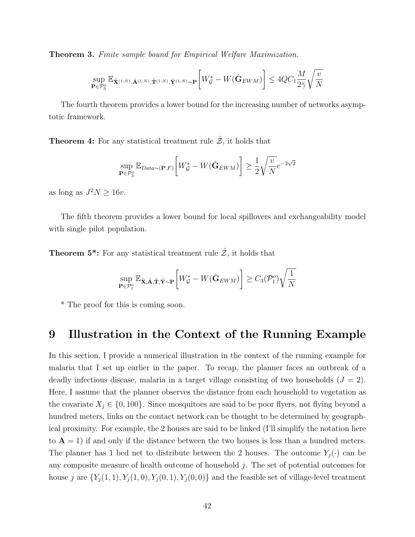**Theorem 3.** Finite sample bound for Empirical Welfare Maximization.

$$
\sup_{\mathbf{P}\in\mathcal{P}_3^o}\mathbb{E}_{\tilde{\mathbf{X}}^{(1:N)},\tilde{\mathbf{A}}^{(1:N)},\tilde{\mathbf{T}}^{(1:N)},\tilde{\mathbf{Y}}^{(1:N)}\sim\mathbf{P}}\bigg[W^*_\mathcal{G}-W(\hat{\mathbf{G}}_{EWM})\bigg]\leq 4QC_1\frac{M}{2\bar{\gamma}}\sqrt{\frac{v}{N}}
$$

The fourth theorem provides a lower bound for the increasing number of networks asymptotic framework.

**Theorem 4:** For any statistical treatment rule  $\hat{z}$ , it holds that

$$
\sup_{\mathbf{P}\in\mathcal{P}_3^o}\mathbb{E}_{Data\sim(\mathbf{P},F)}\bigg[W_{\mathcal{G}}^*-W(\hat{\mathbf{G}}_{EWM})\bigg]\geq\frac{1}{2}\sqrt{\frac{v}{N}}e^{-2\sqrt{2}}
$$

as long as  $J^2N \ge 16v$ .

The fifth theorem provides a lower bound for local spillovers and exchangeability model with single pilot population.

**Theorem 5\*:** For any statistical treatment rule  $\hat{z}$ , it holds that

$$
\sup_{\mathbf{P}\in\mathcal{P}_1^o}\mathbb{E}_{\tilde{\mathbf{X}}, \tilde{\mathbf{A}}, \tilde{\mathbf{T}}, \tilde{\mathbf{Y}}\sim\mathbf{P}}\bigg[W^*_\mathcal{G} - W(\hat{\mathbf{G}}_{EWM})\bigg] \geq C_3(\mathcal{P}_1^o)\sqrt{\frac{1}{N}}
$$

\* The proof for this is coming soon.

### 9 Illustration in the Context of the Running Example

In this section, I provide a numerical illustration in the context of the running example for malaria that I set up earlier in the paper. To recap, the planner faces an outbreak of a deadly infectious disease, malaria in a target village consisting of two households  $(J = 2)$ . Here, I assume that the planner observes the distance from each household to vegetation as the covariate  $X_j \in \{0, 100\}$ . Since mosquitoes are said to be poor flyers, not flying beyond a hundred meters, links on the contact network can be thought to be determined by geographical proximity. For example, the 2 houses are said to be linked (I'll simplify the notation here to  $A = 1$ ) if and only if the distance between the two houses is less than a hundred meters. The planner has 1 bed net to distribute between the 2 houses. The outcome  $Y_j(\cdot)$  can be any composite measure of health outcome of household  $j$ . The set of potential outcomes for house j are  $\{Y_j(1,1), Y_j(1,0), Y_j(0,1), Y_j(0,0)\}\$  and the feasible set of village-level treatment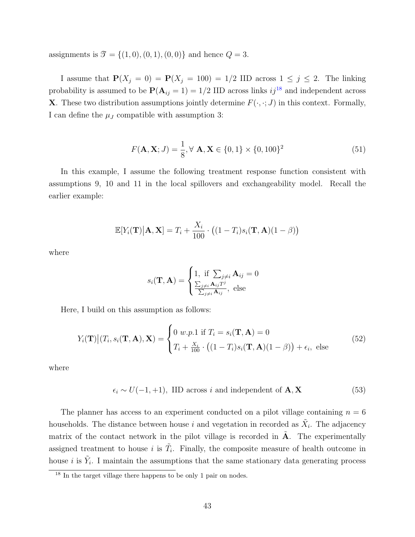assignments is  $\mathcal{T} = \{(1, 0), (0, 1), (0, 0)\}\$  and hence  $Q = 3$ .

I assume that  $\mathbf{P}(X_j = 0) = \mathbf{P}(X_j = 100) = 1/2$  IID across  $1 \leq j \leq 2$ . The linking probability is assumed to be  $P(A_{ij} = 1) = 1/2$  IID across links  $ij^{18}$  $ij^{18}$  $ij^{18}$  and independent across **X**. These two distribution assumptions jointly determine  $F(\cdot, \cdot; J)$  in this context. Formally, I can define the  $\mu_J$  compatible with assumption 3:

$$
F(\mathbf{A}, \mathbf{X}; J) = \frac{1}{8}, \forall \mathbf{A}, \mathbf{X} \in \{0, 1\} \times \{0, 100\}^2
$$
 (51)

In this example, I assume the following treatment response function consistent with assumptions 9, 10 and 11 in the local spillovers and exchangeability model. Recall the earlier example:

$$
\mathbb{E}[Y_i(\mathbf{T})|\mathbf{A}, \mathbf{X}] = T_i + \frac{X_i}{100} \cdot ((1 - T_i)s_i(\mathbf{T}, \mathbf{A})(1 - \beta))
$$

where

$$
s_i(\mathbf{T}, \mathbf{A}) = \begin{cases} 1, & \text{if } \sum_{j \neq i} \mathbf{A}_{ij} = 0 \\ \frac{\sum_{j \neq i} \mathbf{A}_{ij} T^j}{\sum_{j \neq i} \mathbf{A}_{ij}}, & \text{else} \end{cases}
$$

Here, I build on this assumption as follows:

$$
Y_i(\mathbf{T})|(T_i, s_i(\mathbf{T}, \mathbf{A}), \mathbf{X}) = \begin{cases} 0 & \text{if } T_i = s_i(\mathbf{T}, \mathbf{A}) = 0\\ T_i + \frac{X_i}{100} \cdot \left( (1 - T_i)s_i(\mathbf{T}, \mathbf{A})(1 - \beta) \right) + \epsilon_i, \text{ else} \end{cases} \tag{52}
$$

where

$$
\epsilon_i \sim U(-1,+1), \text{ IID across } i \text{ and independent of } \mathbf{A}, \mathbf{X} \tag{53}
$$

The planner has access to an experiment conducted on a pilot village containing  $n = 6$ households. The distance between house i and vegetation in recorded as  $\tilde{X}_i$ . The adjacency matrix of the contact network in the pilot village is recorded in  $\tilde{A}$ . The experimentally assigned treatment to house i is  $\tilde{T}_i$ . Finally, the composite measure of health outcome in house *i* is  $\tilde{Y}_i$ . I maintain the assumptions that the same stationary data generating process

<span id="page-42-0"></span><sup>&</sup>lt;sup>18</sup> In the target village there happens to be only 1 pair on nodes.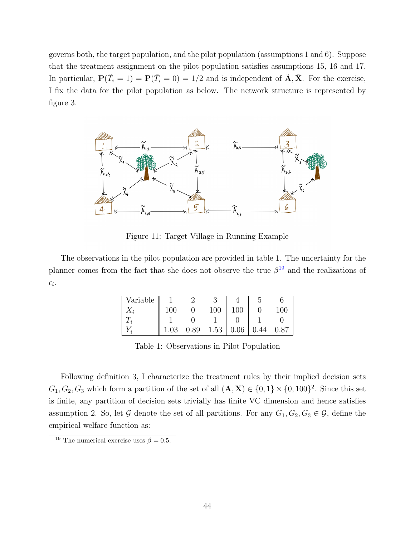governs both, the target population, and the pilot population (assumptions 1 and 6). Suppose that the treatment assignment on the pilot population satisfies assumptions 15, 16 and 17. In particular,  $\mathbf{P}(\tilde{T}_i = 1) = \mathbf{P}(\tilde{T}_i = 0) = 1/2$  and is independent of  $\tilde{\mathbf{A}}, \tilde{\mathbf{X}}$ . For the exercise, I fix the data for the pilot population as below. The network structure is represented by figure 3.



Figure 11: Target Village in Running Example

The observations in the pilot population are provided in table 1. The uncertainty for the planner comes from the fact that she does not observe the true  $\beta^{19}$  $\beta^{19}$  $\beta^{19}$  and the realizations of  $\epsilon_i$ .

| Variable    |         |      |      |         |    |      |
|-------------|---------|------|------|---------|----|------|
| $\Lambda_i$ | $100\,$ |      | 100  | $100\,$ |    | 100  |
|             |         |      |      |         |    |      |
|             | .03     | 0.89 | 1.53 | 0.06    | 44 | 0.87 |

Table 1: Observations in Pilot Population

Following definition 3, I characterize the treatment rules by their implied decision sets  $G_1, G_2, G_3$  which form a partition of the set of all  $(\mathbf{A}, \mathbf{X}) \in \{0, 1\} \times \{0, 100\}^2$ . Since this set is finite, any partition of decision sets trivially has finite VC dimension and hence satisfies assumption 2. So, let G denote the set of all partitions. For any  $G_1, G_2, G_3 \in \mathcal{G}$ , define the empirical welfare function as:

<span id="page-43-0"></span><sup>&</sup>lt;sup>19</sup> The numerical exercise uses  $\beta = 0.5$ .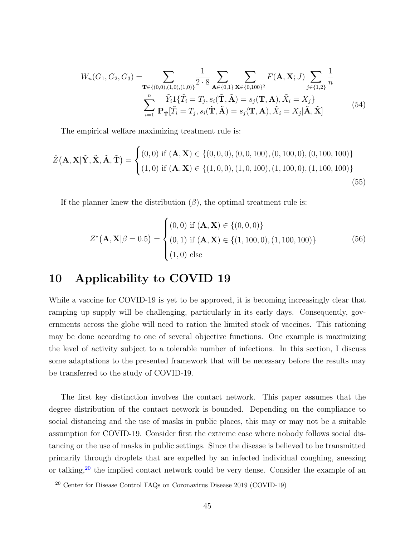$$
W_n(G_1, G_2, G_3) = \sum_{\mathbf{T} \in \{(0,0), (1,0), (1,0)\}} \frac{1}{2 \cdot 8} \sum_{\mathbf{A} \in \{0,1\}} \sum_{\mathbf{X} \in \{0,100\}^2} F(\mathbf{A}, \mathbf{X}; J) \sum_{j \in \{1,2\}} \frac{1}{n}
$$

$$
\sum_{i=1}^n \frac{\tilde{Y}_i \mathbf{1} \{ \tilde{T}_i = T_j, s_i(\tilde{\mathbf{T}}, \tilde{\mathbf{A}}) = s_j(\mathbf{T}, \mathbf{A}), \tilde{X}_i = X_j \}}{\mathbf{P}_{\tilde{\mathbf{T}}} [\tilde{T}_i = T_j, s_i(\tilde{\mathbf{T}}, \tilde{\mathbf{A}}) = s_j(\mathbf{T}, \mathbf{A}), \tilde{X}_i = X_j | \tilde{\mathbf{A}}, \tilde{\mathbf{X}}]} \tag{54}
$$

The empirical welfare maximizing treatment rule is:

$$
\hat{Z}(\mathbf{A}, \mathbf{X} | \tilde{\mathbf{Y}}, \tilde{\mathbf{X}}, \tilde{\mathbf{A}}, \tilde{\mathbf{T}}) = \begin{cases} (0,0) \text{ if } (\mathbf{A}, \mathbf{X}) \in \{ (0,0,0), (0,0,100), (0,100,0), (0,100,100) \} \\ (1,0) \text{ if } (\mathbf{A}, \mathbf{X}) \in \{ (1,0,0), (1,0,100), (1,100,0), (1,100,100) \} \end{cases}
$$
(55)

If the planner knew the distribution  $(\beta)$ , the optimal treatment rule is:

$$
Z^*(\mathbf{A}, \mathbf{X} | \beta = 0.5) = \begin{cases} (0, 0) \text{ if } (\mathbf{A}, \mathbf{X}) \in \{ (0, 0, 0) \} \\ (0, 1) \text{ if } (\mathbf{A}, \mathbf{X}) \in \{ (1, 100, 0), (1, 100, 100) \} \\ (1, 0) \text{ else} \end{cases}
$$
(56)

## 10 Applicability to COVID 19

While a vaccine for COVID-19 is yet to be approved, it is becoming increasingly clear that ramping up supply will be challenging, particularly in its early days. Consequently, governments across the globe will need to ration the limited stock of vaccines. This rationing may be done according to one of several objective functions. One example is maximizing the level of activity subject to a tolerable number of infections. In this section, I discuss some adaptations to the presented framework that will be necessary before the results may be transferred to the study of COVID-19.

The first key distinction involves the contact network. This paper assumes that the degree distribution of the contact network is bounded. Depending on the compliance to social distancing and the use of masks in public places, this may or may not be a suitable assumption for COVID-19. Consider first the extreme case where nobody follows social distancing or the use of masks in public settings. Since the disease is believed to be transmitted primarily through droplets that are expelled by an infected individual coughing, sneezing or talking,<sup>[20](#page-44-0)</sup> the implied contact network could be very dense. Consider the example of an

<span id="page-44-0"></span><sup>20</sup> Center for Disease Control FAQs on Coronavirus Disease 2019 (COVID-19)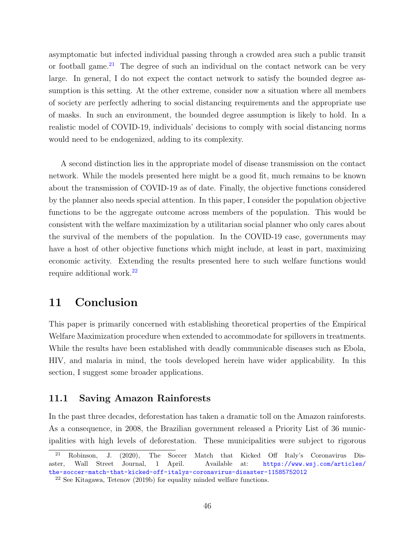asymptomatic but infected individual passing through a crowded area such a public transit or football game.<sup>[21](#page-45-0)</sup> The degree of such an individual on the contact network can be very large. In general, I do not expect the contact network to satisfy the bounded degree assumption is this setting. At the other extreme, consider now a situation where all members of society are perfectly adhering to social distancing requirements and the appropriate use of masks. In such an environment, the bounded degree assumption is likely to hold. In a realistic model of COVID-19, individuals' decisions to comply with social distancing norms would need to be endogenized, adding to its complexity.

A second distinction lies in the appropriate model of disease transmission on the contact network. While the models presented here might be a good fit, much remains to be known about the transmission of COVID-19 as of date. Finally, the objective functions considered by the planner also needs special attention. In this paper, I consider the population objective functions to be the aggregate outcome across members of the population. This would be consistent with the welfare maximization by a utilitarian social planner who only cares about the survival of the members of the population. In the COVID-19 case, governments may have a host of other objective functions which might include, at least in part, maximizing economic activity. Extending the results presented here to such welfare functions would require additional work.[22](#page-45-1)

## 11 Conclusion

This paper is primarily concerned with establishing theoretical properties of the Empirical Welfare Maximization procedure when extended to accommodate for spillovers in treatments. While the results have been established with deadly communicable diseases such as Ebola, HIV, and malaria in mind, the tools developed herein have wider applicability. In this section, I suggest some broader applications.

#### 11.1 Saving Amazon Rainforests

In the past three decades, deforestation has taken a dramatic toll on the Amazon rainforests. As a consequence, in 2008, the Brazilian government released a Priority List of 36 municipalities with high levels of deforestation. These municipalities were subject to rigorous

<span id="page-45-0"></span><sup>21</sup> Robinson, J. (2020), The Soccer Match that Kicked Off Italy's Coronavirus Disaster, Wall Street Journal, 1 April. Available at: [https://www.wsj.com/articles/](https://www.wsj.com/articles/the-soccer-match-that-kicked-off-italys-coronavirus-disaster-11585752012) [the-soccer-match-that-kicked-off-italys-coronavirus-disaster-11585752012](https://www.wsj.com/articles/the-soccer-match-that-kicked-off-italys-coronavirus-disaster-11585752012)

<span id="page-45-1"></span><sup>22</sup> See Kitagawa, Tetenov (2019b) for equality minded welfare functions.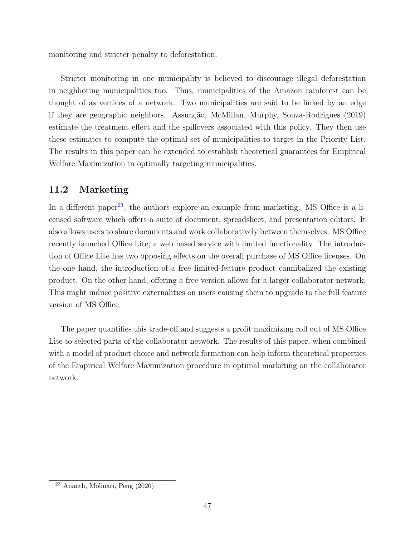monitoring and stricter penalty to deforestation.

Stricter monitoring in one municipality is believed to discourage illegal deforestation in neighboring municipalities too. Thus, municipalities of the Amazon rainforest can be thought of as vertices of a network. Two municipalities are said to be linked by an edge if they are geographic neighbors. Assunção, McMillan, Murphy, Souza-Rodrigues (2019) estimate the treatment effect and the spillovers associated with this policy. They then use these estimates to compute the optimal set of municipalities to target in the Priority List. The results in this paper can be extended to establish theoretical guarantees for Empirical Welfare Maximization in optimally targeting municipalities.

### 11.2 Marketing

In a different paper<sup>[23](#page-46-0)</sup>, the authors explore an example from marketing. MS Office is a licensed software which offers a suite of document, spreadsheet, and presentation editors. It also allows users to share documents and work collaboratively between themselves. MS Office recently launched Office Lite, a web based service with limited functionality. The introduction of Office Lite has two opposing effects on the overall purchase of MS Office licenses. On the one hand, the introduction of a free limited-feature product cannibalized the existing product. On the other hand, offering a free version allows for a larger collaborator network. This might induce positive externalities on users causing them to upgrade to the full feature version of MS Office.

The paper quantifies this trade-off and suggests a profit maximizing roll out of MS Office Lite to selected parts of the collaborator network. The results of this paper, when combined with a model of product choice and network formation can help inform theoretical properties of the Empirical Welfare Maximization procedure in optimal marketing on the collaborator network.

<span id="page-46-0"></span><sup>23</sup> Ananth, Molinari, Peng (2020)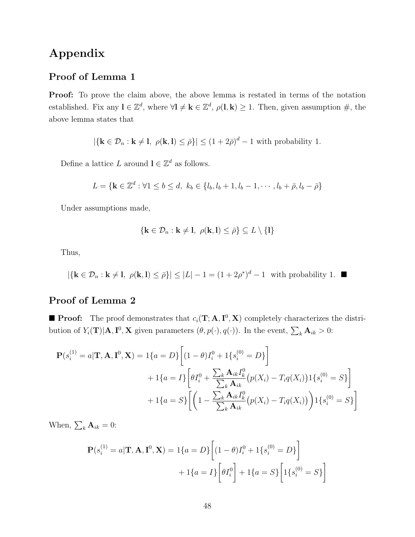# Appendix

### Proof of Lemma 1

**Proof:** To prove the claim above, the above lemma is restated in terms of the notation established. Fix any  $\mathbf{l} \in \mathbb{Z}^d$ , where  $\forall \mathbf{l} \neq \mathbf{k} \in \mathbb{Z}^d$ ,  $\rho(\mathbf{l}, \mathbf{k}) \geq 1$ . Then, given assumption  $\#$ , the above lemma states that

$$
|\{\mathbf{k}\in\mathcal{D}_n:\mathbf{k}\neq 1, \ \rho(\mathbf{k},\mathbf{l})\leq \bar{\rho}\}|\leq (1+2\bar{\rho})^d-1
$$
 with probability 1.

Define a lattice L around  $\mathbf{l} \in \mathbb{Z}^d$  as follows.

$$
L = \{ \mathbf{k} \in \mathbb{Z}^d : \forall 1 \le b \le d, \ k_b \in \{l_b, l_b + 1, l_b - 1, \cdots, l_b + \bar{\rho}, l_b - \bar{\rho} \}
$$

Under assumptions made,

$$
\{\mathbf k\in\mathcal D_n:\mathbf k\neq\mathbf l,\ \rho(\mathbf k,\mathbf l)\leq\bar\rho\}\subseteq L\setminus\{\mathbf l\}
$$

Thus,

 $|\{\mathbf{k} \in \mathcal{D}_n : \mathbf{k} \neq \mathbf{l}, \ \rho(\mathbf{k}, \mathbf{l}) \leq \bar{\rho}\}| \leq |L| - 1 = (1 + 2\rho^*)^d - 1$  with probability 1.

### Proof of Lemma 2

**Proof:** The proof demonstrates that  $c_i(T; A, I^0, X)$  completely characterizes the distribution of  $Y_i(\mathbf{T})|\mathbf{A}, \mathbf{I}^0, \mathbf{X}$  given parameters  $(\theta, p(\cdot), q(\cdot))$ . In the event,  $\sum_k \mathbf{A}_{ik} > 0$ :

$$
\mathbf{P}(s_i^{(1)} = a | \mathbf{T}, \mathbf{A}, \mathbf{I}^0, \mathbf{X}) = 1\{a = D\} \left[ (1 - \theta)I_i^0 + 1\{s_i^{(0)} = D\} \right] \n+ 1\{a = I\} \left[ \theta I_i^0 + \frac{\sum_k \mathbf{A}_{ik} I_k^0}{\sum_k \mathbf{A}_{ik}} (p(X_i) - T_i q(X_i)) 1\{s_i^{(0)} = S\} \right] \n+ 1\{a = S\} \left[ \left( 1 - \frac{\sum_k \mathbf{A}_{ik} I_k^0}{\sum_k \mathbf{A}_{ik}} (p(X_i) - T_i q(X_i)) \right) 1\{s_i^{(0)} = S\} \right]
$$

When,  $\sum_k \mathbf{A}_{ik} = 0$ :

$$
\mathbf{P}(s_i^{(1)} = a | \mathbf{T}, \mathbf{A}, \mathbf{I}^0, \mathbf{X}) = 1\{a = D\} \left[ (1 - \theta)I_i^0 + 1\{s_i^{(0)} = D\} \right] + 1\{a = I\} \left[ \theta I_i^0 \right] + 1\{a = S\} \left[ 1\{s_i^{(0)} = S\} \right]
$$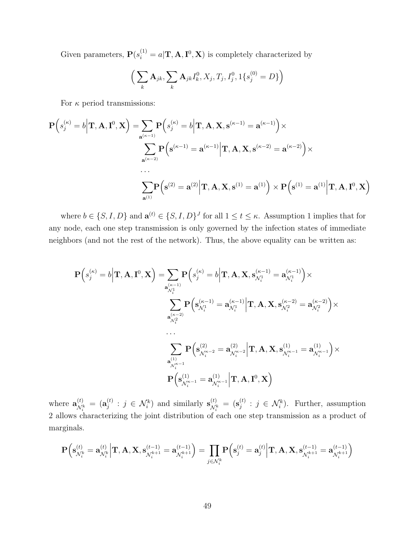Given parameters,  $P(s_i^{(1)} = a | \mathbf{T}, \mathbf{A}, \mathbf{I}^0, \mathbf{X})$  is completely characterized by

$$
\left(\sum_{k} \mathbf{A}_{jk}, \sum_{k} \mathbf{A}_{jk} I_k^0, X_j, T_j, I_j^0, 1\{s_j^{(0)} = D\}\right)
$$

For  $\kappa$  period transmissions:

$$
\mathbf{P}\left(s_j^{(\kappa)}=b\middle|\mathbf{T},\mathbf{A},\mathbf{I}^0,\mathbf{X}\right)=\sum_{\mathbf{a}^{(\kappa-1)}}\mathbf{P}\left(s_j^{(\kappa)}=b\middle|\mathbf{T},\mathbf{A},\mathbf{X},\mathbf{s}^{(\kappa-1)}=\mathbf{a}^{(\kappa-1)}\right)\times
$$
\n
$$
\sum_{\mathbf{a}^{(\kappa-2)}}\mathbf{P}\left(\mathbf{s}^{(\kappa-1)}=\mathbf{a}^{(\kappa-1)}\middle|\mathbf{T},\mathbf{A},\mathbf{X},\mathbf{s}^{(\kappa-2)}=\mathbf{a}^{(\kappa-2)}\right)\times
$$
\n
$$
\cdots
$$
\n
$$
\sum_{\mathbf{a}^{(1)}}\mathbf{P}\left(\mathbf{s}^{(2)}=\mathbf{a}^{(2)}\middle|\mathbf{T},\mathbf{A},\mathbf{X},\mathbf{s}^{(1)}=\mathbf{a}^{(1)}\right)\times\mathbf{P}\left(\mathbf{s}^{(1)}=\mathbf{a}^{(1)}\middle|\mathbf{T},\mathbf{A},\mathbf{I}^0,\mathbf{X}\right)
$$

where  $b \in \{S, I, D\}$  and  $\mathbf{a}^{(t)} \in \{S, I, D\}^J$  for all  $1 \le t \le \kappa$ . Assumption 1 implies that for any node, each one step transmission is only governed by the infection states of immediate neighbors (and not the rest of the network). Thus, the above equality can be written as:

$$
\begin{split} \mathbf{P}\Big(s_j^{(\kappa)}&=b\Big| \mathbf{T},\mathbf{A},\mathbf{I}^0,\mathbf{X}\Big) = & \sum_{\mathbf{a}_{\mathcal{N}_i^{1}}} \mathbf{P}\Big(s_j^{(\kappa)}=b\Big| \mathbf{T},\mathbf{A},\mathbf{X},\mathbf{s}_{\mathcal{N}_i^{1}}^{(\kappa-1)}= \mathbf{a}_{\mathcal{N}_i^{1}}^{(\kappa-1)}\Big)\times \\ & \sum_{\mathbf{a}_{\mathcal{N}_i^{2}}} \mathbf{P}\Big(\mathbf{s}_{\mathcal{N}_i^{1}}^{(\kappa-1)}=\mathbf{a}_{\mathcal{N}_i^{1}}^{(\kappa-1)}\Big| \mathbf{T},\mathbf{A},\mathbf{X},\mathbf{s}_{\mathcal{N}_i^{2}}^{(\kappa-2)}=\mathbf{a}_{\mathcal{N}_i^{2}}^{(\kappa-2)}\Big)\times \\ & \cdots \\ & \sum_{\mathbf{a}_{\mathcal{N}_i^{(\kappa-1)}}^{(1)}} \mathbf{P}\Big(\mathbf{s}_{\mathcal{N}_i^{(\kappa-2)}}^{(2)}=\mathbf{a}_{\mathcal{N}_i^{(\kappa-2)}}^{(2)}\Big| \mathbf{T},\mathbf{A},\mathbf{X},\mathbf{s}_{\mathcal{N}_i^{(\kappa-1)}}^{(1)}=\mathbf{a}_{\mathcal{N}_i^{(\kappa-1)}}^{(1)}\Big)\times \\ & \mathbf{P}\Big(\mathbf{s}_{\mathcal{N}_i^{(\kappa-1)}}^{(1)}=\mathbf{a}_{\mathcal{N}_i^{(\kappa-1)}}^{(1)}\Big| \mathbf{T},\mathbf{A},\mathbf{I}^0,\mathbf{X}\Big) \end{split}
$$

where  $\mathbf{a}_{\mathcal{M}}^{(t)}$  $\overset{(t)}{\mathcal{N}_i^k} \ = \ \big( \mathbf{a}^{(t)}_j$  $j_j^{(t)}$  :  $j \in \mathcal{N}_i^k$  and similarly  $\mathbf{s}_{\mathcal{N}_i}^{(t)}$  $\begin{array}{l} \left( t\right) \ \mathcal{N}_{i}^{k} \end{array} =\bigl( \mathbf{s}_{j}^{\left( t\right) }% _{i}^{\left( t\right) }\bigr)$  $j^{(t)}$ :  $j \in \mathcal{N}_i^k$ . Further, assumption 2 allows characterizing the joint distribution of each one step transmission as a product of marginals.

$$
\mathbf{P}\Big(\mathbf{s}_{\mathcal{N}_i^k}^{(t)} = \mathbf{a}_{\mathcal{N}_i^k}^{(t)} \Big| \mathbf{T}, \mathbf{A}, \mathbf{X}, \mathbf{s}_{\mathcal{N}_i^{k+1}}^{(t-1)} = \mathbf{a}_{\mathcal{N}_i^{k+1}}^{(t-1)}\Big) = \prod_{j \in \mathcal{N}_i^k} \mathbf{P}\Big(\mathbf{s}_j^{(t)} = \mathbf{a}_j^{(t)} \Big| \mathbf{T}, \mathbf{A}, \mathbf{X}, \mathbf{s}_{\mathcal{N}_i^{k+1}}^{(t-1)} = \mathbf{a}_{\mathcal{N}_i^{k+1}}^{(t-1)}\Big)
$$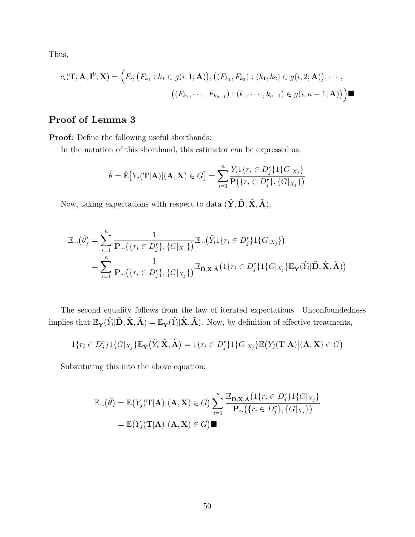Thus,

$$
c_i(\mathbf{T}; \mathbf{A}, \mathbf{I}^0, \mathbf{X}) = (F_i, (F_{k_1} : k_1 \in g(i, 1; \mathbf{A})), ((F_{k_1}, F_{k_2}) : (k_1, k_2) \in g(i, 2; \mathbf{A})), \cdots,
$$

$$
((F_{k_1}, \cdots, F_{k_{\kappa-1}}) : (k_1, \cdots, k_{\kappa-1}) \in g(i, \kappa - 1; \mathbf{A}))) \blacksquare
$$

### Proof of Lemma 3

Proof: Define the following useful shorthands:

In the notation of this shorthand, this estimator can be expressed as:

$$
\hat{\theta} = \hat{\mathbb{E}}[Y_j(\mathbf{T}|\mathbf{A}) | (\mathbf{A}, \mathbf{X}) \in G] = \sum_{i=1}^{n} \frac{\tilde{Y}_i 1\{r_i \in D_j^r\} 1\{G|_{X_j}\}}{\mathbf{P}(\{r_i \in D_j^r\}, \{G|_{X_j}\})}
$$

Now, taking expectations with respect to data  $(\tilde{\mathbf{Y}}, \tilde{\mathbf{D}}, \tilde{\mathbf{X}}, \tilde{\mathbf{A}})$ ,

$$
\mathbb{E}_{\sim}(\hat{\theta}) = \sum_{i=1}^{n} \frac{1}{\mathbf{P}_{\sim}\left(\{r_i \in D_j^r\}, \{G|_{X_j}\}\right)} \mathbb{E}_{\sim}\left(\tilde{Y}_i \mathbb{1}\{r_i \in D_j^r\} \mathbb{1}\{G|_{X_j}\}\right)
$$

$$
= \sum_{i=1}^{n} \frac{1}{\mathbf{P}_{\sim}\left(\{r_i \in D_j^r\}, \{G|_{X_j}\}\right)} \mathbb{E}_{\tilde{\mathbf{D}}, \tilde{\mathbf{X}}, \tilde{\mathbf{A}}}\left(\mathbb{1}\{r_i \in D_j^r\} \mathbb{1}\{G|_{X_j}\} \mathbb{E}_{\tilde{\mathbf{Y}}}(\tilde{Y}_i | \tilde{\mathbf{D}}, \tilde{\mathbf{X}}, \tilde{\mathbf{A}})\right)
$$

The second equality follows from the law of iterated expectations. Unconfoundedness implies that  $\mathbb{E}_{\tilde{\mathbf{Y}}}(\tilde{Y}_i|\tilde{\mathbf{D}}, \tilde{\mathbf{X}}, \tilde{\mathbf{A}}) = \mathbb{E}_{\tilde{\mathbf{Y}}}(\tilde{Y}_i|\tilde{\mathbf{X}}, \tilde{\mathbf{A}})$ . Now, by definition of effective treatments,

$$
1\{r_i \in D_j^r\}1\{G|_{X_j}\}\mathbb{E}_{\tilde{\mathbf{Y}}}(\tilde{Y}_i|\tilde{\mathbf{X}}, \tilde{\mathbf{A}}) = 1\{r_i \in D_j^r\}1\{G|_{X_j}\}\mathbb{E}(Y_j(\mathbf{T}|\mathbf{A})|(\mathbf{A}, \mathbf{X}) \in G)
$$

Substituting this into the above equation:

$$
\mathbb{E}_{\sim}(\hat{\theta}) = \mathbb{E}\big(Y_j(\mathbf{T}|\mathbf{A}) \big| (\mathbf{A}, \mathbf{X}) \in G\big) \sum_{i=1}^n \frac{\mathbb{E}_{\tilde{\mathbf{D}}, \tilde{\mathbf{X}}, \tilde{\mathbf{A}}}\big(\mathbf{1}\{r_i \in D_j^r\} \mathbf{1}\{G|_{X_j}\}\big)}{\mathbf{P}_{\sim}\big(\{r_i \in D_j^r\}, \{G|_{X_j}\}\big)}
$$
\n
$$
= \mathbb{E}\big(Y_j(\mathbf{T}|\mathbf{A}) \big| (\mathbf{A}, \mathbf{X}) \in G\big) \blacksquare
$$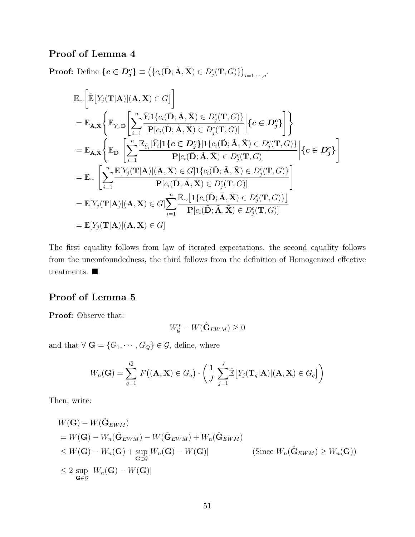## Proof of Lemma 4

**Proof:** Define  $\{c \in D_j^c\} \equiv (\{c_i(\tilde{\mathbf{D}}; \tilde{\mathbf{A}}, \tilde{\mathbf{X}}) \in D_j^c(\mathbf{T}, G)\})_{i=1,\cdots,n}$ .

$$
\mathbb{E}_{\sim}\left[\hat{\mathbb{E}}\left[Y_{j}(\mathbf{T}|\mathbf{A})|(\mathbf{A},\mathbf{X})\in G\right]\right]
$$
\n
$$
=\mathbb{E}_{\tilde{\mathbf{A}},\tilde{\mathbf{X}}}\left\{\mathbb{E}_{\tilde{Y}_{i},\tilde{\mathbf{D}}}\left[\sum_{i=1}^{n}\frac{\tilde{Y}_{i}1\{c_{i}(\tilde{\mathbf{D}};\tilde{\mathbf{A}},\tilde{\mathbf{X}})\in D_{j}^{c}(\mathbf{T},G)\}}{\mathbf{P}[c_{i}(\tilde{\mathbf{D}};\tilde{\mathbf{A}},\tilde{\mathbf{X}})\in D_{j}^{c}(\mathbf{T},G)]}\right|\{c\in D_{j}^{c}\}\right\}
$$
\n
$$
=\mathbb{E}_{\tilde{\mathbf{A}},\tilde{\mathbf{X}}}\left\{\mathbb{E}_{\tilde{\mathbf{D}}}\left[\sum_{i=1}^{n}\frac{\mathbb{E}_{\tilde{Y}_{i}}[\tilde{Y}_{i}|\mathbf{1}\{c\in D_{j}^{c}\}\mathbf{1}]\{c_{i}(\tilde{\mathbf{D}};\tilde{\mathbf{A}},\tilde{\mathbf{X}})\in D_{j}^{c}(\mathbf{T},G)\}}{\mathbf{P}[c_{i}(\tilde{\mathbf{D}};\tilde{\mathbf{A}},\tilde{\mathbf{X}})\in D_{j}^{c}(\mathbf{T},G)]}\right|\{c\in D_{j}^{c}\}\right\}
$$
\n
$$
=\mathbb{E}_{\sim}\left[\sum_{i=1}^{n}\frac{\mathbb{E}[Y_{j}(\mathbf{T}|\mathbf{A})|(\mathbf{A},\mathbf{X})\in G]1\{c_{i}(\tilde{\mathbf{D}};\tilde{\mathbf{A}},\tilde{\mathbf{X}})\in D_{j}^{c}(\mathbf{T},G)\}}{\mathbf{P}[c_{i}(\tilde{\mathbf{D}};\tilde{\mathbf{A}},\tilde{\mathbf{X}})\in D_{j}^{c}(\mathbf{T},G)]}\right]
$$
\n
$$
=\mathbb{E}[Y_{j}(\mathbf{T}|\mathbf{A})|(\mathbf{A},\mathbf{X})\in G]\sum_{i=1}^{n}\frac{\mathbb{E}_{\sim}[1\{c_{i}(\tilde{\mathbf{D}};\tilde{\mathbf{A}},\tilde{\mathbf
$$

The first equality follows from law of iterated expectations, the second equality follows from the unconfoundedness, the third follows from the definition of Homogenized effective treatments.  $\blacksquare$ 

### Proof of Lemma 5

Proof: Observe that:

$$
W^*_{\mathcal{G}} - W(\hat{\mathbf{G}}_{EWM}) \ge 0
$$

and that  $\forall \mathbf{G} = \{G_1, \cdots, G_Q\} \in \mathcal{G}$ , define, where

$$
W_n(\mathbf{G}) = \sum_{q=1}^{Q} F((\mathbf{A}, \mathbf{X}) \in G_q) \cdot \left(\frac{1}{J} \sum_{j=1}^{J} \mathbb{E}[Y_j(\mathbf{T}_q|\mathbf{A}) | (\mathbf{A}, \mathbf{X}) \in G_q] \right)
$$

Then, write:

$$
W(\mathbf{G}) - W(\hat{\mathbf{G}}_{EWM})
$$
  
=  $W(\mathbf{G}) - W_n(\hat{\mathbf{G}}_{EWM}) - W(\hat{\mathbf{G}}_{EWM}) + W_n(\hat{\mathbf{G}}_{EWM})$   
 $\leq W(\mathbf{G}) - W_n(\mathbf{G}) + \sup_{\mathbf{G} \in \mathcal{G}} |W_n(\mathbf{G}) - W(\mathbf{G})|$  (Since  $W_n(\hat{\mathbf{G}}_{EWM}) \geq W_n(\mathbf{G})$ )  
 $\leq 2 \sup_{\mathbf{G} \in \mathcal{G}} |W_n(\mathbf{G}) - W(\mathbf{G})|$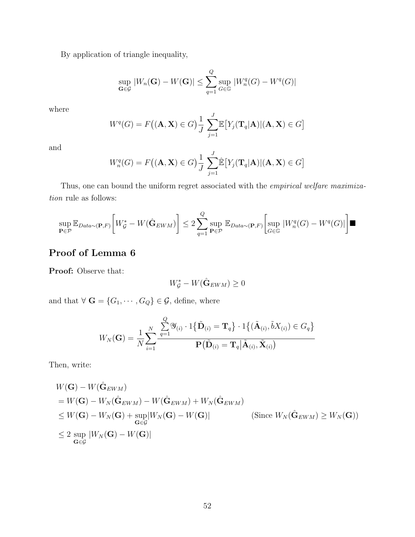By application of triangle inequality,

$$
\sup_{\mathbf{G}\in\mathcal{G}}|W_n(\mathbf{G}) - W(\mathbf{G})| \le \sum_{q=1}^Q \sup_{G\in\mathbb{G}}|W_n^q(G) - W^q(G)|
$$

where

$$
W^{q}(G) = F((\mathbf{A}, \mathbf{X}) \in G) \frac{1}{J} \sum_{j=1}^{J} \mathbb{E}\big[Y_{j}(\mathbf{T}_{q}|\mathbf{A}) | (\mathbf{A}, \mathbf{X}) \in G\big]
$$

and

$$
W_n^q(G) = F((\mathbf{A}, \mathbf{X}) \in G) \frac{1}{J} \sum_{j=1}^J \hat{\mathbb{E}} \left[ Y_j(\mathbf{T}_q | \mathbf{A}) | (\mathbf{A}, \mathbf{X}) \in G \right]
$$

Thus, one can bound the uniform regret associated with the *empirical welfare maximiza*tion rule as follows:

$$
\sup_{\mathbf{P}\in\mathcal{P}}\mathbb{E}_{Data\sim(\mathbf{P},F)}\bigg[W_{\mathcal{G}}^* - W(\hat{\mathbf{G}}_{EWM})\bigg] \leq 2\sum_{q=1}^Q \sup_{\mathbf{P}\in\mathcal{P}}\mathbb{E}_{Data\sim(\mathbf{P},F)}\bigg[\sup_{G\in\mathbb{G}}|W_n^q(G) - W^q(G)|\bigg]
$$

### Proof of Lemma 6

Proof: Observe that:

$$
W^*_{\mathcal{G}} - W(\hat{\mathbf{G}}_{EWM}) \geq 0
$$

and that  $\forall \mathbf{G} = \{G_1, \cdots, G_Q\} \in \mathcal{G}$ , define, where

$$
W_N(\mathbf{G}) = \frac{1}{N} \sum_{i=1}^N \frac{\sum_{q=1}^Q \mathcal{Y}_{(i)} \cdot 1\{\tilde{\mathbf{D}}_{(i)} = \mathbf{T}_q\} \cdot 1\{(\tilde{\mathbf{A}}_{(i)}, \tilde{b}X_{(i)}) \in G_q\}}{\mathbf{P}(\tilde{\mathbf{D}}_{(i)} = \mathbf{T}_q | \tilde{\mathbf{A}}_{(i)}, \tilde{\mathbf{X}}_{(i)})}
$$

Then, write:

$$
W(\mathbf{G}) - W(\hat{\mathbf{G}}_{EWM})
$$
  
=  $W(\mathbf{G}) - W_N(\hat{\mathbf{G}}_{EWM}) - W(\hat{\mathbf{G}}_{EWM}) + W_N(\hat{\mathbf{G}}_{EWM})$   
 $\leq W(\mathbf{G}) - W_N(\mathbf{G}) + \sup_{\mathbf{G} \in \mathcal{G}} |W_N(\mathbf{G}) - W(\mathbf{G})|$  (Since  $W_N(\hat{\mathbf{G}}_{EWM}) \geq W_N(\mathbf{G})$ )  
 $\leq 2 \sup_{\mathbf{G} \in \mathcal{G}} |W_N(\mathbf{G}) - W(\mathbf{G})|$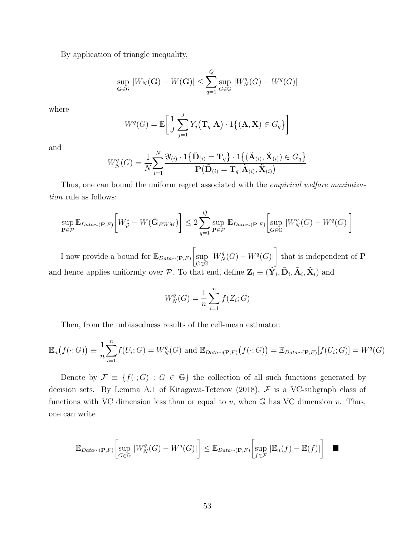By application of triangle inequality,

$$
\sup_{\mathbf{G}\in\mathcal{G}}|W_N(\mathbf{G})-W(\mathbf{G})|\leq \sum_{q=1}^Q\sup_{G\in\mathbb{G}}|W_N^q(G)-W^q(G)|
$$

where

$$
W^{q}(G) = \mathbb{E}\bigg[\frac{1}{J}\sum_{j=1}^{J} Y_{j}(\mathbf{T}_{q}|\mathbf{A}) \cdot 1\big\{(\mathbf{A}, \mathbf{X}) \in G_{q}\big\}\bigg]
$$

and

$$
W_N^q(G) = \frac{1}{N} \sum_{i=1}^N \frac{\mathcal{Y}_{(i)} \cdot 1\{\tilde{\mathbf{D}}_{(i)} = \mathbf{T}_q\} \cdot 1\{(\tilde{\mathbf{A}}_{(i)}, \tilde{\mathbf{X}}_{(i)}) \in G_q\}}{\mathbf{P}(\tilde{\mathbf{D}}_{(i)} = \mathbf{T}_q | \tilde{\mathbf{A}}_{(i)}, \tilde{\mathbf{X}}_{(i)})}
$$

Thus, one can bound the uniform regret associated with the *empirical welfare maximiza*tion rule as follows:

$$
\sup_{\mathbf{P}\in\mathcal{P}}\mathbb{E}_{Data\sim(\mathbf{P},F)}\bigg[W_{\mathcal{G}}^* - W(\hat{\mathbf{G}}_{EWM})\bigg] \le 2\sum_{q=1}^Q \sup_{\mathbf{P}\in\mathcal{P}}\mathbb{E}_{Data\sim(\mathbf{P},F)}\bigg[\sup_{G\in\mathbb{G}}|W_N^q(G) - W^q(G)|\bigg]
$$

I now provide a bound for  $\mathbb{E}_{Data \sim (\mathbf{P},F)}$ sup  $G\epsilon\bar{\mathbb{G}}$  $|W_N^q(G) - W^q(G)|$ 1 that is independent of P and hence applies uniformly over P. To that end, define  $\mathbf{Z}_i \equiv (\tilde{\mathbf{Y}_i}, \tilde{\mathbf{D}}_i, \tilde{\mathbf{A}}_i, \tilde{\mathbf{X}}_i)$  and

$$
W_N^q(G) = \frac{1}{n} \sum_{i=1}^n f(Z_i; G)
$$

Then, from the unbiasedness results of the cell-mean estimator:

$$
\mathbb{E}_n(f(\cdot;G)) \equiv \frac{1}{n} \sum_{i=1}^n f(U_i;G) = W_N^q(G) \text{ and } \mathbb{E}_{Data \sim (\mathbf{P},F)}(f(\cdot;G)) = \mathbb{E}_{Data \sim (\mathbf{P},F)}[f(U_i;G)] = W^q(G)
$$

Denote by  $\mathcal{F} \equiv \{f(\cdot; G) : G \in \mathbb{G}\}\$  the collection of all such functions generated by decision sets. By Lemma A.1 of Kitagawa-Tetenov (2018),  $F$  is a VC-subgraph class of functions with VC dimension less than or equal to  $v$ , when  $\mathbb{G}$  has VC dimension  $v$ . Thus, one can write

$$
\mathbb{E}_{Data \sim (\mathbf{P}, F)} \left[ \sup_{G \in \mathbb{G}} |W_N^q(G) - W^q(G)| \right] \leq \mathbb{E}_{Data \sim (\mathbf{P}, F)} \left[ \sup_{f \in \mathcal{F}} |\mathbb{E}_n(f) - \mathbb{E}(f)| \right] \quad \blacksquare
$$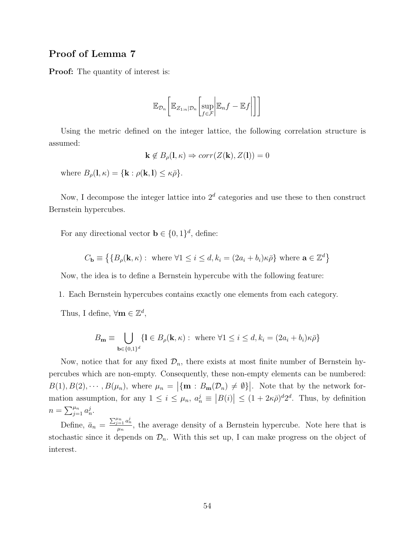#### Proof of Lemma 7

**Proof:** The quantity of interest is:

$$
\mathbb{E}_{\mathcal{D}_n}\bigg[\mathbb{E}_{Z_{1:n}|\mathcal{D}_n}\bigg[\sup_{f\in\mathcal{F}}\bigg|\mathbb{E}_n f-\mathbb{E}f\bigg|\bigg]\bigg]
$$

Using the metric defined on the integer lattice, the following correlation structure is assumed:

$$
\mathbf{k} \notin B_{\rho}(\mathbf{l}, \kappa) \Rightarrow corr(Z(\mathbf{k}), Z(\mathbf{l})) = 0
$$

where  $B_{\rho}(\mathbf{l}, \kappa) = {\mathbf{k} : \rho(\mathbf{k}, \mathbf{l}) \leq \kappa \bar{\rho}}.$ 

Now, I decompose the integer lattice into  $2<sup>d</sup>$  categories and use these to then construct Bernstein hypercubes.

For any directional vector  $\mathbf{b} \in \{0,1\}^d$ , define:

$$
C_{\mathbf{b}} \equiv \left\{ \{ B_{\rho}(\mathbf{k}, \kappa) : \text{ where } \forall 1 \leq i \leq d, k_i = (2a_i + b_i)\kappa \bar{\rho} \right\} \text{ where } \mathbf{a} \in \mathbb{Z}^d \right\}
$$

Now, the idea is to define a Bernstein hypercube with the following feature:

- 1. Each Bernstein hypercubes contains exactly one elements from each category.
- Thus, I define,  $\forall m \in \mathbb{Z}^d$ ,

$$
B_{\mathbf{m}} \equiv \bigcup_{\mathbf{b} \in \{0,1\}^d} \{ \mathbf{l} \in B_{\rho}(\mathbf{k}, \kappa) : \text{ where } \forall 1 \le i \le d, k_i = (2a_i + b_i)\kappa \bar{\rho} \}
$$

Now, notice that for any fixed  $\mathcal{D}_n$ , there exists at most finite number of Bernstein hypercubes which are non-empty. Consequently, these non-empty elements can be numbered:  $B(1), B(2), \cdots, B(\mu_n)$ , where  $\mu_n = |\{\mathbf{m} : B_{\mathbf{m}}(\mathcal{D}_n) \neq \emptyset\}|$ . Note that by the network formation assumption, for any  $1 \leq i \leq \mu_n$ ,  $a_n^j \equiv |B(i)| \leq (1 + 2\kappa \bar{\rho})^d 2^d$ . Thus, by definition  $n = \sum_{j=1}^{\mu_n} a_n^j$ .

Define,  $\bar{a}_n = \frac{\sum_{j=1}^{\mu_n} a_n^j}{\mu_n}$  $\frac{u_{n-1} - u_n}{\mu_n}$ , the average density of a Bernstein hypercube. Note here that is stochastic since it depends on  $\mathcal{D}_n$ . With this set up, I can make progress on the object of interest.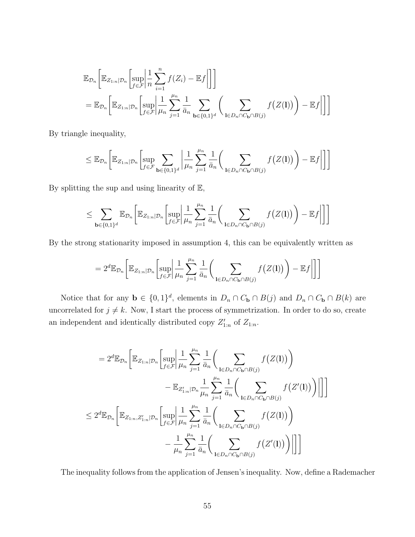$$
\mathbb{E}_{\mathcal{D}_n}\bigg[\mathbb{E}_{Z_{1:n}|\mathcal{D}_n}\bigg[\sup_{f\in\mathcal{F}}\bigg|\frac{1}{n}\sum_{i=1}^n f(Z_i) - \mathbb{E}f\bigg|\bigg]\bigg]
$$
\n
$$
= \mathbb{E}_{\mathcal{D}_n}\bigg[\mathbb{E}_{Z_{1:n}|\mathcal{D}_n}\bigg[\sup_{f\in\mathcal{F}}\bigg|\frac{1}{\mu_n}\sum_{j=1}^{\mu_n}\frac{1}{\bar{a}_n}\sum_{\mathbf{b}\in\{0,1\}^d}\bigg(\sum_{\mathbf{l}\in\mathcal{D}_n\cap C_{\mathbf{b}}\cap B(j)}f\big(Z(\mathbf{l})\bigg) - \mathbb{E}f\bigg|\bigg]\bigg]
$$

By triangle inequality,

$$
\leq \mathbb{E}_{\mathcal{D}_n}\bigg[\mathbb{E}_{Z_{1:n}|\mathcal{D}_n}\bigg[\sup_{f\in\mathcal{F}}\sum_{\mathbf{b}\in\{0,1\}^d}\bigg|\frac{1}{\mu_n}\sum_{j=1}^{\mu_n}\frac{1}{\bar{a}_n}\bigg(\sum_{\mathbf{l}\in\mathcal{D}_n\cap C_{\mathbf{b}}\cap B(j)}f\big(Z(\mathbf{l})\bigg)-\mathbb{E}f\bigg|\bigg]\bigg]
$$

By splitting the sup and using linearity of  $E$ ,

$$
\leq \sum_{\mathbf{b}\in\{0,1\}^d}\mathbb{E}_{\mathcal{D}_n}\left[\mathbb{E}_{Z_{1:n}|\mathcal{D}_n}\left[\sup_{f\in\mathcal{F}}\left|\frac{1}{\mu_n}\sum_{j=1}^{\mu_n}\frac{1}{\bar{a}_n}\left(\sum_{\mathbf{l}\in\mathcal{D}_n\cap C_{\mathbf{b}}\cap B(j)}f\big(Z(\mathbf{l})\big)\right)-\mathbb{E}f\right|\right]\right]
$$

By the strong stationarity imposed in assumption 4, this can be equivalently written as

$$
=2^d \mathbb{E}_{\mathcal{D}_n}\bigg[\mathbb{E}_{Z_{1:n}|\mathcal{D}_n}\bigg[\sup_{f\in\mathcal{F}}\bigg|\frac{1}{\mu_n}\sum_{j=1}^{\mu_n}\frac{1}{\bar{a}_n}\bigg(\sum_{\mathbf{l}\in D_n\cap C_{\mathbf{b}}\cap B(j)}f\big(Z(\mathbf{l})\bigg)-\mathbb{E} f\bigg|\bigg]\bigg]
$$

Notice that for any  $\mathbf{b} \in \{0,1\}^d$ , elements in  $D_n \cap C_\mathbf{b} \cap B(j)$  and  $D_n \cap C_\mathbf{b} \cap B(k)$  are uncorrelated for  $j \neq k$ . Now, I start the process of symmetrization. In order to do so, create an independent and identically distributed copy  $Z'_{1:n}$  of  $Z_{1:n}$ .

$$
= 2^{d} \mathbb{E}_{\mathcal{D}_{n}} \bigg[ \mathbb{E}_{Z_{1:n}|\mathcal{D}_{n}} \bigg[ \sup_{f \in \mathcal{F}} \bigg| \frac{1}{\mu_{n}} \sum_{j=1}^{\mu_{n}} \frac{1}{\bar{a}_{n}} \bigg( \sum_{\mathbf{l} \in D_{n} \cap C_{\mathbf{b}} \cap B(j)} f(Z(\mathbf{l})) \bigg) - \mathbb{E}_{Z'_{1:n}|\mathcal{D}_{n}} \frac{1}{\mu_{n}} \sum_{j=1}^{\mu_{n}} \frac{1}{\bar{a}_{n}} \bigg( \sum_{\mathbf{l} \in D_{n} \cap C_{\mathbf{b}} \cap B(j)} f(Z'(\mathbf{l})) \bigg) \bigg| \bigg] \bigg]
$$
  

$$
\leq 2^{d} \mathbb{E}_{\mathcal{D}_{n}} \bigg[ \mathbb{E}_{Z_{1:n}, Z'_{1:n}|\mathcal{D}_{n}} \bigg[ \sup_{f \in \mathcal{F}} \bigg| \frac{1}{\mu_{n}} \sum_{j=1}^{\mu_{n}} \frac{1}{\bar{a}_{n}} \bigg( \sum_{\mathbf{l} \in D_{n} \cap C_{\mathbf{b}} \cap B(j)} f(Z(\mathbf{l})) \bigg) \bigg| \bigg] \bigg] - \frac{1}{\mu_{n}} \sum_{j=1}^{\mu_{n}} \frac{1}{\bar{a}_{n}} \bigg( \sum_{\mathbf{l} \in D_{n} \cap C_{\mathbf{b}} \cap B(j)} f(Z'(\mathbf{l})) \bigg) \bigg[ \bigg] \bigg]
$$

The inequality follows from the application of Jensen's inequality. Now, define a Rademacher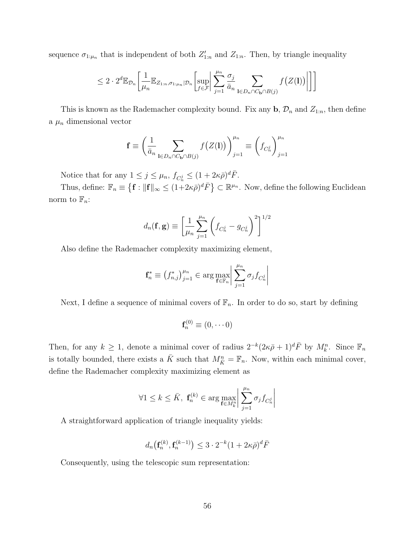sequence  $\sigma_{1:\mu_n}$  that is independent of both  $Z'_{1:n}$  and  $Z_{1:n}$ . Then, by triangle inequality

$$
\leq 2 \cdot 2^d \mathbb{E}_{\mathcal{D}_n} \left[ \frac{1}{\mu_n} \mathbb{E}_{Z_{1:n}, \sigma_{1: \mu_n} | \mathcal{D}_n} \left[ \sup_{f \in \mathcal{F}} \left| \sum_{j=1}^{\mu_n} \frac{\sigma_j}{\bar{a}_n} \sum_{\mathbf{l} \in D_n \cap C_{\mathbf{b}} \cap B(j)} f\big(Z(\mathbf{l})\big) \right| \right] \right]
$$

This is known as the Rademacher complexity bound. Fix any  $\mathbf{b}, \mathcal{D}_n$  and  $Z_{1:n}$ , then define a  $\mu_n$  dimensional vector

$$
\mathbf{f} \equiv \left(\frac{1}{\bar{a}_n} \sum_{\mathbf{l} \in D_n \cap C_{\mathbf{b}} \cap B(j)} f\big(Z(\mathbf{l})\big)\right)_{j=1}^{\mu_n} \equiv \left(f_{C_n^j}\right)_{j=1}^{\mu_n}
$$

Notice that for any  $1 \leq j \leq \mu_n$ ,  $f_{C_n^j} \leq (1 + 2\kappa \bar{\rho})^d \bar{F}$ .

Thus, define:  $\mathbb{F}_n \equiv \left\{ \mathbf{f} : ||\mathbf{f}||_{\infty} \leq (1+2\kappa\bar{\rho})^d \bar{F} \right\} \subset \mathbb{R}^{\mu_n}$ . Now, define the following Euclidean norm to  $\mathbb{F}_n$ :

$$
d_n(\mathbf{f}, \mathbf{g}) \equiv \left[ \frac{1}{\mu_n} \sum_{j=1}^{\mu_n} \left( f_{C_n^j} - g_{C_n^j} \right)^2 \right]^{1/2}
$$

Also define the Rademacher complexity maximizing element,

$$
\mathbf{f}_n^* \equiv \left(f_{n,j}^*\right)_{j=1}^{\mu_n} \in \arg \max_{\mathbf{f} \in \mathbb{F}_n} \left| \sum_{j=1}^{\mu_n} \sigma_j f_{C_n^j} \right|
$$

Next, I define a sequence of minimal covers of  $\mathbb{F}_n$ . In order to do so, start by defining

$$
\mathbf{f}_n^{(0)} \equiv (0, \cdots 0)
$$

Then, for any  $k \geq 1$ , denote a minimal cover of radius  $2^{-k}(2\kappa\bar{\rho}+1)^d\bar{F}$  by  $M_k^n$ . Since  $\mathbb{F}_n$ is totally bounded, there exists a  $\bar{K}$  such that  $M_{\bar{K}}^n = \mathbb{F}_n$ . Now, within each minimal cover, define the Rademacher complexity maximizing element as

$$
\forall 1 \leq k \leq \bar{K}, \ \mathbf{f}_n^{(k)} \in \arg \max_{\mathbf{f} \in M_k^n} \left| \sum_{j=1}^{\mu_n} \sigma_j f_{C_n^j} \right|
$$

A straightforward application of triangle inequality yields:

$$
d_n\big(\mathbf{f}_n^{(k)},\mathbf{f}_n^{(k-1)}\big) \leq 3\cdot 2^{-k}(1+2\kappa\bar{\rho})^d\bar{F}
$$

Consequently, using the telescopic sum representation: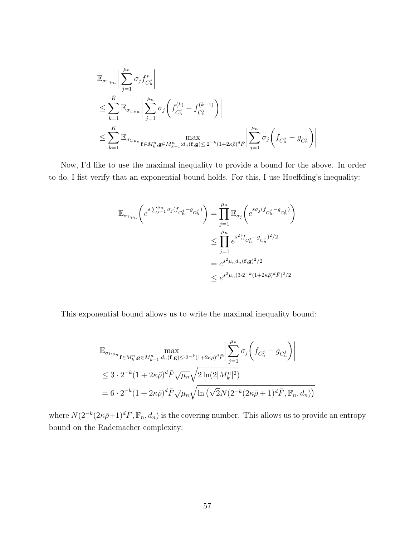$$
\mathbb{E}_{\sigma_{1:\mu_{n}}} \Big| \sum_{j=1}^{\mu_{n}} \sigma_{j} f_{C_{n}^{j}}^{*} \Big|
$$
\n
$$
\leq \sum_{k=1}^{\bar{K}} \mathbb{E}_{\sigma_{1:\mu_{n}}} \Big| \sum_{j=1}^{\mu_{n}} \sigma_{j} \Big( f_{C_{n}^{j}}^{(k)} - f_{C_{n}^{j}}^{(k-1)} \Big) \Big|
$$
\n
$$
\leq \sum_{k=1}^{\bar{K}} \mathbb{E}_{\sigma_{1:\mu_{n}}} \mathop{\rm max}_{\mathbf{f} \in M_{k}^{n}, \mathbf{g} \in M_{k-1}^{n}: d_{n}(\mathbf{f}, \mathbf{g}) \leq 2^{-k} (1 + 2\kappa \bar{\rho})^{d} \bar{F}} \Big| \sum_{j=1}^{\mu_{n}} \sigma_{j} \Big( f_{C_{n}^{j}} - g_{C_{n}^{j}} \Big) \Big|
$$

Now, I'd like to use the maximal inequality to provide a bound for the above. In order to do, I fist verify that an exponential bound holds. For this, I use Hoeffding's inequality:

$$
\mathbb{E}_{\sigma_{1:\mu_n}} \left( e^{s \sum_{j=1}^{\mu_n} \sigma_j (f_{C_n^j} - g_{C_n^j})} \right) = \prod_{j=1}^{\mu_n} \mathbb{E}_{\sigma_j} \left( e^{s \sigma_j (f_{C_n^j} - g_{C_n^j})} \right)
$$
  

$$
\leq \prod_{j=1}^{\mu_n} e^{s^2 (f_{C_n^j} - g_{C_n^j})^2 / 2}
$$
  

$$
= e^{s^2 \mu_n d_n (\mathbf{f}, \mathbf{g})^2 / 2}
$$
  

$$
\leq e^{s^2 \mu_n (3 \cdot 2^{-k} (1 + 2\kappa \bar{\rho})^d \bar{F})^2 / 2}
$$

This exponential bound allows us to write the maximal inequality bound:

$$
\mathbb{E}_{\sigma_{1:\mu_{n}}}\max_{\mathbf{f}\in M_{k}^{n},\mathbf{g}\in M_{k-1}^{n}:d_{n}(\mathbf{f},\mathbf{g})\leq 2^{-k}(1+2\kappa\bar{\rho})^{d}\bar{F}}\left|\sum_{j=1}^{\mu_{n}}\sigma_{j}\left(f_{C_{n}^{j}}-g_{C_{n}^{j}}\right)\right|
$$
\n
$$
\leq 3\cdot 2^{-k}(1+2\kappa\bar{\rho})^{d}\bar{F}\sqrt{\mu_{n}}\sqrt{2\ln(2|M_{k}^{n}|^{2})}
$$
\n
$$
=6\cdot 2^{-k}(1+2\kappa\bar{\rho})^{d}\bar{F}\sqrt{\mu_{n}}\sqrt{\ln\left(\sqrt{2}N(2^{-k}(2\kappa\bar{\rho}+1)^{d}\bar{F},\mathbb{F}_{n},d_{n})\right)}
$$

where  $N(2^{-k}(2\kappa\bar{\rho}+1)^d \bar{F}, \mathbb{F}_n, d_n)$  is the covering number. This allows us to provide an entropy bound on the Rademacher complexity: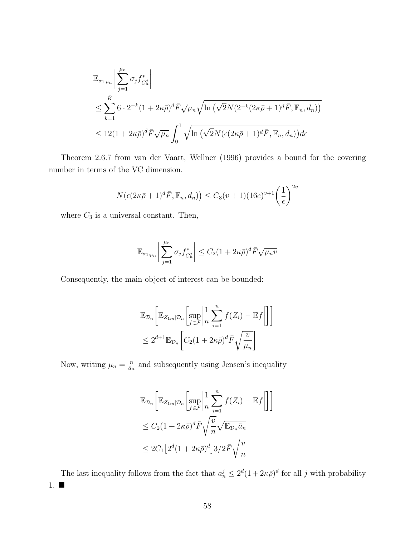$$
\mathbb{E}_{\sigma_{1:\mu_n}}\left|\sum_{j=1}^{\mu_n} \sigma_j f_{C_n^j}^*\right|
$$
\n
$$
\leq \sum_{k=1}^{\bar{K}} 6 \cdot 2^{-k} (1 + 2\kappa \bar{\rho})^d \bar{F} \sqrt{\mu_n} \sqrt{\ln\left(\sqrt{2}N(2^{-k}(2\kappa \bar{\rho} + 1)^d \bar{F}, \mathbb{F}_n, d_n)\right)}
$$
\n
$$
\leq 12(1 + 2\kappa \bar{\rho})^d \bar{F} \sqrt{\mu_n} \int_0^1 \sqrt{\ln\left(\sqrt{2}N(\epsilon(2\kappa \bar{\rho} + 1)^d \bar{F}, \mathbb{F}_n, d_n)\right)} d\epsilon
$$

Theorem 2.6.7 from van der Vaart, Wellner (1996) provides a bound for the covering number in terms of the VC dimension.

$$
N(\epsilon(2\kappa\bar{\rho}+1)^d\bar{F}, \mathbb{F}_n, d_n)\big) \leq C_3(v+1)(16e)^{v+1} \left(\frac{1}{\epsilon}\right)^{2v}
$$

where  $C_3$  is a universal constant. Then,

$$
\mathbb{E}_{\sigma_{1:\mu_n}}\bigg|\sum_{j=1}^{\mu_n} \sigma_j f_{C_n^j}^*\bigg|\leq C_2(1+2\kappa\bar{\rho})^d\bar{F}\sqrt{\mu_n v}
$$

Consequently, the main object of interest can be bounded:

$$
\mathbb{E}_{\mathcal{D}_n} \bigg[ \mathbb{E}_{Z_{1:n}|\mathcal{D}_n} \bigg[ \sup_{f \in \mathcal{F}} \bigg| \frac{1}{n} \sum_{i=1}^n f(Z_i) - \mathbb{E} f \bigg| \bigg] \bigg]
$$
  

$$
\leq 2^{d+1} \mathbb{E}_{\mathcal{D}_n} \bigg[ C_2 (1 + 2\kappa \bar{\rho})^d \bar{F} \sqrt{\frac{v}{\mu_n}} \bigg]
$$

Now, writing  $\mu_n = \frac{n}{\bar{a}_n}$  $\frac{n}{\bar{a}_n}$  and subsequently using Jensen's inequality

$$
\mathbb{E}_{\mathcal{D}_n} \bigg[ \mathbb{E}_{Z_{1:n}|\mathcal{D}_n} \bigg[ \sup_{f \in \mathcal{F}} \bigg| \frac{1}{n} \sum_{i=1}^n f(Z_i) - \mathbb{E} f \bigg| \bigg] \bigg]
$$
  
\n
$$
\leq C_2 (1 + 2\kappa \bar{\rho})^d \bar{F} \sqrt{\frac{v}{n}} \sqrt{\mathbb{E}_{\mathcal{D}_n} \bar{a}_n}
$$
  
\n
$$
\leq 2C_1 \big[ 2^d (1 + 2\kappa \bar{\rho})^d \big] 3/2 \bar{F} \sqrt{\frac{v}{n}}
$$

The last inequality follows from the fact that  $a_n^j \leq 2^d (1 + 2\kappa \bar{\rho})^d$  for all j with probability 1.  $\blacksquare$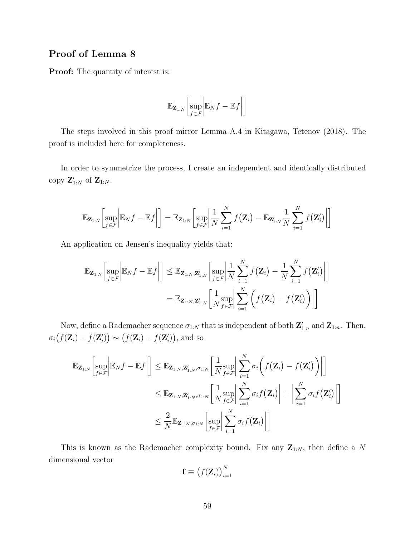### Proof of Lemma 8

Proof: The quantity of interest is:

$$
\mathbb{E}_{\mathbf{Z}_{1:N}}\bigg[\sup_{f\in\mathcal{F}}\bigg|\mathbb{E}_Nf-\mathbb{E}f\bigg|\bigg]
$$

The steps involved in this proof mirror Lemma A.4 in Kitagawa, Tetenov (2018). The proof is included here for completeness.

In order to symmetrize the process, I create an independent and identically distributed copy  $\mathbf{Z}_{1:N}'$  of  $\mathbf{Z}_{1:N}$ .

$$
\mathbb{E}_{\mathbf{Z}_{1:N}}\left[\sup_{f\in\mathcal{F}}\left|\mathbb{E}_{N}f-\mathbb{E}f\right|\right]=\mathbb{E}_{\mathbf{Z}_{1:N}}\left[\sup_{f\in\mathcal{F}}\left|\frac{1}{N}\sum_{i=1}^{N}f(\mathbf{Z}_{i})-\mathbb{E}_{\mathbf{Z}'_{1:N}}\frac{1}{N}\sum_{i=1}^{N}f(\mathbf{Z}'_{i})\right|\right]
$$

An application on Jensen's inequality yields that:

$$
\mathbb{E}_{\mathbf{Z}_{1:N}}\left[\sup_{f\in\mathcal{F}}\left|\mathbb{E}_{N}f-\mathbb{E}f\right|\right]\leq\mathbb{E}_{\mathbf{Z}_{1:N},\mathbf{Z}_{1:N}'}\left[\sup_{f\in\mathcal{F}}\left|\frac{1}{N}\sum_{i=1}^{N}f(\mathbf{Z}_{i})-\frac{1}{N}\sum_{i=1}^{N}f(\mathbf{Z}_{i}')\right|\right]
$$

$$
=\mathbb{E}_{\mathbf{Z}_{1:N},\mathbf{Z}_{1:N}'}\left[\frac{1}{N}\sup_{f\in\mathcal{F}}\left|\sum_{i=1}^{N}\left(f(\mathbf{Z}_{i})-f(\mathbf{Z}_{i}')\right)\right|\right]
$$

Now, define a Rademacher sequence  $\sigma_{1:N}$  that is independent of both  $\mathbf{Z}_{1:n}'$  and  $\mathbf{Z}_{1:n}$ . Then,  $\sigma_i(f(\mathbf{Z}_i) - f(\mathbf{Z}'_i)) \sim (f(\mathbf{Z}_i) - f(\mathbf{Z}'_i)),$  and so

$$
\mathbb{E}_{\mathbf{Z}_{1:N}}\left[\sup_{f \in \mathcal{F}} \left| \mathbb{E}_N f - \mathbb{E} f \right| \right] \leq \mathbb{E}_{\mathbf{Z}_{1:N}, \mathbf{Z}_{1:N}', \sigma_{1:N}} \left[ \frac{1}{N} \sup_{f \in \mathcal{F}} \left| \sum_{i=1}^N \sigma_i \left( f(\mathbf{Z}_i) - f(\mathbf{Z}'_i) \right) \right| \right]
$$
  

$$
\leq \mathbb{E}_{\mathbf{Z}_{1:N}, \mathbf{Z}_{1:N}', \sigma_{1:N}} \left[ \frac{1}{N} \sup_{f \in \mathcal{F}} \left| \sum_{i=1}^N \sigma_i f(\mathbf{Z}_i) \right| + \left| \sum_{i=1}^N \sigma_i f(\mathbf{Z}'_i) \right| \right]
$$
  

$$
\leq \frac{2}{N} \mathbb{E}_{\mathbf{Z}_{1:N}, \sigma_{1:N}} \left[ \sup_{f \in \mathcal{F}} \left| \sum_{i=1}^N \sigma_i f(\mathbf{Z}_i) \right| \right]
$$

This is known as the Rademacher complexity bound. Fix any  $\mathbf{Z}_{1:N}$ , then define a N dimensional vector

$$
\mathbf{f} \equiv \big(f(\mathbf{Z}_i)\big)_{i=1}^N
$$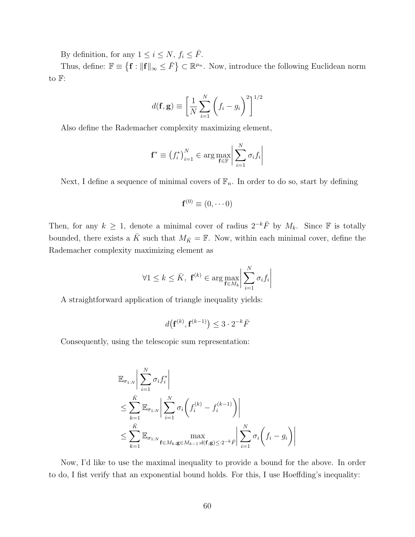By definition, for any  $1 \leq i \leq N$ ,  $f_i \leq \overline{F}$ .

Thus, define:  $\mathbb{F} \equiv \{ \mathbf{f} : ||\mathbf{f}||_{\infty} \leq \bar{F} \} \subset \mathbb{R}^{\mu_n}$ . Now, introduce the following Euclidean norm to F:

$$
d(\mathbf{f}, \mathbf{g}) \equiv \left[ \frac{1}{N} \sum_{i=1}^{N} \left( f_i - g_i \right)^2 \right]^{1/2}
$$

Also define the Rademacher complexity maximizing element,

$$
\mathbf{f}^* \equiv \left(f_i^*\right)_{i=1}^N \in \arg\max_{\mathbf{f} \in \mathbb{F}} \left| \sum_{i=1}^N \sigma_i f_i \right|
$$

Next, I define a sequence of minimal covers of  $\mathbb{F}_n$ . In order to do so, start by defining

$$
\mathbf{f}^{(0)} \equiv (0, \cdots 0)
$$

Then, for any  $k \geq 1$ , denote a minimal cover of radius  $2^{-k} \overline{F}$  by  $M_k$ . Since F is totally bounded, there exists a  $\bar{K}$  such that  $M_{\bar{K}} = \mathbb{F}$ . Now, within each minimal cover, define the Rademacher complexity maximizing element as

$$
\forall 1 \leq k \leq \bar{K}, \ \mathbf{f}^{(k)} \in \arg \max_{\mathbf{f} \in M_k} \left| \sum_{i=1}^N \sigma_i f_i \right|
$$

A straightforward application of triangle inequality yields:

$$
d\big(\mathbf{f}^{(k)}, \mathbf{f}^{(k-1)}\big) \le 3 \cdot 2^{-k} \bar{F}
$$

Consequently, using the telescopic sum representation:

$$
\mathbb{E}_{\sigma_{1:N}} \left| \sum_{i=1}^{N} \sigma_i f_i^* \right|
$$
  
\n
$$
\leq \sum_{k=1}^{\bar{K}} \mathbb{E}_{\sigma_{1:N}} \left| \sum_{i=1}^{N} \sigma_i \left( f_i^{(k)} - f_i^{(k-1)} \right) \right|
$$
  
\n
$$
\leq \sum_{k=1}^{\bar{K}} \mathbb{E}_{\sigma_{1:N}} \max_{\mathbf{f} \in M_k, \mathbf{g} \in M_{k-1}: d(\mathbf{f}, \mathbf{g}) \leq 2^{-k} \bar{F}} \left| \sum_{i=1}^{N} \sigma_i \left( f_i - g_i \right) \right|
$$

Now, I'd like to use the maximal inequality to provide a bound for the above. In order to do, I fist verify that an exponential bound holds. For this, I use Hoeffding's inequality: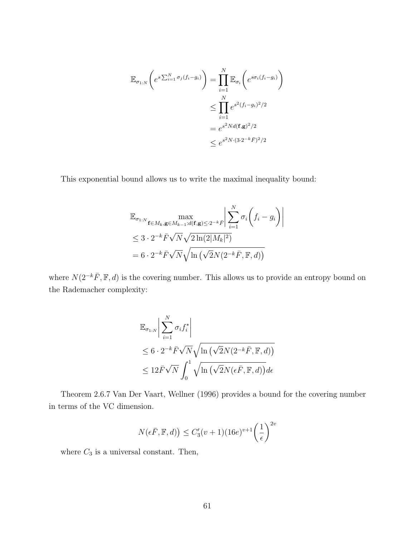$$
\mathbb{E}_{\sigma_{1:N}}\left(e^{s\sum_{i=1}^N \sigma_j(f_i-g_i)}\right) = \prod_{i=1}^N \mathbb{E}_{\sigma_i}\left(e^{s\sigma_i(f_i-g_i)}\right)
$$
  

$$
\leq \prod_{i=1}^N e^{s^2(f_i-g_i)^2/2}
$$
  

$$
= e^{s^2Nd(\mathbf{f},\mathbf{g})^2/2}
$$
  

$$
\leq e^{s^2N\cdot(3\cdot2^{-k}\bar{F})^2/2}
$$

This exponential bound allows us to write the maximal inequality bound:

$$
\mathbb{E}_{\sigma_{1:N}} \max_{\mathbf{f} \in M_k, \mathbf{g} \in M_{k-1}: d(\mathbf{f}, \mathbf{g}) \le 2^{-k} \bar{F}} \left| \sum_{i=1}^N \sigma_i \left( f_i - g_i \right) \right|
$$
  
 
$$
\le 3 \cdot 2^{-k} \bar{F} \sqrt{N} \sqrt{2 \ln(2|M_k|^2)}
$$
  
=  $6 \cdot 2^{-k} \bar{F} \sqrt{N} \sqrt{\ln \left( \sqrt{2} N (2^{-k} \bar{F}, \mathbb{F}, d) \right)}$ 

where  $N(2^{-k}\bar{F}, \mathbb{F}, d)$  is the covering number. This allows us to provide an entropy bound on the Rademacher complexity:

$$
\mathbb{E}_{\sigma_{1:N}} \left| \sum_{i=1}^{N} \sigma_i f_i^* \right|
$$
  
\n
$$
\leq 6 \cdot 2^{-k} \bar{F} \sqrt{N} \sqrt{\ln \left( \sqrt{2} N (2^{-k} \bar{F}, \mathbb{F}, d) \right)}
$$
  
\n
$$
\leq 12 \bar{F} \sqrt{N} \int_0^1 \sqrt{\ln \left( \sqrt{2} N (\epsilon \bar{F}, \mathbb{F}, d) \right)} d\epsilon
$$

Theorem 2.6.7 Van Der Vaart, Wellner (1996) provides a bound for the covering number in terms of the VC dimension.

$$
N(\epsilon \bar{F}, \mathbb{F}, d) \le C_3'(\nu+1)(16e)^{\nu+1} \left(\frac{1}{\epsilon}\right)^{2\nu}
$$

where  $C_3$  is a universal constant. Then,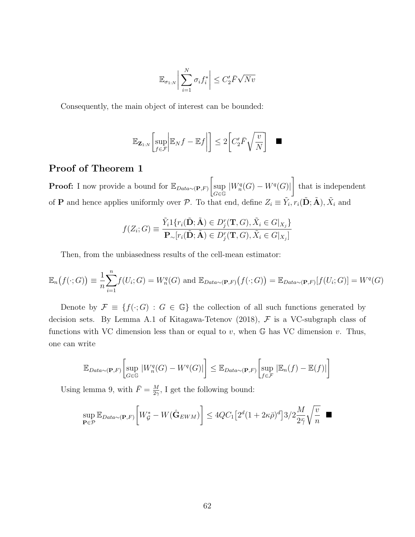$$
\mathbb{E}_{\sigma_{1:N}} \bigg| \sum_{i=1}^N \sigma_i f_i^* \bigg| \le C_2' \bar{F} \sqrt{Nv}
$$

Consequently, the main object of interest can be bounded:

$$
\mathbb{E}_{\mathbf{Z}_{1:N}}\bigg[\underset{f\in\mathcal{F}}{\sup}\bigg|\mathbb{E}_Nf-\mathbb{E}f\bigg|\bigg]\leq 2\bigg[C_2'\bar{F}\sqrt{\frac{v}{N}}\bigg]\quad \blacksquare
$$

#### Proof of Theorem 1

**Proof:** I now provide a bound for  $\mathbb{E}_{Data \sim (\mathbf{P},F)}$ sup G∈G  $|W^q_n(G) - W^q(G)|$ 1 that is independent of **P** and hence applies uniformly over  $\mathcal{P}$ . To that end, define  $Z_i \equiv \tilde{Y}_i, r_i(\tilde{\mathbf{D}}; \tilde{\mathbf{A}}), \tilde{X}_i$  and

$$
f(Z_i; G) \equiv \frac{\tilde{Y}_i 1\{r_i(\tilde{\mathbf{D}}; \tilde{\mathbf{A}}) \in D_j^r(\mathbf{T}, G), \tilde{X}_i \in G|_{X_j}\}}{\mathbf{P}_{\sim}[r_i(\tilde{\mathbf{D}}; \tilde{\mathbf{A}}) \in D_j^r(\mathbf{T}, G), \tilde{X}_i \in G|_{X_j}]}
$$

Then, from the unbiasedness results of the cell-mean estimator:

$$
\mathbb{E}_n(f(\cdot;G)) \equiv \frac{1}{n} \sum_{i=1}^n f(U_i;G) = W_n^q(G) \text{ and } \mathbb{E}_{Data \sim (\mathbf{P},F)}(f(\cdot;G)) = \mathbb{E}_{Data \sim (\mathbf{P},F)}[f(U_i;G)] = W^q(G)
$$

Denote by  $\mathcal{F} \equiv \{f(\cdot; G) : G \in \mathbb{G}\}\$  the collection of all such functions generated by decision sets. By Lemma A.1 of Kitagawa-Tetenov (2018),  $F$  is a VC-subgraph class of functions with VC dimension less than or equal to  $v$ , when  $\mathbb G$  has VC dimension  $v$ . Thus, one can write

$$
\mathbb{E}_{Data \sim (\mathbf{P}, F)} \left[ \sup_{G \in \mathbb{G}} |W_n^q(G) - W^q(G)| \right] \leq \mathbb{E}_{Data \sim (\mathbf{P}, F)} \left[ \sup_{f \in \mathcal{F}} |\mathbb{E}_n(f) - \mathbb{E}(f)| \right]
$$

Using lemma 9, with  $\bar{F} = \frac{M}{20}$  $\frac{M}{2\gamma}$ , I get the following bound:

$$
\sup_{\mathbf{P}\in\mathcal{P}}\mathbb{E}_{Data\sim(\mathbf{P},F)}\bigg[W^*_\mathcal{G} - W(\hat{\mathbf{G}}_{EWM})\bigg] \leq 4QC_1\big[2^d(1+2\kappa\bar{\rho})^d\big]3/2\frac{M}{2\bar{\gamma}}\sqrt{\frac{v}{n}} \quad \blacksquare
$$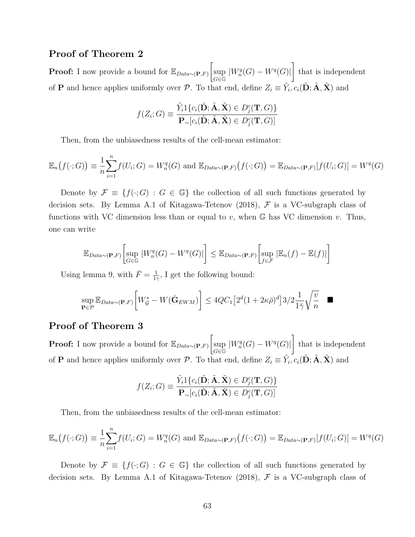### Proof of Theorem 2

**Proof:** I now provide a bound for  $\mathbb{E}_{Data \sim (\mathbf{P},F)}$ sup  $G\bar{\in}\bar{\mathbb{G}}$  $|W^q_n(G) - W^q(G)|$ 1 that is independent of **P** and hence applies uniformly over P. To that end, define  $Z_i \equiv \tilde{Y}_i, c_i(\tilde{\bf{D}}; \tilde{\bf{A}}, \tilde{\bf{X}})$  and

$$
f(Z_i; G) \equiv \frac{\tilde{Y}_i 1\{c_i(\tilde{\mathbf{D}}; \tilde{\mathbf{A}}, \tilde{\mathbf{X}}) \in D_j^c(\mathbf{T}, G)\}}{\mathbf{P}_{\sim}[c_i(\tilde{\mathbf{D}}; \tilde{\mathbf{A}}, \tilde{\mathbf{X}}) \in D_j^c(\mathbf{T}, G)]}
$$

Then, from the unbiasedness results of the cell-mean estimator:

$$
\mathbb{E}_n(f(\cdot;G)) \equiv \frac{1}{n} \sum_{i=1}^n f(U_i;G) = W_n^q(G) \text{ and } \mathbb{E}_{Data \sim (\mathbf{P},F)}(f(\cdot;G)) = \mathbb{E}_{Data \sim (\mathbf{P},F)}[f(U_i;G)] = W^q(G)
$$

Denote by  $\mathcal{F} \equiv \{f(\cdot; G) : G \in \mathbb{G}\}\$  the collection of all such functions generated by decision sets. By Lemma A.1 of Kitagawa-Tetenov (2018),  $\mathcal F$  is a VC-subgraph class of functions with VC dimension less than or equal to  $v$ , when  $\mathbb{G}$  has VC dimension  $v$ . Thus, one can write

$$
\mathbb{E}_{Data \sim (\mathbf{P}, F)} \left[ \sup_{G \in \mathbb{G}} |W_n^q(G) - W^q(G)| \right] \leq \mathbb{E}_{Data \sim (\mathbf{P}, F)} \left[ \sup_{f \in \mathcal{F}} |\mathbb{E}_n(f) - \mathbb{E}(f)| \right]
$$

Using lemma 9, with  $\bar{F} = \frac{1}{15}$  $\frac{1}{1\gamma}$ , I get the following bound:

$$
\sup_{\mathbf{P}\in\mathcal{P}}\mathbb{E}_{Data\sim(\mathbf{P},F)}\bigg[W_{\mathcal{G}}^* - W(\hat{\mathbf{G}}_{EWM})\bigg] \leq 4QC_1\big[2^d(1+2\kappa\bar{\rho})^d\big]3/2\frac{1}{1\bar{\gamma}}\sqrt{\frac{v}{n}} \quad \blacksquare
$$

#### Proof of Theorem 3

**Proof:** I now provide a bound for  $\mathbb{E}_{Data \sim (\mathbf{P},F)}$ sup G∈G  $|W^q_n(G) - W^q(G)|$ 1 that is independent of **P** and hence applies uniformly over P. To that end, define  $Z_i \equiv \tilde{Y}_i, c_i(\tilde{\bf{D}}; \tilde{\bf{A}}, \tilde{\bf{X}})$  and

$$
f(Z_i; G) \equiv \frac{\tilde{Y}_i 1\{c_i(\tilde{\mathbf{D}}; \tilde{\mathbf{A}}, \tilde{\mathbf{X}}) \in D_j^c(\mathbf{T}, G)\}}{\mathbf{P}_{\sim}[c_i(\tilde{\mathbf{D}}; \tilde{\mathbf{A}}, \tilde{\mathbf{X}}) \in D_j^c(\mathbf{T}, G)]}
$$

Then, from the unbiasedness results of the cell-mean estimator:

$$
\mathbb{E}_n(f(\cdot;G)) \equiv \frac{1}{n} \sum_{i=1}^n f(U_i;G) = W_n^q(G) \text{ and } \mathbb{E}_{Data \sim (\mathbf{P},F)}(f(\cdot;G)) = \mathbb{E}_{Data \sim (\mathbf{P},F)}[f(U_i;G)] = W^q(G)
$$

Denote by  $\mathcal{F} \equiv \{f(\cdot; G) : G \in \mathbb{G}\}\$  the collection of all such functions generated by decision sets. By Lemma A.1 of Kitagawa-Tetenov (2018),  $\mathcal F$  is a VC-subgraph class of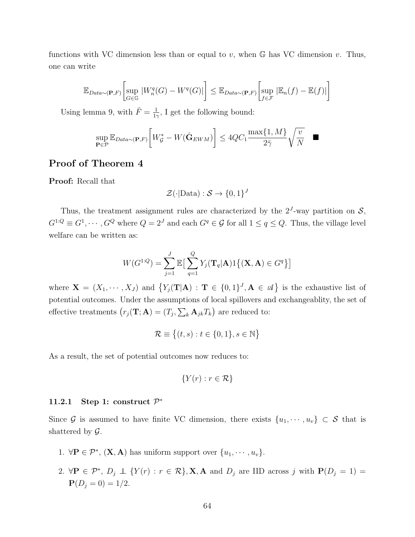functions with VC dimension less than or equal to v, when  $\mathbb{G}$  has VC dimension v. Thus, one can write

$$
\mathbb{E}_{Data \sim (\mathbf{P}, F)} \left[ \sup_{G \in \mathbb{G}} |W_n^q(G) - W^q(G)| \right] \leq \mathbb{E}_{Data \sim (\mathbf{P}, F)} \left[ \sup_{f \in \mathcal{F}} |\mathbb{E}_n(f) - \mathbb{E}(f)| \right]
$$

Using lemma 9, with  $\bar{F} = \frac{1}{15}$  $\frac{1}{1\gamma}$ , I get the following bound:

$$
\sup_{\mathbf{P}\in\mathcal{P}}\mathbb{E}_{Data\sim(\mathbf{P},F)}\bigg[W_{\mathcal{G}}^*-W(\hat{\mathbf{G}}_{EWM})\bigg]\leq 4QC_1\frac{\max\{1,M\}}{2\bar{\gamma}}\sqrt{\frac{v}{N}}
$$

 $\blacksquare$ 

#### Proof of Theorem 4

Proof: Recall that

$$
\mathcal{Z}(\cdot | \text{Data}) : \mathcal{S} \to \{0, 1\}^J
$$

Thus, the treatment assignment rules are characterized by the  $2<sup>J</sup>$ -way partition on  $S$ ,  $G^{1:Q} \equiv G^1, \cdots, G^Q$  where  $Q = 2^J$  and each  $G^q \in \mathcal{G}$  for all  $1 \le q \le Q$ . Thus, the village level welfare can be written as:

$$
W(G^{1:Q}) = \sum_{j=1}^{J} \mathbb{E} \big[ \sum_{q=1}^{Q} Y_j(\mathbf{T}_q | \mathbf{A}) \mathbb{1} \{ (\mathbf{X}, \mathbf{A}) \in G^q \} \big]
$$

where  $\mathbf{X} = (X_1, \dots, X_J)$  and  $\{Y_j(\mathbf{T}|\mathbf{A}) : \mathbf{T} \in \{0,1\}^J, \mathbf{A} \in \mathcal{A}\}\$ is the exhaustive list of potential outcomes. Under the assumptions of local spillovers and exchangeablity, the set of effective treatments  $(r_j(\mathbf{T}; \mathbf{A}) = (T_j, \sum_k \mathbf{A}_{jk} T_k)$  are reduced to:

$$
\mathcal{R} \equiv \big\{ (t,s) : t \in \{0,1\}, s \in \mathbb{N} \big\}
$$

As a result, the set of potential outcomes now reduces to:

$$
\{Y(r) : r \in \mathcal{R}\}\
$$

#### 11.2.1 Step 1: construct  $\mathcal{P}^*$

Since G is assumed to have finite VC dimension, there exists  $\{u_1, \dots, u_v\} \subset S$  that is shattered by  $\mathcal{G}$ .

- 1.  $\forall \mathbf{P} \in \mathcal{P}^*, (\mathbf{X}, \mathbf{A})$  has uniform support over  $\{u_1, \dots, u_v\}.$
- 2.  $\forall \mathbf{P} \in \mathcal{P}^*, D_j \perp \{Y(r) : r \in \mathcal{R}\}, \mathbf{X}, \mathbf{A} \text{ and } D_j \text{ are IID across } j \text{ with } \mathbf{P}(D_j = 1) =$  ${\bf P}(D_i = 0) = 1/2.$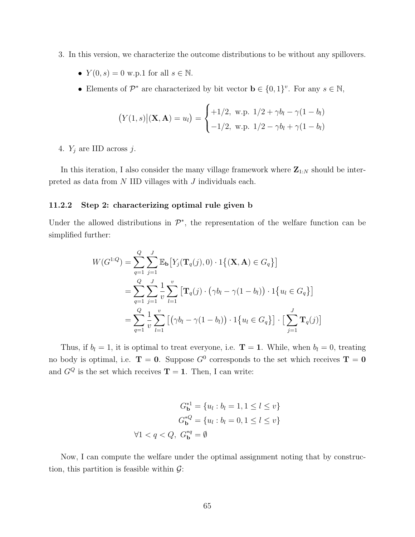- 3. In this version, we characterize the outcome distributions to be without any spillovers.
	- $Y(0, s) = 0$  w.p.1 for all  $s \in \mathbb{N}$ .
	- Elements of  $\mathcal{P}^*$  are characterized by bit vector  $\mathbf{b} \in \{0,1\}^v$ . For any  $s \in \mathbb{N}$ ,

$$
(Y(1, s) | (\mathbf{X}, \mathbf{A}) = u_l) = \begin{cases} +1/2, & \text{w.p. } 1/2 + \gamma b_l - \gamma (1 - b_l) \\ -1/2, & \text{w.p. } 1/2 - \gamma b_l + \gamma (1 - b_l) \end{cases}
$$

4.  $Y_j$  are IID across j.

In this iteration, I also consider the many village framework where  $\mathbf{Z}_{1:N}$  should be interpreted as data from  $N$  IID villages with  $J$  individuals each.

#### 11.2.2 Step 2: characterizing optimal rule given b

Under the allowed distributions in  $\mathcal{P}^*$ , the representation of the welfare function can be simplified further:

$$
W(G^{1:Q}) = \sum_{q=1}^{Q} \sum_{j=1}^{J} \mathbb{E}_{\mathbf{b}} \left[ Y_j(\mathbf{T}_q(j), 0) \cdot 1 \{ (\mathbf{X}, \mathbf{A}) \in G_q \} \right]
$$
  
= 
$$
\sum_{q=1}^{Q} \sum_{j=1}^{J} \frac{1}{v} \sum_{l=1}^{v} \left[ \mathbf{T}_q(j) \cdot (\gamma b_l - \gamma (1 - b_l)) \cdot 1 \{ u_l \in G_q \} \right]
$$
  
= 
$$
\sum_{q=1}^{Q} \frac{1}{v} \sum_{l=1}^{v} \left[ \left( \gamma b_l - \gamma (1 - b_l) \right) \cdot 1 \{ u_l \in G_q \} \right] \cdot \left[ \sum_{j=1}^{J} \mathbf{T}_q(j) \right]
$$

Thus, if  $b_l = 1$ , it is optimal to treat everyone, i.e.  $\mathbf{T} = 1$ . While, when  $b_l = 0$ , treating no body is optimal, i.e.  $T = 0$ . Suppose  $G^0$  corresponds to the set which receives  $T = 0$ and  $G^Q$  is the set which receives  $T = 1$ . Then, I can write:

$$
G_{\mathbf{b}}^{*1} = \{u_l : b_l = 1, 1 \le l \le v\}
$$

$$
G_{\mathbf{b}}^{*Q} = \{u_l : b_l = 0, 1 \le l \le v\}
$$

$$
\forall 1 < q < Q, \ G_{\mathbf{b}}^{*q} = \emptyset
$$

Now, I can compute the welfare under the optimal assignment noting that by construction, this partition is feasible within  $\mathcal{G}$ :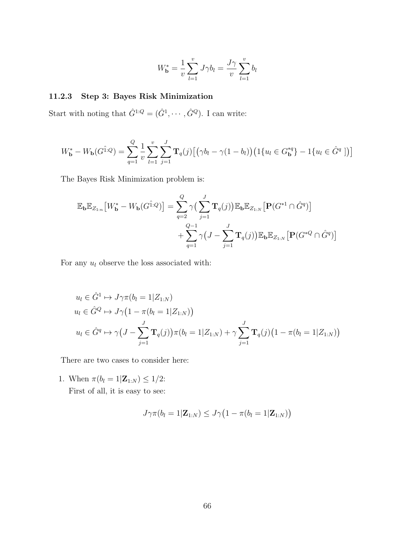$$
W_{\mathbf{b}}^{*} = \frac{1}{v} \sum_{l=1}^{v} J\gamma b_{l} = \frac{J\gamma}{v} \sum_{l=1}^{v} b_{l}
$$

#### 11.2.3 Step 3: Bayes Risk Minimization

Start with noting that  $\hat{G}^{1:Q} = (\hat{G}^1, \cdots, \hat{G}^Q)$ . I can write:

$$
W_{\mathbf{b}}^* - W_{\mathbf{b}}(G^{\hat{1}:Q}) = \sum_{q=1}^{Q} \frac{1}{v} \sum_{l=1}^{v} \sum_{j=1}^{J} \mathbf{T}_q(j) \big[ (\gamma b_l - \gamma (1 - b_l) \big) \big( 1\{ u_l \in G_{\mathbf{b}}^{*q} \} - 1\{ u_l \in \hat{G}^q \big] \big) \big]
$$

The Bayes Risk Minimization problem is:

$$
\mathbb{E}_{\mathbf{b}}\mathbb{E}_{Z_{1:n}}\left[W_{\mathbf{b}}^{*}-W_{\mathbf{b}}(G^{\hat{1}:Q})\right]=\sum_{q=2}^{Q}\gamma\left(\sum_{j=1}^{J}\mathbf{T}_{q}(j)\right)\mathbb{E}_{\mathbf{b}}\mathbb{E}_{Z_{1:N}}\left[\mathbf{P}(G^{*1}\cap\hat{G}^{q})\right]
$$

$$
+\sum_{q=1}^{Q-1}\gamma\left(J-\sum_{j=1}^{J}\mathbf{T}_{q}(j)\right)\mathbb{E}_{\mathbf{b}}\mathbb{E}_{Z_{1:N}}\left[\mathbf{P}(G^{*Q}\cap\hat{G}^{q})\right]
$$

For any  $\boldsymbol{u}_l$  observe the loss associated with:

$$
u_l \in \hat{G}^1 \mapsto J\gamma\pi(b_l = 1 | Z_{1:N})
$$
  
\n
$$
u_l \in \hat{G}^Q \mapsto J\gamma(1 - \pi(b_l = 1 | Z_{1:N}))
$$
  
\n
$$
u_l \in \hat{G}^q \mapsto \gamma(J - \sum_{j=1}^J \mathbf{T}_q(j))\pi(b_l = 1 | Z_{1:N}) + \gamma \sum_{j=1}^J \mathbf{T}_q(j)(1 - \pi(b_l = 1 | Z_{1:N}))
$$

There are two cases to consider here:

1. When  $\pi(b_l = 1 | \mathbf{Z}_{1:N}) \leq 1/2$ :

First of all, it is easy to see:

$$
J\gamma\pi(b_l=1|\mathbf{Z}_{1:N})\leq J\gamma\big(1-\pi(b_l=1|\mathbf{Z}_{1:N})\big)
$$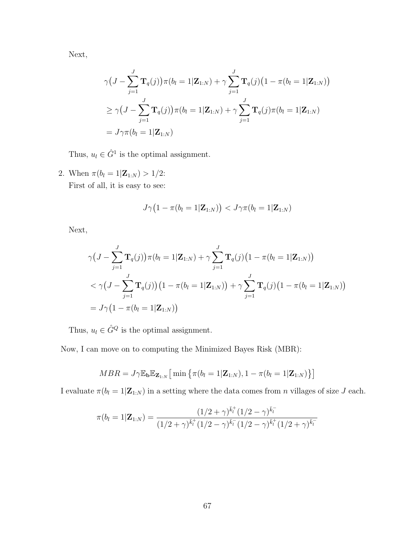Next,

$$
\gamma \big( J - \sum_{j=1}^{J} \mathbf{T}_q(j) \big) \pi(b_l = 1 | \mathbf{Z}_{1:N}) + \gamma \sum_{j=1}^{J} \mathbf{T}_q(j) \big( 1 - \pi(b_l = 1 | \mathbf{Z}_{1:N}) \big)
$$
  
\n
$$
\geq \gamma \big( J - \sum_{j=1}^{J} \mathbf{T}_q(j) \big) \pi(b_l = 1 | \mathbf{Z}_{1:N}) + \gamma \sum_{j=1}^{J} \mathbf{T}_q(j) \pi(b_l = 1 | \mathbf{Z}_{1:N})
$$
  
\n
$$
= J \gamma \pi(b_l = 1 | \mathbf{Z}_{1:N})
$$

Thus,  $u_l \in \hat{G}^1$  is the optimal assignment.

2. When  $\pi(b_l = 1 | \mathbf{Z}_{1:N}) > 1/2$ : First of all, it is easy to see:

$$
J\gamma\big(1-\pi(b_l=1|\mathbf{Z}_{1:N})\big) < J\gamma\pi(b_l=1|\mathbf{Z}_{1:N})
$$

Next,

$$
\gamma \big( J - \sum_{j=1}^{J} \mathbf{T}_q(j) \big) \pi(b_l = 1 | \mathbf{Z}_{1:N}) + \gamma \sum_{j=1}^{J} \mathbf{T}_q(j) \big( 1 - \pi(b_l = 1 | \mathbf{Z}_{1:N}) \big)
$$
  

$$
< \gamma \big( J - \sum_{j=1}^{J} \mathbf{T}_q(j) \big) \big( 1 - \pi(b_l = 1 | \mathbf{Z}_{1:N}) \big) + \gamma \sum_{j=1}^{J} \mathbf{T}_q(j) \big( 1 - \pi(b_l = 1 | \mathbf{Z}_{1:N}) \big)
$$
  

$$
= J \gamma \big( 1 - \pi(b_l = 1 | \mathbf{Z}_{1:N}) \big)
$$

Thus,  $u_l \in \hat{G}^Q$  is the optimal assignment.

Now, I can move on to computing the Minimized Bayes Risk (MBR):

$$
MBR = J\gamma \mathbb{E}_{\mathbf{b}} \mathbb{E}_{\mathbf{Z}_{1:N}} \big[ \min \big\{ \pi(b_l = 1 | \mathbf{Z}_{1:N}), 1 - \pi(b_l = 1 | \mathbf{Z}_{1:N}) \big\} \big]
$$

I evaluate  $\pi(b_l = 1|\mathbf{Z}_{1:N})$  in a setting where the data comes from n villages of size J each.

$$
\pi(b_l = 1 | \mathbf{Z}_{1:N}) = \frac{(1/2 + \gamma)^{\bar{k}_l^+} (1/2 - \gamma)^{\bar{k}_l^-}}{(1/2 + \gamma)^{\bar{k}_l^+} (1/2 - \gamma)^{\bar{k}_l^-} (1/2 - \gamma)^{\bar{k}_l^+} (1/2 + \gamma)^{\bar{k}_l^-}}
$$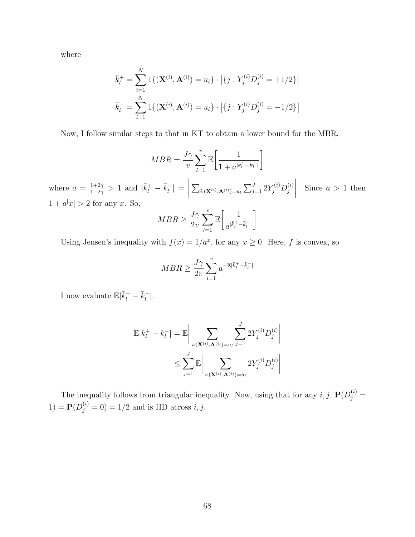where

$$
\bar{k}_l^+ = \sum_{i=1}^N 1\{(\mathbf{X}^{(i)}, \mathbf{A}^{(i)}) = u_l\} \cdot |\{j : Y_j^{(i)} D_j^{(i)} = +1/2\}|
$$
  

$$
\bar{k}_l^- = \sum_{i=1}^N 1\{(\mathbf{X}^{(i)}, \mathbf{A}^{(i)}) = u_l\} \cdot |\{j : Y_j^{(i)} D_j^{(i)} = -1/2\}|
$$

Now, I follow similar steps to that in KT to obtain a lower bound for the MBR.

$$
MBR = \frac{J\gamma}{v} \sum_{l=1}^{v} \mathbb{E}\left[\frac{1}{1 + a^{|\vec{k}|} - \bar{k}^{-}_l|}\right]
$$

where  $a = \frac{1+2\gamma}{1-2\gamma}$  $\frac{1+2\gamma}{1-2\gamma} > 1$  and  $|\bar{k}_l^+ - \bar{k}_l^ \vert_{l}^{-} \vert =$  $\begin{array}{c} \begin{array}{c} \begin{array}{c} \begin{array}{c} \end{array} \\ \end{array} \\ \begin{array}{c} \end{array} \end{array} \end{array}$  $\sum_{i: ({\bf X}^{(i)}, {\bf A}^{(i)}) = u_l} \sum_{j=1}^J 2 Y_j^{(i)} D_j^{(i)}$ j . Since  $a > 1$  then  $1 + a^{|x|} > 2$  for any x. So,

$$
MBR \ge \frac{J\gamma}{2v} \sum_{l=1}^{v} \mathbb{E}\left[\frac{1}{a^{|\bar{k}^{+}_{l} - \bar{k}^{-}_{l}|}}\right]
$$

Using Jensen's inequality with  $f(x) = 1/a^x$ , for any  $x \ge 0$ . Here, f is convex, so

$$
MBR \geq \frac{J\gamma}{2v}\sum_{l=1}^v a^{-\mathbb{E}|\bar{k}_l^+ - \bar{k}_l^-|}
$$

I now evaluate  $\mathbb{E}|\bar{k}_l^+ - \bar{k}_l^ \frac{1}{l}$ .

$$
\mathbb{E}|\bar{k}_l^+ - \bar{k}_l^-| = \mathbb{E}\bigg|\sum_{i:(\mathbf{X}^{(i)},\mathbf{A}^{(i)})=u_l} \sum_{j=1}^J 2Y_j^{(i)}D_j^{(i)}\bigg|\newline \leq \sum_{j=1}^J \mathbb{E}\bigg|\sum_{i:(\mathbf{X}^{(i)},\mathbf{A}^{(i)})=u_l} 2Y_j^{(i)}D_j^{(i)}\bigg|\newline
$$

The inequality follows from triangular inequality. Now, using that for any  $i, j$ ,  $P(D_j^{(i)} =$  $(1) = \mathbf{P}(D_j^{(i)} = 0) = 1/2$  and is IID across  $i, j$ ,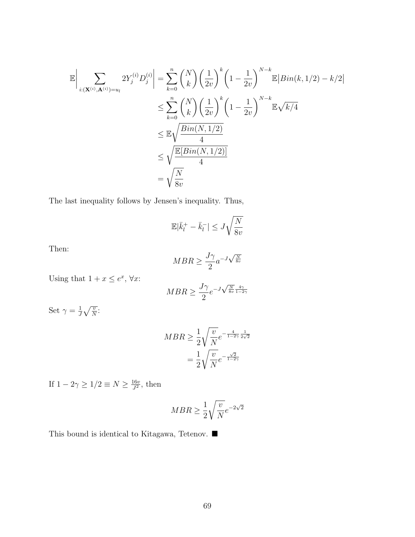$$
\mathbb{E}\left|\sum_{i:(\mathbf{X}^{(i)},\mathbf{A}^{(i)})=u_l} 2Y_j^{(i)}D_j^{(i)}\right| = \sum_{k=0}^n {N \choose k} \left(\frac{1}{2v}\right)^k \left(1 - \frac{1}{2v}\right)^{N-k} \mathbb{E}|Bin(k, 1/2) - k/2|
$$
  
\n
$$
\leq \sum_{k=0}^n {N \choose k} \left(\frac{1}{2v}\right)^k \left(1 - \frac{1}{2v}\right)^{N-k} \mathbb{E}\sqrt{k/4}
$$
  
\n
$$
\leq \mathbb{E}\sqrt{\frac{Bin(N, 1/2)}{4}}
$$
  
\n
$$
\leq \sqrt{\frac{\mathbb{E}[Bin(N, 1/2)]}{4}}
$$
  
\n
$$
= \sqrt{\frac{N}{8v}}
$$

The last inequality follows by Jensen's inequality. Thus,

$$
\mathbb{E}|\bar{k}_l^+ - \bar{k}_l^-| \le J\sqrt{\frac{N}{8v}}
$$

Then:

$$
MBR \ge \frac{J\gamma}{2} a^{-J\sqrt{\frac{N}{8v}}}
$$

Using that  $1 + x \leq e^x$ ,  $\forall x$ :

$$
MBR \ge \frac{J\gamma}{2}e^{-J\sqrt{\frac{N}{8v}}\frac{4\gamma}{1-2\gamma}}
$$

Set  $\gamma = \frac{1}{l}$  $\frac{1}{J}\sqrt{\frac{v}{N}}$ :

$$
MBR \ge \frac{1}{2} \sqrt{\frac{v}{N}} e^{-\frac{4}{1-2\gamma} \frac{1}{2\sqrt{2}}} = \frac{1}{2} \sqrt{\frac{v}{N}} e^{-\frac{\sqrt{2}}{1-2\gamma}}
$$

If  $1-2\gamma \geq 1/2 \equiv N \geq \frac{16v}{I^2}$  $\frac{16v}{J^2}$ , then

$$
MBR \ge \frac{1}{2} \sqrt{\frac{v}{N}} e^{-2\sqrt{2}}
$$

This bound is identical to Kitagawa, Tetenov.  $\blacksquare$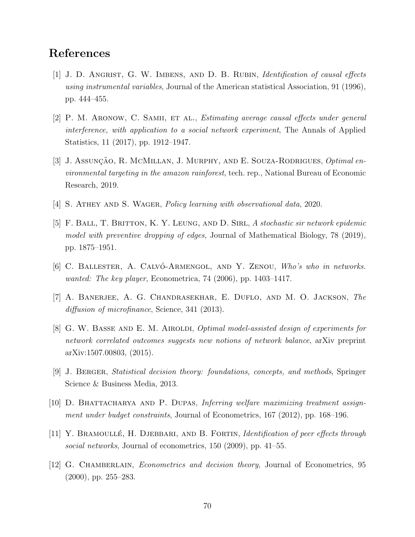## References

- [1] J. D. Angrist, G. W. Imbens, and D. B. Rubin, Identification of causal effects using instrumental variables, Journal of the American statistical Association, 91 (1996), pp. 444–455.
- [2] P. M. ARONOW, C. SAMII, ET AL., *Estimating average causal effects under general* interference, with application to a social network experiment, The Annals of Applied Statistics, 11 (2017), pp. 1912–1947.
- [3] J. Assunção, R. McMillan, J. Murphy, and E. Souza-Rodrigues, *Optimal en*vironmental targeting in the amazon rainforest, tech. rep., National Bureau of Economic Research, 2019.
- [4] S. Athey and S. Wager, Policy learning with observational data, 2020.
- [5] F. Ball, T. Britton, K. Y. Leung, and D. Sirl, A stochastic sir network epidemic model with preventive dropping of edges, Journal of Mathematical Biology, 78 (2019), pp. 1875–1951.
- [6] C. BALLESTER, A. CALVÓ-ARMENGOL, AND Y. ZENOU, Who's who in networks. wanted: The key player, Econometrica, 74 (2006), pp. 1403–1417.
- [7] A. Banerjee, A. G. Chandrasekhar, E. Duflo, and M. O. Jackson, The diffusion of microfinance, Science, 341 (2013).
- [8] G. W. BASSE AND E. M. AIROLDI, *Optimal model-assisted design of experiments for* network correlated outcomes suggests new notions of network balance, arXiv preprint arXiv:1507.00803, (2015).
- [9] J. Berger, Statistical decision theory: foundations, concepts, and methods, Springer Science & Business Media, 2013.
- [10] D. Bhattacharya and P. Dupas, Inferring welfare maximizing treatment assignment under budget constraints, Journal of Econometrics, 167 (2012), pp. 168–196.
- [11] Y. BRAMOULLÉ, H. DJEBBARI, AND B. FORTIN, *Identification of peer effects through* social networks, Journal of econometrics, 150 (2009), pp. 41–55.
- [12] G. CHAMBERLAIN, *Econometrics and decision theory*, Journal of Econometrics, 95  $(2000)$ , pp. 255–283.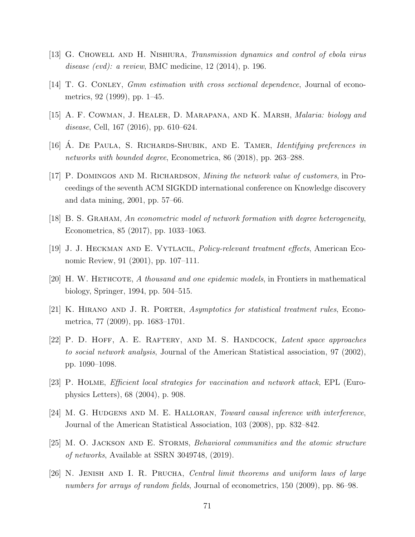- [13] G. Chowell and H. Nishiura, Transmission dynamics and control of ebola virus disease *(evd)*: a review, BMC medicine, 12 (2014), p. 196.
- [14] T. G. Conley, Gmm estimation with cross sectional dependence, Journal of econometrics, 92 (1999), pp. 1–45.
- [15] A. F. Cowman, J. Healer, D. Marapana, and K. Marsh, Malaria: biology and disease, Cell, 167 (2016), pp. 610–624.
- [16] A. DE PAULA, S. RICHARDS-SHUBIK, AND E. TAMER, *Identifying preferences in* networks with bounded degree, Econometrica, 86 (2018), pp. 263–288.
- [17] P. Domingos and M. Richardson, Mining the network value of customers, in Proceedings of the seventh ACM SIGKDD international conference on Knowledge discovery and data mining, 2001, pp. 57–66.
- [18] B. S. Graham, An econometric model of network formation with degree heterogeneity, Econometrica, 85 (2017), pp. 1033–1063.
- [19] J. J. Heckman and E. Vytlacil, Policy-relevant treatment effects, American Economic Review, 91 (2001), pp. 107–111.
- [20] H. W. HETHCOTE, A thousand and one epidemic models, in Frontiers in mathematical biology, Springer, 1994, pp. 504–515.
- [21] K. Hirano and J. R. Porter, Asymptotics for statistical treatment rules, Econometrica, 77 (2009), pp. 1683–1701.
- [22] P. D. HOFF, A. E. RAFTERY, AND M. S. HANDCOCK, *Latent space approaches* to social network analysis, Journal of the American Statistical association, 97 (2002), pp. 1090–1098.
- [23] P. Holme, Efficient local strategies for vaccination and network attack, EPL (Europhysics Letters), 68 (2004), p. 908.
- [24] M. G. HUDGENS AND M. E. HALLORAN, Toward causal inference with interference, Journal of the American Statistical Association, 103 (2008), pp. 832–842.
- [25] M. O. Jackson and E. Storms, Behavioral communities and the atomic structure of networks, Available at SSRN 3049748, (2019).
- [26] N. Jenish and I. R. Prucha, Central limit theorems and uniform laws of large numbers for arrays of random fields, Journal of econometrics, 150 (2009), pp. 86–98.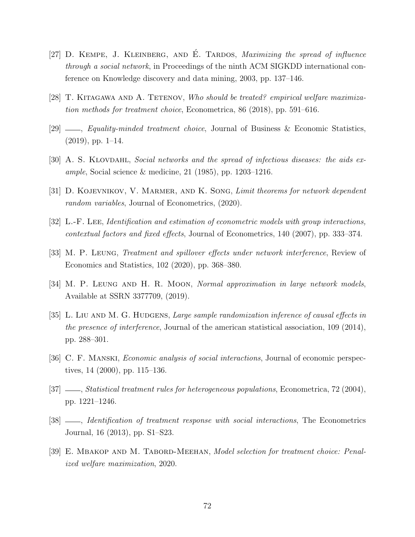- [27] D. KEMPE, J. KLEINBERG, AND É. TARDOS, *Maximizing the spread of influence* through a social network, in Proceedings of the ninth ACM SIGKDD international conference on Knowledge discovery and data mining, 2003, pp. 137–146.
- [28] T. Kitagawa and A. Tetenov, Who should be treated? empirical welfare maximization methods for treatment choice, Econometrica, 86 (2018), pp. 591–616.
- $[29]$  , Equality-minded treatment choice, Journal of Business & Economic Statistics,  $(2019)$ , pp. 1–14.
- [30] A. S. KLOVDAHL, Social networks and the spread of infectious diseases: the aids example, Social science  $\&$  medicine, 21 (1985), pp. 1203–1216.
- [31] D. KOJEVNIKOV, V. MARMER, AND K. SONG, Limit theorems for network dependent random variables, Journal of Econometrics, (2020).
- [32] L.-F. Lee, Identification and estimation of econometric models with group interactions, contextual factors and fixed effects, Journal of Econometrics, 140 (2007), pp. 333–374.
- [33] M. P. Leung, Treatment and spillover effects under network interference, Review of Economics and Statistics, 102 (2020), pp. 368–380.
- [34] M. P. LEUNG AND H. R. MOON, Normal approximation in large network models, Available at SSRN 3377709, (2019).
- [35] L. LIU AND M. G. HUDGENS, Large sample randomization inference of causal effects in the presence of interference, Journal of the american statistical association, 109 (2014), pp. 288–301.
- [36] C. F. Manski, Economic analysis of social interactions, Journal of economic perspectives, 14 (2000), pp. 115–136.
- [37] , Statistical treatment rules for heterogeneous populations, Econometrica, 72 (2004), pp. 1221–1246.
- [38]  $\_\_\_\_\$  *Identification of treatment response with social interactions*, The Econometrics Journal, 16 (2013), pp. S1–S23.
- [39] E. MBAKOP AND M. TABORD-MEEHAN, Model selection for treatment choice: Penalized welfare maximization, 2020.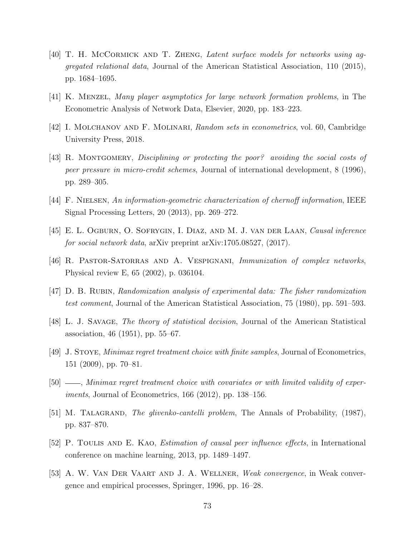- [40] T. H. McCORMICK AND T. ZHENG, Latent surface models for networks using aggregated relational data, Journal of the American Statistical Association, 110 (2015), pp. 1684–1695.
- [41] K. Menzel, Many player asymptotics for large network formation problems, in The Econometric Analysis of Network Data, Elsevier, 2020, pp. 183–223.
- [42] I. Molchanov and F. Molinari, Random sets in econometrics, vol. 60, Cambridge University Press, 2018.
- [43] R. Montgomery, Disciplining or protecting the poor? avoiding the social costs of peer pressure in micro-credit schemes, Journal of international development, 8 (1996), pp. 289–305.
- [44] F. Nielsen, An information-geometric characterization of chernoff information, IEEE Signal Processing Letters, 20 (2013), pp. 269–272.
- [45] E. L. Ogburn, O. Sofrygin, I. Diaz, and M. J. van der Laan, Causal inference for social network data, arXiv preprint arXiv:1705.08527, (2017).
- [46] R. Pastor-Satorras and A. Vespignani, Immunization of complex networks, Physical review E, 65 (2002), p. 036104.
- [47] D. B. RUBIN, Randomization analysis of experimental data: The fisher randomization test comment, Journal of the American Statistical Association, 75 (1980), pp. 591–593.
- [48] L. J. Savage, The theory of statistical decision, Journal of the American Statistical association, 46 (1951), pp. 55–67.
- [49] J. Stoye, Minimax regret treatment choice with finite samples, Journal of Econometrics, 151 (2009), pp. 70–81.
- $[50]$   $\_\_\_\_\$ nmax regret treatment choice with covariates or with limited validity of experiments, Journal of Econometrics, 166 (2012), pp. 138–156.
- [51] M. TALAGRAND, *The glivenko-cantelli problem*, The Annals of Probability, (1987), pp. 837–870.
- [52] P. Toulis and E. Kao, Estimation of causal peer influence effects, in International conference on machine learning, 2013, pp. 1489–1497.
- [53] A. W. Van Der Vaart and J. A. Wellner, Weak convergence, in Weak convergence and empirical processes, Springer, 1996, pp. 16–28.